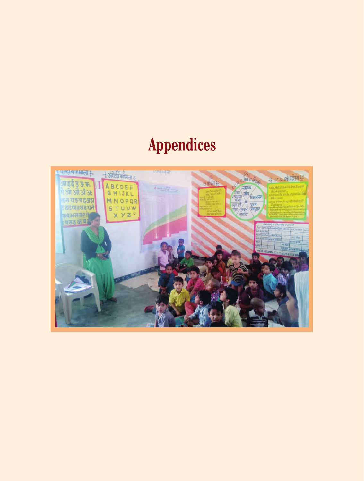# **Appendices**

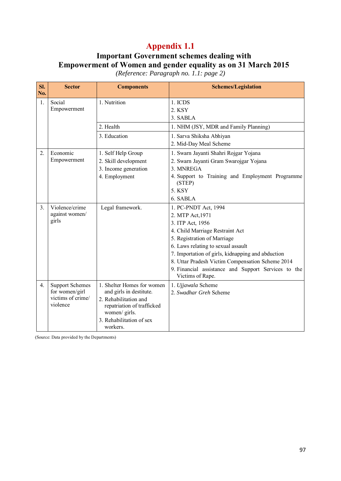# **Important Government schemes dealing with Empowerment of Women and gender equality as on 31 March 2015**

*(Reference: Paragraph no. 1.1: page 2)* 

| SI.<br>No.       | <b>Sector</b>                       | <b>Components</b>                                   | <b>Schemes/Legislation</b>                                              |
|------------------|-------------------------------------|-----------------------------------------------------|-------------------------------------------------------------------------|
| 1.               | Social<br>Empowerment               | 1. Nutrition                                        | 1. ICDS<br>2. KSY                                                       |
|                  |                                     |                                                     | 3. SABLA                                                                |
|                  |                                     | 2. Health                                           | 1. NHM (JSY, MDR and Family Planning)                                   |
|                  |                                     | 3. Education                                        | 1. Sarva Shiksha Abhiyan                                                |
|                  |                                     |                                                     | 2. Mid-Day Meal Scheme                                                  |
| $\overline{2}$ . | Economic                            | 1. Self Help Group                                  | 1. Swarn Jayanti Shahri Rojgar Yojana                                   |
|                  | Empowerment                         | 2. Skill development                                | 2. Swarn Jayanti Gram Swarojgar Yojana                                  |
|                  |                                     | 3. Income generation                                | 3. MNREGA                                                               |
|                  |                                     | 4. Employment                                       | 4. Support to Training and Employment Programme<br>(STEP)               |
|                  |                                     |                                                     | 5. KSY                                                                  |
|                  |                                     |                                                     | 6. SABLA                                                                |
| $\mathfrak{Z}$ . | Violence/crime                      | Legal framework.                                    | 1. PC-PNDT Act, 1994                                                    |
|                  | against women/                      |                                                     | 2. MTP Act, 1971                                                        |
|                  | girls                               |                                                     | 3. ITP Act, 1956                                                        |
|                  |                                     |                                                     | 4. Child Marriage Restraint Act                                         |
|                  |                                     |                                                     | 5. Registration of Marriage                                             |
|                  |                                     |                                                     | 6. Laws relating to sexual assault                                      |
|                  |                                     |                                                     | 7. Importation of girls, kidnapping and abduction                       |
|                  |                                     |                                                     | 8. Uttar Pradesh Victim Compensation Scheme 2014                        |
|                  |                                     |                                                     | 9. Financial assistance and Support Services to the<br>Victims of Rape. |
| 4.               | <b>Support Schemes</b>              | 1. Shelter Homes for women                          | 1. Ujjawala Scheme                                                      |
|                  | for women/girl<br>victims of crime/ | and girls in destitute.                             | 2. Swadhar Greh Scheme                                                  |
|                  | violence                            | 2. Rehabilitation and<br>repatriation of trafficked |                                                                         |
|                  |                                     | women/ girls.                                       |                                                                         |
|                  |                                     | 3. Rehabilitation of sex                            |                                                                         |
|                  |                                     | workers.                                            |                                                                         |

(Source: Data provided by the Departments)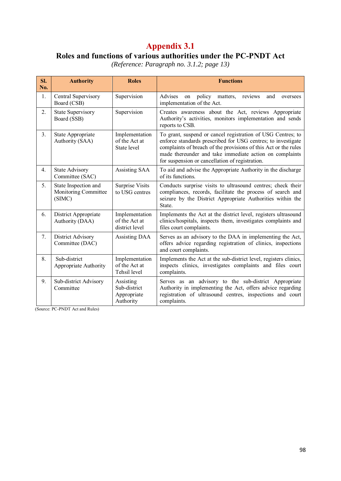## **Roles and functions of various authorities under the PC-PNDT Act**

*(Reference: Paragraph no. 3.1.2; page 13)* 

| SI.<br>No. | <b>Authority</b>                                       | <b>Roles</b>                                          | <b>Functions</b>                                                                                                                                                                                                                                                                                             |  |  |  |
|------------|--------------------------------------------------------|-------------------------------------------------------|--------------------------------------------------------------------------------------------------------------------------------------------------------------------------------------------------------------------------------------------------------------------------------------------------------------|--|--|--|
| 1.         | Central Supervisory<br>Board (CSB)                     | Supervision                                           | Advises<br>policy matters,<br>and<br>reviews<br>on<br>oversees<br>implementation of the Act.                                                                                                                                                                                                                 |  |  |  |
| 2.         | <b>State Supervisory</b><br>Board (SSB)                | Supervision                                           | Creates awareness about the Act, reviews Appropriate<br>Authority's activities, monitors implementation and sends<br>reports to CSB.                                                                                                                                                                         |  |  |  |
| 3.         | State Appropriate<br>Authority (SAA)                   | Implementation<br>of the Act at<br>State level        | To grant, suspend or cancel registration of USG Centres; to<br>enforce standards prescribed for USG centres; to investigate<br>complaints of breach of the provisions of this Act or the rules<br>made thereunder and take immediate action on complaints<br>for suspension or cancellation of registration. |  |  |  |
| 4.         | <b>State Advisory</b><br>Committee (SAC)               | Assisting SAA                                         | To aid and advise the Appropriate Authority in the discharge<br>of its functions.                                                                                                                                                                                                                            |  |  |  |
| 5.         | State Inspection and<br>Monitoring Committee<br>(SIMC) | Surprise Visits<br>to USG centres                     | Conducts surprise visits to ultrasound centres; check their<br>compliances, records, facilitate the process of search and<br>seizure by the District Appropriate Authorities within the<br>State.                                                                                                            |  |  |  |
| 6.         | District Appropriate<br>Authority (DAA)                | Implementation<br>of the Act at<br>district level     | Implements the Act at the district level, registers ultrasound<br>clinics/hospitals, inspects them, investigates complaints and<br>files court complaints.                                                                                                                                                   |  |  |  |
| 7.         | District Advisory<br>Committee (DAC)                   | <b>Assisting DAA</b>                                  | Serves as an advisory to the DAA in implementing the Act,<br>offers advice regarding registration of clinics, inspections<br>and court complaints.                                                                                                                                                           |  |  |  |
| 8.         | Sub-district<br>Appropriate Authority                  | Implementation<br>of the Act at<br>Tehsil level       | Implements the Act at the sub-district level, registers clinics,<br>inspects clinics, investigates complaints and files court<br>complaints.                                                                                                                                                                 |  |  |  |
| 9.         | Sub-district Advisory<br>Committee                     | Assisting<br>Sub-district<br>Appropriate<br>Authority | Serves as an advisory to the sub-district Appropriate<br>Authority in implementing the Act, offers advice regarding<br>registration of ultrasound centres, inspections and court<br>complaints.                                                                                                              |  |  |  |

(Source: PC-PNDT Act and Rules)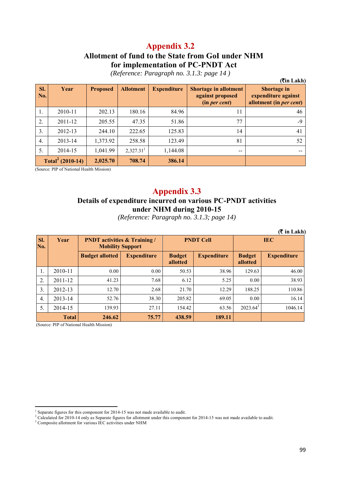#### **Allotment of fund to the State from GoI under NHM for implementation of PC-PNDT Act**

**(**`**in Lakh) Sl. No. Year Proposed Allotment Expenditure Shortage in allotment against proposed (in** *per cent***) Shortage in expenditure against allotment (in** *per cent***)** 1. | 2010-11 | 202.13 | 180.16 | 84.96 | 11 | 46 2. 2011-12 205.55 47.35 51.86 77 -99 3.  $\begin{array}{|c|c|c|c|c|c|c|c|c|} \hline \end{array}$  244.10 222.65 125.83 14 41 4. | 2013-14 | 1,373.92 | 258.58 | 123.49 | 81 | 52 5. 2014-15 1,041.99 2,327.31<sup>1</sup>  $1,144.08$  --**Total<sup>2</sup> (2010-14) 2,025.70 708.74 386.14**

*(Reference: Paragraph no. 3.1.3: page 14 )* 

(Source: PIP of National Health Mission)

## **Appendix 3.3**

#### **Details of expenditure incurred on various PC-PNDT activities under NHM during 2010-15**

*(Reference: Paragraph no. 3.1.3; page 14)* 

|            | $(\bar{\tau}$ in Lakh) |                                                                |                    |                           |                    |                           |                    |  |
|------------|------------------------|----------------------------------------------------------------|--------------------|---------------------------|--------------------|---------------------------|--------------------|--|
| Sl.<br>No. | Year                   | <b>PNDT</b> activities & Training /<br><b>Mobility Support</b> |                    | <b>PNDT Cell</b>          |                    | <b>IEC</b>                |                    |  |
|            |                        | <b>Budget allotted</b>                                         | <b>Expenditure</b> | <b>Budget</b><br>allotted | <b>Expenditure</b> | <b>Budget</b><br>allotted | <b>Expenditure</b> |  |
|            | 2010-11                | 0.00                                                           | 0.00               | 50.53                     | 38.96              | 129.63                    | 46.00              |  |
| 2.         | 2011-12                | 41.23                                                          | 7.68               | 6.12                      | 5.25               | 0.00                      | 38.93              |  |
| 3.         | 2012-13                | 12.70                                                          | 2.68               | 21.70                     | 12.29              | 188.25                    | 110.86             |  |
| 4.         | 2013-14                | 52.76                                                          | 38.30              | 205.82                    | 69.05              | 0.00                      | 16.14              |  |
| 5.         | 2014-15                | 139.93                                                         | 27.11              | 154.42                    | 63.56              | $2023.64^3$               | 1046.14            |  |
|            | <b>Total</b>           | 246.62                                                         | 75.77              | 438.59                    | 189.11             |                           |                    |  |

(Source: PIP of National Health Mission)

 $\overline{\phantom{a}}$ <sup>1</sup> Separate figures for this component for 2014-15 was not made available to audit.

<sup>&</sup>lt;sup>2</sup> Calculated for 2010-14 only as Separate figures for allotment under this component for 2014-15 was not made available to audit.

<sup>&</sup>lt;sup>3</sup> Composite allotment for various IEC activities under NHM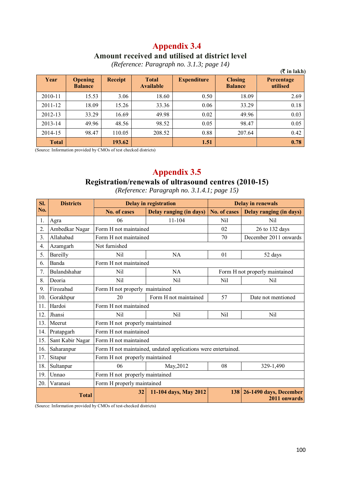#### **Appendix 3.4 Amount received and utilised at district level**

|              |                                  |         |                                  |                    |                                  | $(\overline{\mathbf{\mathcal{F}}}$ in lakh) |
|--------------|----------------------------------|---------|----------------------------------|--------------------|----------------------------------|---------------------------------------------|
| Year         | <b>Opening</b><br><b>Balance</b> | Receipt | <b>Total</b><br><b>Available</b> | <b>Expenditure</b> | <b>Closing</b><br><b>Balance</b> | Percentage<br>utilised                      |
| 2010-11      | 15.53                            | 3.06    | 18.60                            | 0.50               | 18.09                            | 2.69                                        |
| 2011-12      | 18.09                            | 15.26   | 33.36                            | 0.06               | 33.29                            | 0.18                                        |
| 2012-13      | 33.29                            | 16.69   | 49.98                            | 0.02               | 49.96                            | 0.03                                        |
| 2013-14      | 49.96                            | 48.56   | 98.52                            | 0.05               | 98.47                            | 0.05                                        |
| 2014-15      | 98.47                            | 110.05  | 208.52                           | 0.88               | 207.64                           | 0.42                                        |
| <b>Total</b> |                                  | 193.62  |                                  | 1.51               |                                  | 0.78                                        |

*(Reference: Paragraph no. 3.1.3; page 14)* 

(Source: Information provided by CMOs of test checked districts)

## **Appendix 3.5**

# **Registration/renewals of ultrasound centres (2010-15)**

*(Reference: Paragraph no. 3.1.4.1; page 15)* 

| SI. | <b>Districts</b> | <b>Delay in registration</b>   |                                                               |              | <b>Delay in renewals</b>               |  |  |
|-----|------------------|--------------------------------|---------------------------------------------------------------|--------------|----------------------------------------|--|--|
| No. |                  | No. of cases                   | Delay ranging (in days)                                       | No. of cases | <b>Delay ranging (in days)</b>         |  |  |
| 1.  | Agra             | 06                             | 11-104                                                        | Nil          | Nil                                    |  |  |
| 2.  | Ambedkar Nagar   | Form H not maintained          |                                                               | 02           | 26 to 132 days                         |  |  |
| 3.  | Allahabad        | Form H not maintained          |                                                               | 70           | December 2011 onwards                  |  |  |
| 4.  | Azamgarh         | Not furnished                  |                                                               |              |                                        |  |  |
| 5.  | Bareilly         | Nil                            | NA                                                            | 01           | 52 days                                |  |  |
| 6.  | Banda            | Form H not maintained          |                                                               |              |                                        |  |  |
| 7.  | Bulandshahar     | Nil                            | NA                                                            |              | Form H not properly maintained         |  |  |
| 8.  | Deoria           | Nil                            | Nil                                                           | Nil          | Nil                                    |  |  |
| 9.  | Firozabad        | Form H not properly maintained |                                                               |              |                                        |  |  |
| 10. | Gorakhpur        | 20                             | Form H not maintained                                         | 57           | Date not mentioned                     |  |  |
| 11. | Hardoi           | Form H not maintained          |                                                               |              |                                        |  |  |
| 12. | Jhansi           | Nil                            | Nil                                                           | Nil          | Nil                                    |  |  |
| 13. | Meerut           | Form H not properly maintained |                                                               |              |                                        |  |  |
| 14. | Pratapgarh       | Form H not maintained          |                                                               |              |                                        |  |  |
| 15. | Sant Kabir Nagar | Form H not maintained          |                                                               |              |                                        |  |  |
| 16. | Saharanpur       |                                | Form H not maintained, undated applications were entertained. |              |                                        |  |  |
| 17. | Sitapur          | Form H not properly maintained |                                                               |              |                                        |  |  |
| 18. | Sultanpur        | 06                             | May, 2012                                                     | 08           | 329-1,490                              |  |  |
| 19. | Unnao            | Form H not properly maintained |                                                               |              |                                        |  |  |
| 20. | Varanasi         | Form H properly maintained     |                                                               |              |                                        |  |  |
|     | <b>Total</b>     | 32                             | 11-104 days, May 2012                                         | 138          | 26-1490 days, December<br>2011 onwards |  |  |

(Source: Information provided by CMOs of test-checked districts)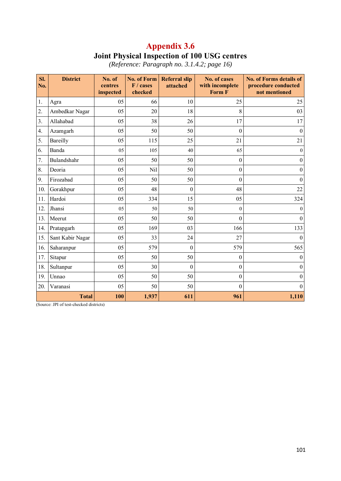## **Appendix 3.6 Joint Physical Inspection of 100 USG centres**

| SI.<br>No.       | <b>District</b>  | No. of<br>centres<br>inspected | <b>No. of Form</b><br>F / cases<br>checked | <b>Referral slip</b><br>attached | No. of cases<br>with incomplete<br>Form F | <b>No. of Forms details of</b><br>procedure conducted<br>not mentioned |
|------------------|------------------|--------------------------------|--------------------------------------------|----------------------------------|-------------------------------------------|------------------------------------------------------------------------|
| 1.               | Agra             | 05                             | 66                                         | 10                               | 25                                        | 25                                                                     |
| 2.               | Ambedkar Nagar   | 05                             | 20                                         | 18                               | 8                                         | 03                                                                     |
| $\overline{3}$ . | Allahabad        | 05                             | 38                                         | 26                               | 17                                        | 17                                                                     |
| 4.               | Azamgarh         | 05                             | 50                                         | 50                               | $\Omega$                                  | $\mathbf{0}$                                                           |
| 5.               | Bareilly         | 05                             | 115                                        | 25                               | 21                                        | 21                                                                     |
| 6.               | Banda            | 05                             | 105                                        | 40                               | 65                                        | $\theta$                                                               |
| 7.               | Bulandshahr      | 05                             | 50                                         | 50                               | $\theta$                                  | $\theta$                                                               |
| 8.               | Deoria           | 05                             | Nil                                        | 50                               | $\theta$                                  | $\boldsymbol{0}$                                                       |
| 9.               | Firozabad        | 05                             | 50                                         | 50                               | $\Omega$                                  | $\boldsymbol{0}$                                                       |
| 10.              | Gorakhpur        | 05                             | 48                                         | $\boldsymbol{0}$                 | 48                                        | 22                                                                     |
| 11.              | Hardoi           | 05                             | 334                                        | 15                               | 05                                        | 324                                                                    |
| 12.              | Jhansi           | 05                             | 50                                         | 50                               | $\theta$                                  | $\theta$                                                               |
| 13.              | Meerut           | 05                             | 50                                         | 50                               | $\theta$                                  | $\overline{0}$                                                         |
| 14.              | Pratapgarh       | 05                             | 169                                        | 03                               | 166                                       | 133                                                                    |
| 15.              | Sant Kabir Nagar | 05                             | 33                                         | 24                               | 27                                        | $\boldsymbol{0}$                                                       |
| 16.              | Saharanpur       | 05                             | 579                                        | $\boldsymbol{0}$                 | 579                                       | 565                                                                    |
| 17.              | Sitapur          | 05                             | 50                                         | 50                               | $\boldsymbol{0}$                          | $\boldsymbol{0}$                                                       |
| 18.              | Sultanpur        | 05                             | 30                                         | $\boldsymbol{0}$                 | $\theta$                                  | $\theta$                                                               |
| 19.              | Unnao            | 05                             | 50                                         | 50                               | $\boldsymbol{0}$                          | $\theta$                                                               |
| 20.              | Varanasi         | 05                             | 50                                         | 50                               | $\theta$                                  | $\theta$                                                               |
|                  | <b>Total</b>     | 100                            | 1,937                                      | 611                              | 961                                       | 1,110                                                                  |

*(Reference: Paragraph no. 3.1.4.2; page 16)* 

(Source: JPI of test-checked districts)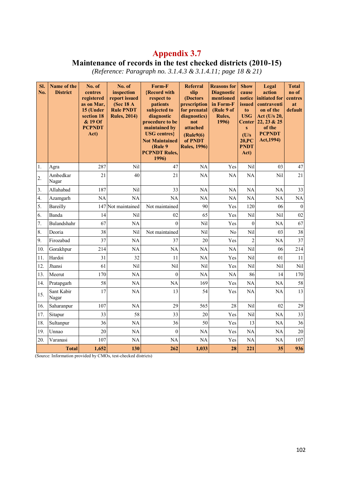#### **Maintenance of records in the test checked districts (2010-15)**

*(Reference: Paragraph no. 3.1.4.3 & 3.1.4.11; page 18 & 21)* 

| SI.<br>No.       | Name of the<br><b>District</b> | No. of<br>centres<br>registered<br>as on Mar,<br>15 (Under<br>section 18<br>& 19 Of<br><b>PCPNDT</b><br>Act) | No. of<br>inspection<br>report issued<br>(Sec 18 $A$<br><b>Rule PNDT</b><br><b>Rules, 2014)</b> | Form-F<br><b>{Record with</b><br>respect to<br>patients<br>subjected to<br>diagnostic<br>procedure to be<br>maintained by<br><b>USG</b> centres}<br><b>Not Maintained</b><br>(Rule 9)<br><b>PCPNDT Rules,</b><br>1996) | <b>Referral</b><br>slip<br>(Doctors)<br>prescription<br>for prenatal<br>diagnostics)<br>not<br>attached<br>(Rule9(6)<br>of PNDT<br><b>Rules, 1996)</b> | <b>Reasons for</b><br><b>Diagnostic</b><br>mentioned<br>in Form-F<br>(Rule 9 of<br>Rules,<br>1996) | <b>Show</b><br>cause<br>notice<br>issued<br>to<br><b>USG</b><br>Center<br>S<br>(U/s)<br>20.PC<br><b>PNDT</b><br>Act) | Legal<br>action<br>initiated for<br>contraventi<br>on of the<br>Act (U/s 20,<br>22, 23 & 25<br>of the<br><b>PCPNDT</b><br>Act, 1994) | <b>Total</b><br>no of<br>centres<br>at<br>default |
|------------------|--------------------------------|--------------------------------------------------------------------------------------------------------------|-------------------------------------------------------------------------------------------------|------------------------------------------------------------------------------------------------------------------------------------------------------------------------------------------------------------------------|--------------------------------------------------------------------------------------------------------------------------------------------------------|----------------------------------------------------------------------------------------------------|----------------------------------------------------------------------------------------------------------------------|--------------------------------------------------------------------------------------------------------------------------------------|---------------------------------------------------|
| 1.               | Agra                           | 287                                                                                                          | Nil                                                                                             | 47                                                                                                                                                                                                                     | <b>NA</b>                                                                                                                                              | Yes                                                                                                | Nil                                                                                                                  | 03                                                                                                                                   | 47                                                |
| 2.               | Ambedkar<br>Nagar              | 21                                                                                                           | 40                                                                                              | 21                                                                                                                                                                                                                     | <b>NA</b>                                                                                                                                              | NA                                                                                                 | NA                                                                                                                   | Nil                                                                                                                                  | 21                                                |
| 3.               | Allahabad                      | 187                                                                                                          | Nil                                                                                             | 33                                                                                                                                                                                                                     | NA                                                                                                                                                     | NA                                                                                                 | NA                                                                                                                   | NA                                                                                                                                   | 33                                                |
| $\overline{4}$ . | Azamgarh                       | <b>NA</b>                                                                                                    | NA                                                                                              | <b>NA</b>                                                                                                                                                                                                              | <b>NA</b>                                                                                                                                              | <b>NA</b>                                                                                          | <b>NA</b>                                                                                                            | <b>NA</b>                                                                                                                            | NA                                                |
| 5.               | Bareilly                       | 147                                                                                                          | Not maintained                                                                                  | Not maintained                                                                                                                                                                                                         | 90                                                                                                                                                     | Yes                                                                                                | 120                                                                                                                  | 06                                                                                                                                   | $\mathbf{0}$                                      |
| 6.               | Banda                          | 14                                                                                                           | Nil                                                                                             | 02                                                                                                                                                                                                                     | 65                                                                                                                                                     | Yes                                                                                                | Nil                                                                                                                  | Nil                                                                                                                                  | 02                                                |
| 7.               | Bulandshahr                    | 67                                                                                                           | NA                                                                                              | $\overline{0}$                                                                                                                                                                                                         | Nil                                                                                                                                                    | Yes                                                                                                | $\overline{0}$                                                                                                       | <b>NA</b>                                                                                                                            | 67                                                |
| 8.               | Deoria                         | 38                                                                                                           | Nil                                                                                             | Not maintained                                                                                                                                                                                                         | Nil                                                                                                                                                    | N <sub>0</sub>                                                                                     | Nil                                                                                                                  | 03                                                                                                                                   | 38                                                |
| 9.               | Firozabad                      | 37                                                                                                           | <b>NA</b>                                                                                       | 37                                                                                                                                                                                                                     | 20                                                                                                                                                     | Yes                                                                                                | $\overline{2}$                                                                                                       | <b>NA</b>                                                                                                                            | 37                                                |
| 10.              | Gorakhpur                      | 214                                                                                                          | <b>NA</b>                                                                                       | <b>NA</b>                                                                                                                                                                                                              | <b>NA</b>                                                                                                                                              | NA                                                                                                 | Nil                                                                                                                  | 06                                                                                                                                   | 214                                               |
| 11.              | Hardoi                         | 31                                                                                                           | 32                                                                                              | 11                                                                                                                                                                                                                     | <b>NA</b>                                                                                                                                              | Yes                                                                                                | Nil                                                                                                                  | 01                                                                                                                                   | 11                                                |
| 12.              | Jhansi                         | 61                                                                                                           | Nil                                                                                             | Nil                                                                                                                                                                                                                    | Nil                                                                                                                                                    | Yes                                                                                                | Nil                                                                                                                  | Nil                                                                                                                                  | Nil                                               |
| 13.              | Meerut                         | 170                                                                                                          | <b>NA</b>                                                                                       | $\boldsymbol{0}$                                                                                                                                                                                                       | NA                                                                                                                                                     | NA                                                                                                 | 86                                                                                                                   | 14                                                                                                                                   | 170                                               |
| 14.              | Pratapgarh                     | 58                                                                                                           | <b>NA</b>                                                                                       | <b>NA</b>                                                                                                                                                                                                              | 169                                                                                                                                                    | Yes                                                                                                | <b>NA</b>                                                                                                            | NA                                                                                                                                   | 58                                                |
| 15.              | Sant Kabir<br>Nagar            | 17                                                                                                           | <b>NA</b>                                                                                       | 13                                                                                                                                                                                                                     | 54                                                                                                                                                     | Yes                                                                                                | <b>NA</b>                                                                                                            | <b>NA</b>                                                                                                                            | 13                                                |
| 16.              | Saharanpur                     | 107                                                                                                          | <b>NA</b>                                                                                       | 29                                                                                                                                                                                                                     | 565                                                                                                                                                    | 28                                                                                                 | Nil                                                                                                                  | 02                                                                                                                                   | 29                                                |
| 17.              | Sitapur                        | 33                                                                                                           | 58                                                                                              | 33                                                                                                                                                                                                                     | 20                                                                                                                                                     | Yes                                                                                                | Nil                                                                                                                  | <b>NA</b>                                                                                                                            | 33                                                |
| 18.              | Sultanpur                      | 36                                                                                                           | <b>NA</b>                                                                                       | 36                                                                                                                                                                                                                     | 50                                                                                                                                                     | Yes                                                                                                | 13                                                                                                                   | NA                                                                                                                                   | 36                                                |
| 19.              | Unnao                          | 20                                                                                                           | <b>NA</b>                                                                                       | $\boldsymbol{0}$                                                                                                                                                                                                       | <b>NA</b>                                                                                                                                              | Yes                                                                                                | <b>NA</b>                                                                                                            | <b>NA</b>                                                                                                                            | 20                                                |
| 20.              | Varanasi                       | 107                                                                                                          | <b>NA</b>                                                                                       | <b>NA</b>                                                                                                                                                                                                              | <b>NA</b>                                                                                                                                              | Yes                                                                                                | <b>NA</b>                                                                                                            | <b>NA</b>                                                                                                                            | 107                                               |
|                  | <b>Total</b>                   | 1.652                                                                                                        | 130                                                                                             | 262                                                                                                                                                                                                                    | 1,033                                                                                                                                                  | 28                                                                                                 | 221                                                                                                                  | 35                                                                                                                                   | 936                                               |

(Source: Information provided by CMOs, test-checked districts)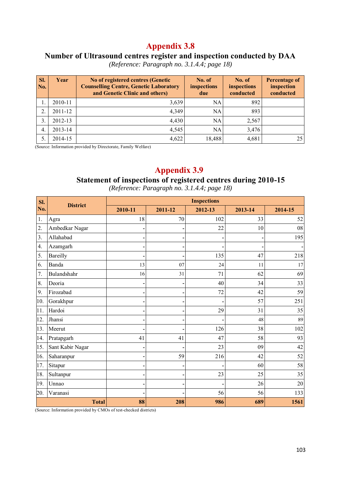#### **Number of Ultrasound centres register and inspection conducted by DAA**

*(Reference: Paragraph no. 3.1.4.4; page 18)* 

| SI.<br>No. | Year        | No of registered centres (Genetic<br><b>Counselling Centre, Genetic Laboratory</b><br>and Genetic Clinic and others) | No. of<br>inspections<br>due | No. of<br>inspections<br>conducted | <b>Percentage of</b><br>inspection<br>conducted |
|------------|-------------|----------------------------------------------------------------------------------------------------------------------|------------------------------|------------------------------------|-------------------------------------------------|
|            | 2010-11     | 3,639                                                                                                                | NA                           | 892                                |                                                 |
| 2.         | $2011 - 12$ | 4,349                                                                                                                | NA                           | 893                                |                                                 |
| 3.         | 2012-13     | 4,430                                                                                                                | NA                           | 2,567                              |                                                 |
| 4.         | 2013-14     | 4,545                                                                                                                | NA                           | 3,476                              |                                                 |
| 5.         | 2014-15     | 4,622                                                                                                                | 18,488                       | 4,681                              | 25                                              |

(Source: Information provided by Directorate, Family Welfare)

# **Appendix 3.9**

#### **Statement of inspections of registered centres during 2010-15**

*(Reference: Paragraph no. 3.1.4.4; page 18)* 

| SI.              | <b>District</b>  | <b>Inspections</b> |         |         |         |            |  |  |  |
|------------------|------------------|--------------------|---------|---------|---------|------------|--|--|--|
| No.              |                  | 2010-11            | 2011-12 | 2012-13 | 2013-14 | 2014-15    |  |  |  |
| 1.               | Agra             | 18                 | 70      | 102     | 33      | 52         |  |  |  |
| $\overline{2}$ . | Ambedkar Nagar   |                    |         | 22      | 10      | ${\bf 08}$ |  |  |  |
| 3.               | Allahabad        |                    |         |         |         | 195        |  |  |  |
| 4.               | Azamgarh         |                    |         |         |         |            |  |  |  |
| 5.               | Bareilly         |                    |         | 135     | 47      | 218        |  |  |  |
| 6.               | Banda            | 13                 | 07      | 24      | 11      | 17         |  |  |  |
| 7.               | Bulandshahr      | 16                 | 31      | 71      | 62      | 69         |  |  |  |
| 8.               | Deoria           |                    |         | 40      | 34      | 33         |  |  |  |
| 9.               | Firozabad        |                    |         | 72      | 42      | 59         |  |  |  |
| 10.              | Gorakhpur        |                    |         |         | 57      | 251        |  |  |  |
| 11.              | Hardoi           |                    |         | 29      | 31      | 35         |  |  |  |
| 12.              | Jhansi           |                    |         |         | 48      | 89         |  |  |  |
| 13.              | Meerut           |                    |         | 126     | 38      | 102        |  |  |  |
| 14.              | Pratapgarh       | 41                 | 41      | 47      | 58      | 93         |  |  |  |
| 15.              | Sant Kabir Nagar |                    |         | 23      | 09      | 42         |  |  |  |
| 16.              | Saharanpur       |                    | 59      | 216     | 42      | 52         |  |  |  |
| 17.              | Sitapur          |                    |         |         | 60      | 58         |  |  |  |
| 18.              | Sultanpur        |                    |         | 23      | 25      | 35         |  |  |  |
| 19.              | Unnao            |                    |         |         | 26      | 20         |  |  |  |
| 20.              | Varanasi         |                    |         | 56      | 56      | 133        |  |  |  |
| <b>Total</b>     |                  | 88                 | 208     | 986     | 689     | 1561       |  |  |  |

(Source: Information provided by CMOs of test-checked districts)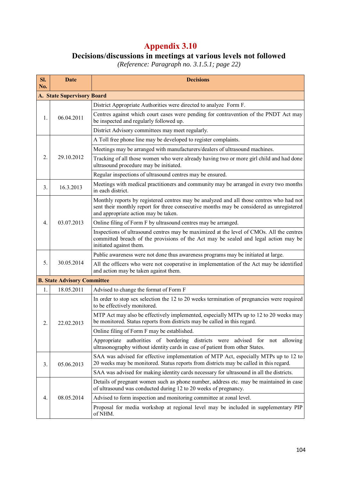# **Decisions/discussions in meetings at various levels not followed**

*(Reference: Paragraph no. 3.1.5.1; page 22)* 

| SI.<br>No.                                                        | <b>Date</b>                                                                                                                                                                                  | <b>Decisions</b>                                                                                                                                                                                                            |  |  |  |  |
|-------------------------------------------------------------------|----------------------------------------------------------------------------------------------------------------------------------------------------------------------------------------------|-----------------------------------------------------------------------------------------------------------------------------------------------------------------------------------------------------------------------------|--|--|--|--|
|                                                                   | <b>A. State Supervisory Board</b>                                                                                                                                                            |                                                                                                                                                                                                                             |  |  |  |  |
| District Appropriate Authorities were directed to analyze Form F. |                                                                                                                                                                                              |                                                                                                                                                                                                                             |  |  |  |  |
| 1.                                                                | 06.04.2011                                                                                                                                                                                   | Centres against which court cases were pending for contravention of the PNDT Act may<br>be inspected and regularly followed up.                                                                                             |  |  |  |  |
|                                                                   |                                                                                                                                                                                              | District Advisory committees may meet regularly.                                                                                                                                                                            |  |  |  |  |
|                                                                   |                                                                                                                                                                                              | A Toll free phone line may be developed to register complaints.                                                                                                                                                             |  |  |  |  |
|                                                                   |                                                                                                                                                                                              | Meetings may be arranged with manufacturers/dealers of ultrasound machines.                                                                                                                                                 |  |  |  |  |
| 2.                                                                | 29.10.2012                                                                                                                                                                                   | Tracking of all those women who were already having two or more girl child and had done<br>ultrasound procedure may be initiated.                                                                                           |  |  |  |  |
|                                                                   |                                                                                                                                                                                              | Regular inspections of ultrasound centres may be ensured.                                                                                                                                                                   |  |  |  |  |
| 3 <sub>1</sub>                                                    | 16.3.2013                                                                                                                                                                                    | Meetings with medical practitioners and community may be arranged in every two months<br>in each district.                                                                                                                  |  |  |  |  |
|                                                                   |                                                                                                                                                                                              | Monthly reports by registered centres may be analyzed and all those centres who had not<br>sent their monthly report for three consecutive months may be considered as unregistered<br>and appropriate action may be taken. |  |  |  |  |
| $\overline{4}$ .                                                  | 03.07.2013                                                                                                                                                                                   | Online filing of Form F by ultrasound centres may be arranged.                                                                                                                                                              |  |  |  |  |
|                                                                   |                                                                                                                                                                                              | Inspections of ultrasound centres may be maximized at the level of CMOs. All the centres<br>committed breach of the provisions of the Act may be sealed and legal action may be<br>initiated against them.                  |  |  |  |  |
|                                                                   |                                                                                                                                                                                              | Public awareness were not done thus awareness programs may be initiated at large.                                                                                                                                           |  |  |  |  |
| 5.                                                                | 30.05.2014                                                                                                                                                                                   | All the officers who were not cooperative in implementation of the Act may be identified<br>and action may be taken against them.                                                                                           |  |  |  |  |
|                                                                   | <b>B. State Advisory Committee</b>                                                                                                                                                           |                                                                                                                                                                                                                             |  |  |  |  |
| 1.                                                                | 18.05.2011                                                                                                                                                                                   | Advised to change the format of Form F                                                                                                                                                                                      |  |  |  |  |
|                                                                   |                                                                                                                                                                                              | In order to stop sex selection the 12 to 20 weeks termination of pregnancies were required<br>to be effectively monitored.                                                                                                  |  |  |  |  |
| 2.                                                                | 22.02.2013                                                                                                                                                                                   | MTP Act may also be effectively implemented, especially MTPs up to 12 to 20 weeks may<br>be monitored. Status reports from districts may be called in this regard.                                                          |  |  |  |  |
|                                                                   |                                                                                                                                                                                              | Online filing of Form F may be established.                                                                                                                                                                                 |  |  |  |  |
|                                                                   |                                                                                                                                                                                              | Appropriate authorities of bordering districts were advised for not allowing<br>ultrasonography without identity cards in case of patient from other States.                                                                |  |  |  |  |
| 3.                                                                | SAA was advised for effective implementation of MTP Act, especially MTPs up to 12 to<br>20 weeks may be monitored. Status reports from districts may be called in this regard.<br>05.06.2013 |                                                                                                                                                                                                                             |  |  |  |  |
|                                                                   |                                                                                                                                                                                              | SAA was advised for making identity cards necessary for ultrasound in all the districts.                                                                                                                                    |  |  |  |  |
|                                                                   |                                                                                                                                                                                              | Details of pregnant women such as phone number, address etc. may be maintained in case<br>of ultrasound was conducted during 12 to 20 weeks of pregnancy.                                                                   |  |  |  |  |
| $\overline{4}$ .                                                  | 08.05.2014                                                                                                                                                                                   | Advised to form inspection and monitoring committee at zonal level.                                                                                                                                                         |  |  |  |  |
|                                                                   |                                                                                                                                                                                              | Proposal for media workshop at regional level may be included in supplementary PIP<br>of NHM.                                                                                                                               |  |  |  |  |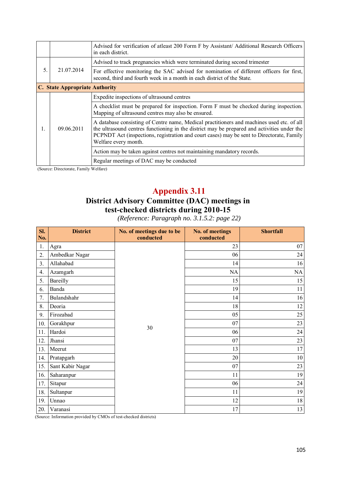|    |                                       | Advised for verification of atleast 200 Form F by Assistant/ Additional Research Officers<br>in each district.                                                                                                                                                                                                |
|----|---------------------------------------|---------------------------------------------------------------------------------------------------------------------------------------------------------------------------------------------------------------------------------------------------------------------------------------------------------------|
|    |                                       | Advised to track pregnancies which were terminated during second trimester                                                                                                                                                                                                                                    |
| 5. | 21.07.2014                            | For effective monitoring the SAC advised for nomination of different officers for first,<br>second, third and fourth week in a month in each district of the State.                                                                                                                                           |
|    | <b>C.</b> State Appropriate Authority |                                                                                                                                                                                                                                                                                                               |
|    |                                       | Expedite inspections of ultrasound centres                                                                                                                                                                                                                                                                    |
|    | 09.06.2011                            | A checklist must be prepared for inspection. Form F must be checked during inspection.<br>Mapping of ultrasound centres may also be ensured.                                                                                                                                                                  |
|    |                                       | A database consisting of Centre name, Medical practitioners and machines used etc. of all<br>the ultrasound centres functioning in the district may be prepared and activities under the<br>PCPNDT Act (inspections, registration and court cases) may be sent to Directorate, Family<br>Welfare every month. |
|    |                                       | Action may be taken against centres not maintaining mandatory records.                                                                                                                                                                                                                                        |
|    |                                       | Regular meetings of DAC may be conducted                                                                                                                                                                                                                                                                      |

(Source: Directorate, Family Welfare)

# **Appendix 3.11**

## **District Advisory Committee (DAC) meetings in test-checked districts during 2010-15**

*(Reference: Paragraph no. 3.1.5.2: page 22)* 

| SI.<br>No. | <b>District</b>  | No. of meetings due to be<br>conducted | No. of meetings<br>conducted | <b>Shortfall</b> |
|------------|------------------|----------------------------------------|------------------------------|------------------|
| 1.         | Agra             |                                        | 23                           | 07               |
| 2.         | Ambedkar Nagar   |                                        | 06                           | 24               |
| 3.         | Allahabad        |                                        | 14                           | 16               |
| 4.         | Azamgarh         |                                        | NA                           | NA               |
| 5.         | Bareilly         |                                        | 15                           | 15               |
| 6.         | Banda            |                                        | 19                           | 11               |
| 7.         | Bulandshahr      |                                        | 14                           | 16               |
| 8.         | Deoria           |                                        | 18                           | 12               |
| 9.         | Firozabad        |                                        | 05                           | 25               |
| 10.        | Gorakhpur        | 30                                     | 07                           | 23               |
| 11.        | Hardoi           |                                        | 06                           | 24               |
| 12.        | Jhansi           |                                        | 07                           | 23               |
| 13.        | Meerut           |                                        | 13                           | 17               |
| 14.        | Pratapgarh       |                                        | 20                           | $10\,$           |
| 15.        | Sant Kabir Nagar |                                        | 07                           | 23               |
| 16.        | Saharanpur       |                                        | 11                           | 19               |
| 17.        | Sitapur          |                                        | 06                           | 24               |
| 18.        | Sultanpur        |                                        | 11                           | 19               |
| 19.        | Unnao            |                                        | 12                           | 18               |
| 20.        | Varanasi         |                                        | 17                           | 13               |

(Source: Information provided by CMOs of test-checked districts)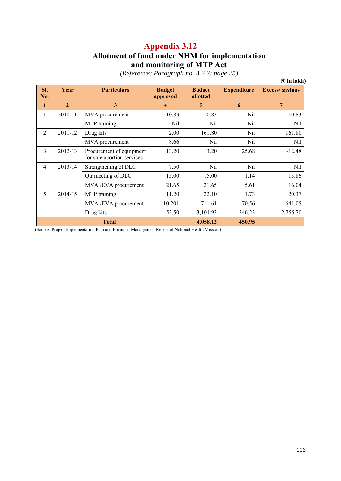## **Allotment of fund under NHM for implementation and monitoring of MTP Act**

*(Reference: Paragraph no. 3.2.2: page 25)* 

|                |                |                                                        |                           |                           |                    | $($ ₹ in lakh $)$     |
|----------------|----------------|--------------------------------------------------------|---------------------------|---------------------------|--------------------|-----------------------|
| SI.<br>No.     | Year           | <b>Particulars</b>                                     | <b>Budget</b><br>approved | <b>Budget</b><br>allotted | <b>Expenditure</b> | <b>Excess/savings</b> |
| $\mathbf{1}$   | $\overline{2}$ | 3                                                      | 4                         | 5                         | 6                  | $7\phantom{.0}$       |
| 1              | 2010-11        | MVA procurement                                        | 10.83                     | 10.83                     | Nil                | 10.83                 |
|                |                | MTP training                                           | Nil                       | Nil                       | Nil                | Nil                   |
| $\overline{2}$ | 2011-12        | Drug kits                                              | 2.00                      | 161.80                    | Nil                | 161.80                |
|                |                | MVA procurement                                        | 8.66                      | Nil                       | Nil                | Nil                   |
| $\overline{3}$ | 2012-13        | Procurement of equipment<br>for safe abortion services | 13.20                     | 13.20                     | 25.68              | $-12.48$              |
| $\overline{4}$ | 2013-14        | Strengthening of DLC                                   | 7.50                      | Nil                       | Nil                | Nil                   |
|                |                | Qtr meeting of DLC                                     | 15.00                     | 15.00                     | 1.14               | 13.86                 |
|                |                | MVA/EVA procurement                                    | 21.65                     | 21.65                     | 5.61               | 16.04                 |
| 5              | 2014-15        | MTP training                                           | 11.20                     | 22.10                     | 1.73               | 20.37                 |
|                |                | MVA /EVA procurement                                   | 10.201                    | 711.61                    | 70.56              | 641.05                |
|                |                | Drug kits                                              | 53.50                     | 3,101.93                  | 346.23             | 2,755.70              |
|                |                | <b>Total</b>                                           |                           | 4,058.12                  | 450.95             |                       |

(Source: Project Implementation Plan and Financial Management Report of National Health Mission)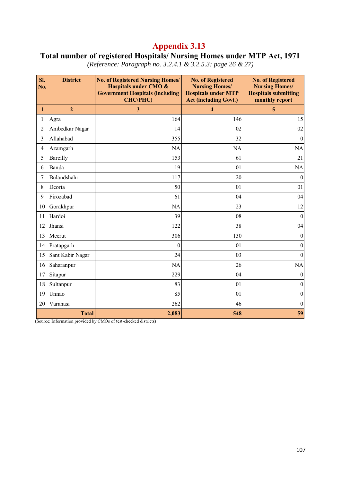# **Total number of registered Hospitals/ Nursing Homes under MTP Act, 1971**

| SI.<br>No.     | <b>District</b>  | <b>No. of Registered Nursing Homes/</b><br>Hospitals under CMO &<br><b>Government Hospitals (including</b><br><b>CHC/PHC)</b> | <b>No. of Registered</b><br><b>Nursing Homes/</b><br><b>Hospitals under MTP</b><br><b>Act (including Govt.)</b> | <b>No. of Registered</b><br><b>Nursing Homes/</b><br><b>Hospitals submitting</b><br>monthly report |
|----------------|------------------|-------------------------------------------------------------------------------------------------------------------------------|-----------------------------------------------------------------------------------------------------------------|----------------------------------------------------------------------------------------------------|
| 1              | $\overline{2}$   | 3                                                                                                                             | $\overline{\mathbf{4}}$                                                                                         | 5                                                                                                  |
| 1              | Agra             | 164                                                                                                                           | 146                                                                                                             | 15                                                                                                 |
| $\overline{2}$ | Ambedkar Nagar   | 14                                                                                                                            | 02                                                                                                              | 02                                                                                                 |
| 3              | Allahabad        | 355                                                                                                                           | 32                                                                                                              | $\boldsymbol{0}$                                                                                   |
| 4              | Azamgarh         | <b>NA</b>                                                                                                                     | <b>NA</b>                                                                                                       | <b>NA</b>                                                                                          |
| 5              | Bareilly         | 153                                                                                                                           | 61                                                                                                              | 21                                                                                                 |
| 6              | Banda            | 19                                                                                                                            | 01                                                                                                              | NA                                                                                                 |
| 7              | Bulandshahr      | 117                                                                                                                           | 20                                                                                                              | $\theta$                                                                                           |
| 8              | Deoria           | 50                                                                                                                            | 01                                                                                                              | 01                                                                                                 |
| 9              | Firozabad        | 61                                                                                                                            | 04                                                                                                              | 04                                                                                                 |
| 10             | Gorakhpur        | <b>NA</b>                                                                                                                     | 23                                                                                                              | 12                                                                                                 |
| 11             | Hardoi           | 39                                                                                                                            | 08                                                                                                              | $\theta$                                                                                           |
| 12             | Jhansi           | 122                                                                                                                           | 38                                                                                                              | 04                                                                                                 |
| 13             | Meerut           | 306                                                                                                                           | 130                                                                                                             | $\theta$                                                                                           |
| 14             | Pratapgarh       | $\overline{0}$                                                                                                                | 01                                                                                                              | $\theta$                                                                                           |
| 15             | Sant Kabir Nagar | 24                                                                                                                            | 03                                                                                                              | $\theta$                                                                                           |
| 16             | Saharanpur       | <b>NA</b>                                                                                                                     | 26                                                                                                              | <b>NA</b>                                                                                          |
| 17             | Sitapur          | 229                                                                                                                           | 04                                                                                                              | $\theta$                                                                                           |
| 18             | Sultanpur        | 83                                                                                                                            | 01                                                                                                              | $\boldsymbol{0}$                                                                                   |
| 19             | Unnao            | 85                                                                                                                            | 01                                                                                                              | $\boldsymbol{0}$                                                                                   |
| 20             | Varanasi         | 262                                                                                                                           | 46                                                                                                              | $\mathbf{0}$                                                                                       |
|                | <b>Total</b>     | 2,083                                                                                                                         | 548                                                                                                             | 59                                                                                                 |

*(Reference: Paragraph no. 3.2.4.1 & 3.2.5.3: page 26 & 27)* 

(Source: Information provided by CMOs of test-checked districts)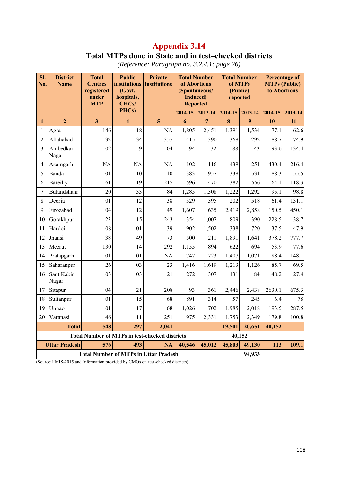# **Total MTPs done in State and in test–checked districts**

| SI.<br>No.     | <b>District</b><br><b>Name</b> | <b>Total</b><br><b>Centres</b><br>registered<br>under<br><b>MTP</b> | <b>Public</b><br><b>institutions</b><br>(Govt.<br>hospitals,<br>CHCs/ | Private<br>institutions | <b>Total Number</b><br>of Abortions<br>(Spontaneous/<br><b>Induced</b> )<br><b>Reported</b> |                | <b>Total Number</b><br>of MTPs<br>(Public)<br>reported |         | <b>Percentage of</b><br><b>MTPs (Public)</b><br>to Abortions |         |
|----------------|--------------------------------|---------------------------------------------------------------------|-----------------------------------------------------------------------|-------------------------|---------------------------------------------------------------------------------------------|----------------|--------------------------------------------------------|---------|--------------------------------------------------------------|---------|
|                |                                |                                                                     | PHCs)                                                                 |                         | 2014-15                                                                                     | 2013-14        | 2014-15                                                | 2013-14 | 2014-15                                                      | 2013-14 |
| 1              | $\overline{2}$                 | $\overline{\mathbf{3}}$                                             | $\overline{\mathbf{4}}$                                               | 5                       | 6                                                                                           | $\overline{7}$ | 8                                                      | 9       | 10                                                           | 11      |
| 1              | Agra                           | 146                                                                 | 18                                                                    | <b>NA</b>               | 1,805                                                                                       | 2,451          | 1,391                                                  | 1,534   | 77.1                                                         | 62.6    |
| $\overline{2}$ | Allahabad                      | 32                                                                  | 34                                                                    | 355                     | 415                                                                                         | 390            | 368                                                    | 292     | 88.7                                                         | 74.9    |
| 3              | Ambedkar<br>Nagar              | 02                                                                  | 9                                                                     | 04                      | 94                                                                                          | 32             | 88                                                     | 43      | 93.6                                                         | 134.4   |
| 4              | Azamgarh                       | NA                                                                  | <b>NA</b>                                                             | NA                      | 102                                                                                         | 116            | 439                                                    | 251     | 430.4                                                        | 216.4   |
| 5              | Banda                          | 01                                                                  | 10                                                                    | 10                      | 383                                                                                         | 957            | 338                                                    | 531     | 88.3                                                         | 55.5    |
| 6              | Bareilly                       | 61                                                                  | 19                                                                    | 215                     | 596                                                                                         | 470            | 382                                                    | 556     | 64.1                                                         | 118.3   |
| 7              | Bulandshahr                    | 20                                                                  | 33                                                                    | 84                      | 1,285                                                                                       | 1,308          | 1,222                                                  | 1,292   | 95.1                                                         | 98.8    |
| 8              | Deoria                         | 0 <sub>1</sub>                                                      | 12                                                                    | 38                      | 329                                                                                         | 395            | 202                                                    | 518     | 61.4                                                         | 131.1   |
| 9              | Firozabad                      | 04                                                                  | 12                                                                    | 49                      | 1,607                                                                                       | 635            | 2,419                                                  | 2,858   | 150.5                                                        | 450.1   |
| 10             | Gorakhpur                      | 23                                                                  | 15                                                                    | 243                     | 354                                                                                         | 1,007          | 809                                                    | 390     | 228.5                                                        | 38.7    |
| 11             | Hardoi                         | 08                                                                  | 01                                                                    | 39                      | 902                                                                                         | 1,502          | 338                                                    | 720     | 37.5                                                         | 47.9    |
| 12             | Jhansi                         | 38                                                                  | 49                                                                    | 73                      | 500                                                                                         | 211            | 1,891                                                  | 1,641   | 378.2                                                        | 777.7   |
| 13             | Meerut                         | 130                                                                 | 14                                                                    | 292                     | 1,155                                                                                       | 894            | 622                                                    | 694     | 53.9                                                         | 77.6    |
| 14             | Pratapgarh                     | 01                                                                  | 01                                                                    | <b>NA</b>               | 747                                                                                         | 723            | 1,407                                                  | 1,071   | 188.4                                                        | 148.1   |
| 15             | Saharanpur                     | 26                                                                  | 03                                                                    | 23                      | 1,416                                                                                       | 1,619          | 1,213                                                  | 1,126   | 85.7                                                         | 69.5    |
| 16             | Sant Kabir<br>Nagar            | 03                                                                  | 03                                                                    | 21                      | 272                                                                                         | 307            | 131                                                    | 84      | 48.2                                                         | 27.4    |
| 17             | Sitapur                        | 04                                                                  | 21                                                                    | 208                     | 93                                                                                          | 361            | 2,446                                                  | 2,438   | 2630.1                                                       | 675.3   |
| 18             | Sultanpur                      | 0 <sub>1</sub>                                                      | 15                                                                    | 68                      | 891                                                                                         | 314            | 57                                                     | 245     | 6.4                                                          | 78      |
| 19             | Unnao                          | 01                                                                  | 17                                                                    | 68                      | 1,026                                                                                       | 702            | 1,985                                                  | 2,018   | 193.5                                                        | 287.5   |
| 20             | Varanasi                       | 46                                                                  | 11                                                                    | 251                     | 975                                                                                         | 2,331          | 1,753                                                  | 2,349   | 179.8                                                        | 100.8   |
|                | <b>Total</b>                   | 548                                                                 | 297                                                                   | 2,041                   |                                                                                             |                | 19,501                                                 | 20,651  | 40,152                                                       |         |
|                |                                |                                                                     | <b>Total Number of MTPs in test-checked districts</b>                 |                         |                                                                                             |                |                                                        | 40,152  |                                                              |         |
|                | <b>Uttar Pradesh</b>           | 576                                                                 | 493                                                                   | <b>NA</b>               | 40,546                                                                                      | 45,012         | 45,803                                                 | 49,130  | 113                                                          | 109.1   |
|                |                                | <b>Total Number of MTPs in Uttar Pradesh</b>                        |                                                                       | 94,933                  |                                                                                             |                |                                                        |         |                                                              |         |

*(Reference: Paragraph no. 3.2.4.1: page 26)* 

(Source:HMIS-2015 and Information provided by CMOs of test-checked districts)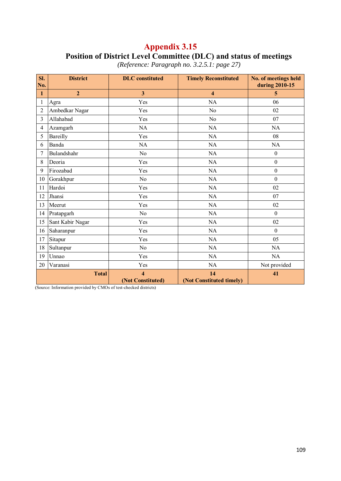## **Appendix 3.15 Position of District Level Committee (DLC) and status of meetings**

| SI.<br>No.   | <b>District</b>                                                                                                                                                                                                                                                                                                                                                                                             | <b>DLC</b> constituted                                                   | <b>Timely Reconstituted</b>    | No. of meetings held<br>during 2010-15 |
|--------------|-------------------------------------------------------------------------------------------------------------------------------------------------------------------------------------------------------------------------------------------------------------------------------------------------------------------------------------------------------------------------------------------------------------|--------------------------------------------------------------------------|--------------------------------|----------------------------------------|
| $\mathbf{1}$ | $\overline{2}$                                                                                                                                                                                                                                                                                                                                                                                              | $\overline{\mathbf{3}}$                                                  | 4                              | 5                                      |
| 1            | Agra                                                                                                                                                                                                                                                                                                                                                                                                        | Yes                                                                      | <b>NA</b>                      | 06                                     |
| 2            | Ambedkar Nagar                                                                                                                                                                                                                                                                                                                                                                                              | Yes                                                                      | N <sub>0</sub>                 | 02                                     |
| 3            | Allahabad                                                                                                                                                                                                                                                                                                                                                                                                   | Yes                                                                      | N <sub>0</sub>                 | 07                                     |
| 4            | Azamgarh                                                                                                                                                                                                                                                                                                                                                                                                    | <b>NA</b>                                                                | <b>NA</b>                      | <b>NA</b>                              |
| 5            | Bareilly                                                                                                                                                                                                                                                                                                                                                                                                    | Yes                                                                      | NA                             | 08                                     |
| 6            | Banda                                                                                                                                                                                                                                                                                                                                                                                                       | <b>NA</b>                                                                | <b>NA</b>                      | <b>NA</b>                              |
| 7            | Bulandshahr                                                                                                                                                                                                                                                                                                                                                                                                 | N <sub>0</sub>                                                           | <b>NA</b>                      | $\boldsymbol{0}$                       |
| 8            | Deoria                                                                                                                                                                                                                                                                                                                                                                                                      | Yes                                                                      | <b>NA</b>                      | $\boldsymbol{0}$                       |
| 9            | Firozabad                                                                                                                                                                                                                                                                                                                                                                                                   | Yes                                                                      | NA                             | $\boldsymbol{0}$                       |
| 10           | Gorakhpur                                                                                                                                                                                                                                                                                                                                                                                                   | N <sub>0</sub>                                                           | <b>NA</b>                      | $\boldsymbol{0}$                       |
| 11           | Hardoi                                                                                                                                                                                                                                                                                                                                                                                                      | Yes                                                                      | <b>NA</b>                      | 02                                     |
| 12           | Jhansi                                                                                                                                                                                                                                                                                                                                                                                                      | Yes                                                                      | <b>NA</b>                      | 07                                     |
| 13           | Meerut                                                                                                                                                                                                                                                                                                                                                                                                      | Yes                                                                      | NA                             | 02                                     |
| 14           | Pratapgarh                                                                                                                                                                                                                                                                                                                                                                                                  | N <sub>0</sub>                                                           | <b>NA</b>                      | $\boldsymbol{0}$                       |
| 15           | Sant Kabir Nagar                                                                                                                                                                                                                                                                                                                                                                                            | Yes                                                                      | <b>NA</b>                      | 02                                     |
| 16           | Saharanpur                                                                                                                                                                                                                                                                                                                                                                                                  | Yes                                                                      | NA                             | $\mathbf{0}$                           |
| 17           | Sitapur                                                                                                                                                                                                                                                                                                                                                                                                     | Yes                                                                      | <b>NA</b>                      | 05                                     |
| 18           | Sultanpur                                                                                                                                                                                                                                                                                                                                                                                                   | N <sub>0</sub>                                                           | <b>NA</b>                      | <b>NA</b>                              |
| 19           | Unnao                                                                                                                                                                                                                                                                                                                                                                                                       | Yes                                                                      | NA                             | <b>NA</b>                              |
| 20           | Varanasi                                                                                                                                                                                                                                                                                                                                                                                                    | Yes                                                                      | <b>NA</b>                      | Not provided                           |
|              | <b>Total</b><br>$\mathbf{r}$ $\mathbf{r}$<br><b>Contract Contract</b><br>$\mathbf{1}$ $\mathbf{1}$ $\mathbf{1}$ $\mathbf{1}$ $\mathbf{1}$ $\mathbf{1}$ $\mathbf{1}$ $\mathbf{1}$ $\mathbf{1}$ $\mathbf{1}$ $\mathbf{1}$ $\mathbf{1}$ $\mathbf{1}$ $\mathbf{1}$ $\mathbf{1}$ $\mathbf{1}$ $\mathbf{1}$ $\mathbf{1}$ $\mathbf{1}$ $\mathbf{1}$ $\mathbf{1}$ $\mathbf{1}$ $\mathbf{1}$ $\mathbf{1}$ $\mathbf{$ | $\overline{\mathbf{4}}$<br>(Not Constituted)<br>$-1$ $-1$ $-1$ $-1$ $-1$ | 14<br>(Not Constituted timely) | 41                                     |

*(Reference: Paragraph no. 3.2.5.1: page 27)* 

(Source: Information provided by CMOs of test-checked districts)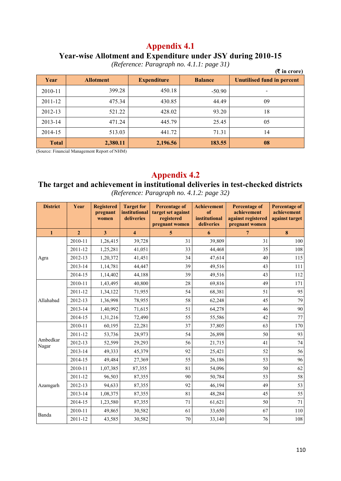#### **Year-wise Allotment and Expenditure under JSY during 2010-15**

*(Reference: Paragraph no. 4.1.1: page 31)*

|              |                  | $\cdot$            | $\mathbf{I}$<br>$\overline{\phantom{a}}$<br>$\overline{\phantom{a}}$ | $($ ₹ in crore)                   |
|--------------|------------------|--------------------|----------------------------------------------------------------------|-----------------------------------|
| Year         | <b>Allotment</b> | <b>Expenditure</b> | <b>Balance</b>                                                       | <b>Unutilised fund in percent</b> |
| 2010-11      | 399.28           | 450.18             | $-50.90$                                                             |                                   |
| 2011-12      | 475.34           | 430.85             | 44.49                                                                | 09                                |
| 2012-13      | 521.22           | 428.02             | 93.20                                                                | 18                                |
| 2013-14      | 471.24           | 445.79             | 25.45                                                                | 05                                |
| 2014-15      | 513.03           | 441.72             | 71.31                                                                | 14                                |
| <b>Total</b> | 2,380.11         | 2,196.56           | 183.55                                                               | 08                                |

(Source: Financial Management Report of NHM)

## **Appendix 4.2**

#### **The target and achievement in institutional deliveries in test-checked districts**  *(Reference: Paragraph no. 4.1.2: page 32)*

| <b>District</b>   | Year           | <b>Registered</b><br>pregnant<br>women | <b>Target for</b><br>institutional<br>deliveries | <b>Percentage of</b><br>target set against<br>registered<br>pregnant women | <b>Achievement</b><br>of<br>institutional<br>deliveries | <b>Percentage of</b><br>achievement<br>against registered<br>pregnant women | <b>Percentage of</b><br>achievement<br>against target |
|-------------------|----------------|----------------------------------------|--------------------------------------------------|----------------------------------------------------------------------------|---------------------------------------------------------|-----------------------------------------------------------------------------|-------------------------------------------------------|
| $\mathbf{1}$      | $\overline{2}$ | $\mathbf{3}$                           | $\overline{\bf{4}}$                              | 5                                                                          | 6                                                       | $7\overline{ }$                                                             | 8                                                     |
|                   | 2010-11        | 1,26,415                               | 39,728                                           | 31                                                                         | 39,809                                                  | 31                                                                          | 100                                                   |
|                   | 2011-12        | 1,25,281                               | 41,051                                           | 33                                                                         | 44,468                                                  | 35                                                                          | 108                                                   |
| Agra              | 2012-13        | 1,20,372                               | 41,451                                           | 34                                                                         | 47,614                                                  | 40                                                                          | 115                                                   |
|                   | 2013-14        | 1,14,781                               | 44,447                                           | 39                                                                         | 49,516                                                  | 43                                                                          | 111                                                   |
|                   | 2014-15        | 1,14,402                               | 44,188                                           | 39                                                                         | 49,516                                                  | 43                                                                          | 112                                                   |
|                   | 2010-11        | 1,43,495                               | 40,800                                           | 28                                                                         | 69,816                                                  | 49                                                                          | 171                                                   |
|                   | 2011-12        | 1,34,122                               | 71,955                                           | 54                                                                         | 68,381                                                  | 51                                                                          | 95                                                    |
| Allahabad         | 2012-13        | 1,36,998                               | 78,955                                           | 58                                                                         | 62,248                                                  | 45                                                                          | 79                                                    |
|                   | 2013-14        | 1,40,992                               | 71,615                                           | 51                                                                         | 64,278                                                  | 46                                                                          | 90                                                    |
|                   | 2014-15        | 1,31,216                               | 72,490                                           | 55                                                                         | 55,586                                                  | 42                                                                          | 77                                                    |
|                   | 2010-11        | 60,195                                 | 22,281                                           | 37                                                                         | 37,805                                                  | 63                                                                          | 170                                                   |
|                   | 2011-12        | 53,736                                 | 28,973                                           | 54                                                                         | 26,898                                                  | 50                                                                          | 93                                                    |
| Ambedkar<br>Nagar | 2012-13        | 52,599                                 | 29,293                                           | 56                                                                         | 21,715                                                  | 41                                                                          | 74                                                    |
|                   | 2013-14        | 49,333                                 | 45,379                                           | 92                                                                         | 25,421                                                  | 52                                                                          | 56                                                    |
|                   | 2014-15        | 49,484                                 | 27,369                                           | 55                                                                         | 26,186                                                  | 53                                                                          | 96                                                    |
|                   | 2010-11        | 1,07,385                               | 87,355                                           | 81                                                                         | 54,096                                                  | 50                                                                          | 62                                                    |
|                   | 2011-12        | 96,503                                 | 87,355                                           | 90                                                                         | 50,784                                                  | 53                                                                          | 58                                                    |
| Azamgarh          | 2012-13        | 94,633                                 | 87,355                                           | 92                                                                         | 46,194                                                  | 49                                                                          | 53                                                    |
|                   | 2013-14        | 1,08,375                               | 87,355                                           | 81                                                                         | 48,284                                                  | 45                                                                          | 55                                                    |
|                   | 2014-15        | 1,23,580                               | 87,355                                           | 71                                                                         | 61,621                                                  | 50                                                                          | 71                                                    |
| Banda             | 2010-11        | 49,865                                 | 30,582                                           | 61                                                                         | 33,650                                                  | 67                                                                          | 110                                                   |
|                   | 2011-12        | 43,585                                 | 30,582                                           | 70                                                                         | 33,140                                                  | 76                                                                          | 108                                                   |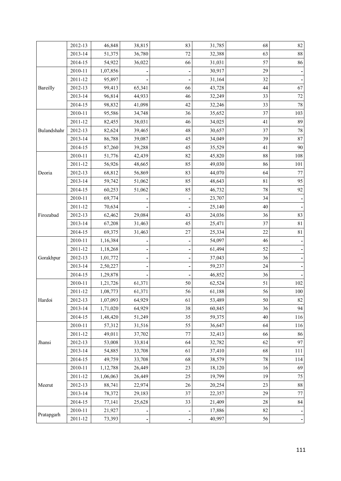|             | 2012-13     | 46,848   | 38,815 | 83 | 31,785 | 68       | $82\,$   |
|-------------|-------------|----------|--------|----|--------|----------|----------|
|             | 2013-14     | 51,375   | 36,780 | 72 | 32,388 | 63       | $\bf 88$ |
|             | 2014-15     | 54,922   | 36,022 | 66 | 31,031 | 57       | 86       |
|             | 2010-11     | 1,07,856 |        |    | 30,917 | 29       |          |
|             | 2011-12     | 95,897   |        |    | 31,164 | 32       |          |
| Bareilly    | 2012-13     | 99,413   | 65,341 | 66 | 43,728 | 44       | 67       |
|             | 2013-14     | 96,814   | 44,933 | 46 | 32,249 | 33       | $72\,$   |
|             | 2014-15     | 98,832   | 41,098 | 42 | 32,246 | 33       | 78       |
|             | 2010-11     | 95,586   | 34,748 | 36 | 35,652 | 37       | 103      |
|             | 2011-12     | 82,455   | 38,031 | 46 | 34,025 | 41       | 89       |
| Bulandshahr | 2012-13     | 82,624   | 39,465 | 48 | 30,657 | 37       | $78\,$   |
|             | 2013-14     | 86,788   | 39,087 | 45 | 34,049 | 39       | 87       |
|             | 2014-15     | 87,260   | 39,288 | 45 | 35,529 | 41       | 90       |
|             | 2010-11     | 51,776   | 42,439 | 82 | 45,820 | $\bf 88$ | 108      |
|             | 2011-12     | 56,926   | 48,665 | 85 | 49,030 | 86       | 101      |
| Deoria      | 2012-13     | 68,812   | 56,869 | 83 | 44,070 | 64       | $77 \,$  |
|             | 2013-14     | 59,742   | 51,062 | 85 | 48,643 | 81       | 95       |
|             | 2014-15     | 60,253   | 51,062 | 85 | 46,732 | 78       | 92       |
|             | $2010 - 11$ | 69,774   |        |    | 23,707 | 34       |          |
|             | 2011-12     | 70,634   |        |    | 25,140 | 40       |          |
| Firozabad   | 2012-13     | 62,462   | 29,084 | 43 | 24,036 | 36       | 83       |
|             | 2013-14     | 67,208   | 31,463 | 45 | 25,471 | 37       | 81       |
|             | 2014-15     | 69,375   | 31,463 | 27 | 25,334 | 22       | 81       |
|             | 2010-11     | 1,16,384 |        |    | 54,097 | 46       |          |
|             | 2011-12     | 1,18,268 |        |    | 61,494 | 52       |          |
| Gorakhpur   | 2012-13     | 1,01,772 |        |    | 37,043 | 36       |          |
|             | 2013-14     | 2,50,227 |        |    | 59,237 | 24       |          |
|             | 2014-15     | 1,29,878 |        |    | 46,852 | 36       |          |
|             | 2010-11     | 1,21,726 | 61,371 | 50 | 62,524 | 51       | 102      |
|             | 2011-12     | 1,08,773 | 61,371 | 56 | 61,188 | 56       | $100\,$  |
| Hardoi      | 2012-13     | 1,07,093 | 64,929 | 61 | 53,489 | 50       | 82       |
|             | 2013-14     | 1,71,020 | 64,929 | 38 | 60,845 | 36       | 94       |
|             | 2014-15     | 1,48,420 | 51,249 | 35 | 59,375 | 40       | 116      |
|             | $2010 - 11$ | 57,312   | 31,516 | 55 | 36,647 | 64       | 116      |
|             | 2011-12     | 49,011   | 37,702 | 77 | 32,413 | 66       | 86       |
| Jhansi      | 2012-13     | 53,008   | 33,814 | 64 | 32,782 | 62       | 97       |
|             | 2013-14     | 54,885   | 33,708 | 61 | 37,410 | 68       | 111      |
|             | 2014-15     | 49,759   | 33,708 | 68 | 38,579 | $78\,$   | 114      |
|             | 2010-11     | 1,12,788 | 26,449 | 23 | 18,120 | 16       | 69       |
|             | $2011 - 12$ | 1,06,063 | 26,449 | 25 | 19,799 | 19       | 75       |
| Meerut      | 2012-13     | 88,741   | 22,974 | 26 | 20,254 | 23       | $\bf 88$ |
|             | 2013-14     | 78,372   | 29,183 | 37 | 22,357 | 29       | 77       |
|             | 2014-15     | 77,141   | 25,628 | 33 | 21,409 | $28\,$   | 84       |
|             | $2010 - 11$ | 21,927   |        |    | 17,886 | 82       |          |
| Pratapgarh  | 2011-12     | 73,393   |        |    | 40,997 | 56       |          |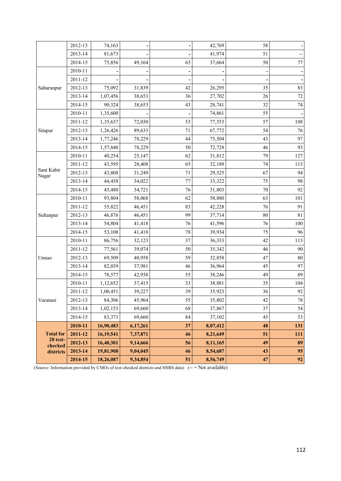|                     | 2012-13 | 74,163      |          |    | 42,769   | 58     |         |
|---------------------|---------|-------------|----------|----|----------|--------|---------|
|                     | 2013-14 | 81,673      |          |    | 41,974   | 51     |         |
|                     | 2014-15 | 75,856      | 49,164   | 65 | 37,664   | 50     | $77 \,$ |
|                     | 2010-11 |             |          |    |          |        |         |
|                     | 2011-12 |             |          |    |          |        |         |
| Saharanpur          | 2012-13 | 75,092      | 31,839   | 42 | 26,295   | 35     | 83      |
|                     | 2013-14 | 1,07,456    | 38,653   | 36 | 27,702   | 26     | 72      |
|                     | 2014-15 | 90,324      | 38,653   | 43 | 28,741   | 32     | 74      |
|                     | 2010-11 | 1,35,600    |          |    | 74,861   | 55     |         |
|                     | 2011-12 | 1,35,637    | 72,030   | 53 | 77,553   | 57     | 108     |
| Sitapur             | 2012-13 | 1,26,426    | 89,633   | 71 | 67,772   | 54     | 76      |
|                     | 2013-14 | 1,77,246    | 78,229   | 44 | 75,504   | 43     | 97      |
|                     | 2014-15 | 1,57,840    | 78,229   | 50 | 72,728   | 46     | 93      |
|                     | 2010-11 | 40,254      | 25,147   | 62 | 31,812   | 79     | 127     |
| Sant Kabir<br>Nagar | 2011-12 | 43,595      | 28,408   | 65 | 32,189   | 74     | 113     |
|                     | 2012-13 | 43,808      | 31,249   | 71 | 29,525   | 67     | 94      |
|                     | 2013-14 | 44,458      | 34,022   | 77 | 33,322   | 75     | 98      |
|                     | 2014-15 | 45,480      | 34,721   | 76 | 31,803   | $70\,$ | 92      |
|                     | 2010-11 | 93,804      | 58,068   | 62 | 58,880   | 63     | 101     |
|                     | 2011-12 | 55,822      | 46,451   | 83 | 42,228   | 76     | 91      |
| Sultanpur           | 2012-13 | 46,876      | 46,451   | 99 | 37,714   | 80     | 81      |
|                     | 2013-14 | 54,804      | 41,418   | 76 | 41,596   | 76     | 100     |
|                     | 2014-15 | 53,108      | 41,418   | 78 | 39,934   | 75     | 96      |
|                     | 2010-11 | 86,756      | 32,123   | 37 | 36,333   | 42     | 113     |
|                     | 2011-12 | 77,561      | 39,074   | 50 | 35,342   | 46     | 90      |
| Unnao               | 2012-13 | 69,509      | 40,958   | 59 | 32,858   | 47     | 80      |
|                     | 2013-14 | 82,039      | 37,981   | 46 | 36,964   | 45     | 97      |
|                     | 2014-15 | 78,577      | 42,938   | 55 | 38,246   | 49     | 89      |
|                     | 2010-11 | 1,12,652    | 37,415   | 33 | 38,881   | 35     | 104     |
|                     | 2011-12 | 1,00,451    | 39,227   | 39 | 35,923   | 36     | 92      |
| Varanasi            | 2012-13 | 84,306      | 45,964   | 55 | 35,802   | 42     | $78\,$  |
|                     | 2013-14 | 1,02,153    | 69,660   | 68 | 37,867   | 37     | 54      |
|                     | 2014-15 | 83,371      | 69,660   | 84 | 37,102   | 45     | 53      |
|                     | 2010-11 | 16,90,483   | 6,17,261 | 37 | 8,07,412 | 48     | 131     |
| <b>Total for</b>    | 2011-12 | 16, 19, 541 | 7,37,871 | 46 | 8,21,649 | 51     | 111     |
| 20 test-<br>checked | 2012-13 | 16,40,301   | 9,14,666 | 56 | 8,11,165 | 49     | 89      |
| districts           | 2013-14 | 19,81,908   | 9,04,045 | 46 | 8,54,687 | 43     | 95      |
|                     | 2014-15 | 18,26,087   | 9,34,854 | 51 | 8,56,749 | 47     | 92      |

(Source: Information provided by CMOs of test-checked districts and HMIS data) (-- = Not available)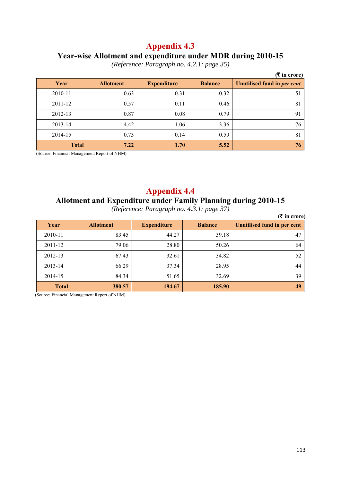#### **Year-wise Allotment and expenditure under MDR during 2010-15**

*(Reference: Paragraph no. 4.2.1: page 35)* 

|              |                  |                    |                | $($ ₹ in crore)             |
|--------------|------------------|--------------------|----------------|-----------------------------|
| Year         | <b>Allotment</b> | <b>Expenditure</b> | <b>Balance</b> | Unutilised fund in per cent |
| 2010-11      | 0.63             | 0.31               | 0.32           | 51                          |
| 2011-12      | 0.57             | 0.11               | 0.46           | 81                          |
| 2012-13      | 0.87             | 0.08               | 0.79           | 91                          |
| 2013-14      | 4.42             | 1.06               | 3.36           | 76                          |
| 2014-15      | 0.73             | 0.14               | 0.59           | 81                          |
| <b>Total</b> | 7.22             | 1.70               | 5.52           | 76                          |

(Source: Financial Management Report of NHM)

#### **Appendix 4.4**

#### **Allotment and Expenditure under Family Planning during 2010-15**

*(Reference: Paragraph no. 4.3.1: page 37)* 

|              |                  | $\sim$             | $\sim$         | $(5 \infty)$ in crore)             |
|--------------|------------------|--------------------|----------------|------------------------------------|
| Year         | <b>Allotment</b> | <b>Expenditure</b> | <b>Balance</b> | <b>Unutilised fund in per cent</b> |
| 2010-11      | 83.45            | 44.27              | 39.18          | 47                                 |
| 2011-12      | 79.06            | 28.80              | 50.26          | 64                                 |
| 2012-13      | 67.43            | 32.61              | 34.82          | 52                                 |
| 2013-14      | 66.29            | 37.34              | 28.95          | 44                                 |
| 2014-15      | 84.34            | 51.65              | 32.69          | 39                                 |
| <b>Total</b> | 380.57           | 194.67             | 185.90         | 49                                 |

(Source: Financial Management Report of NHM)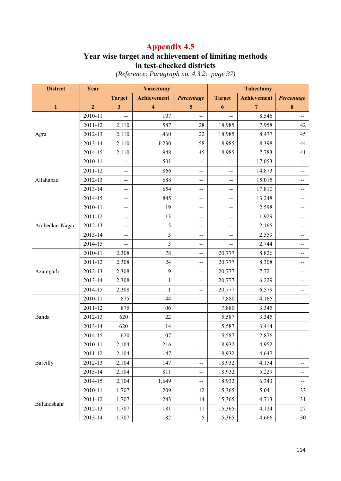## **Year wise target and achievement of limiting methods in test-checked districts**

| <b>District</b> | Year           | <b>Vasectomy</b>        |                         | <b>Tubectomy</b> |                |                    |                          |
|-----------------|----------------|-------------------------|-------------------------|------------------|----------------|--------------------|--------------------------|
|                 |                | <b>Target</b>           | <b>Achievement</b>      | Percentage       | <b>Target</b>  | <b>Achievement</b> | Percentage               |
| $\mathbf{1}$    | $\overline{2}$ | $\overline{\mathbf{3}}$ | $\overline{\mathbf{4}}$ | 5                | 6              | $\overline{7}$     | $\boldsymbol{8}$         |
|                 | 2010-11        | --                      | 107                     | --               | $-$            | 8,546              |                          |
|                 | 2011-12        | 2,110                   | 587                     | 28               | 18,985         | 7,958              | 42                       |
| Agra            | 2012-13        | 2,110                   | 460                     | 22               | 18,985         | 8,477              | 45                       |
|                 | 2013-14        | 2,110                   | 1,230                   | 58               | 18,985         | 8,398              | 44                       |
|                 | 2014-15        | 2,110                   | 948                     | 45               | 18,985         | 7,783              | 41                       |
|                 | 2010-11        | $-$                     | 501                     | $-$              |                | 17,053             | $-$                      |
|                 | 2011-12        | $-$                     | 866                     | $-$              | $-$            | 14,873             | --                       |
| Allahabad       | 2012-13        | --                      | 688                     | $-$              | $-$            | 15,015             | $\overline{\phantom{m}}$ |
|                 | 2013-14        | $-$                     | 654                     | $-$              | $\overline{a}$ | 17,810             |                          |
|                 | 2014-15        | $-$                     | 845                     | --               | --             | 13,248             |                          |
|                 | 2010-11        | --                      | 19                      | $-$              | $-$            | 2,598              | $\overline{\phantom{m}}$ |
|                 | 2011-12        | $-$                     | 13                      | $-$              | $-$            | 1,929              | --                       |
| Ambedkar Nagar  | 2012-13        | $-$                     | 5                       | --               | $-$            | 2,165              |                          |
|                 | 2013-14        | --                      | 3                       | $-$              | $-$            | 2,559              | $\overline{\phantom{m}}$ |
|                 | 2014-15        | --                      | 3                       | --               | --             | 2,744              |                          |
|                 | 2010-11        | 2,308                   | 78                      | --               | 20,777         | 8,826              | --                       |
|                 | 2011-12        | 2,308                   | 24                      | $-$              | 20,777         | 8,308              | $-$                      |
| Azamgarh        | 2012-13        | 2,308                   | 9                       | --               | 20,777         | 7,721              |                          |
|                 | 2013-14        | 2,308                   | $\mathbf{1}$            | --               | 20,777         | 6,229              |                          |
|                 | 2014-15        | 2,308                   | 1                       | $-$              | 20,777         | 6,579              | $-$                      |
|                 | 2010-11        | 875                     | 44                      |                  | 7,880          | 4,165              |                          |
|                 | 2011-12        | 875                     | 06                      |                  | 7,880          | 3,345              |                          |
| Banda           | 2012-13        | 620                     | 22                      |                  | 5,587          | 3,345              |                          |
|                 | 2013-14        | 620                     | 14                      |                  | 5,587          | 3,414              |                          |
|                 | 2014-15        | 620                     | 07                      |                  | 5,587          | 2,876              |                          |
|                 | 2010-11        | 2,104                   | 216                     | $\overline{a}$   | 18,932         | 4,952              | $\overline{\phantom{m}}$ |
|                 | 2011-12        | 2,104                   | 147                     | --               | 18,932         | 4,647              | --                       |
| Bareilly        | 2012-13        | 2,104                   | 147                     | --               | 18,932         | 4,154              | $\overline{\phantom{m}}$ |
|                 | 2013-14        | 2,104                   | 811                     | --               | 18,932         | 5,229              | --                       |
|                 | 2014-15        | 2,104                   | 1,649                   | --               | 18,932         | 6,343              |                          |
|                 | 2010-11        | 1,707                   | 209                     | 12               | 15,365         | 5,041              | 33                       |
| Bulandshahr     | 2011-12        | 1,707                   | 243                     | 14               | 15,365         | 4,713              | 31                       |
|                 | 2012-13        | 1,707                   | 181                     | 11               | 15,365         | 4,124              | $27\,$                   |
|                 | 2013-14        | 1,707                   | 82                      | 5                | 15,365         | 4,666              | 30                       |

*(Reference: Paragraph no. 4.3.2: page 37)*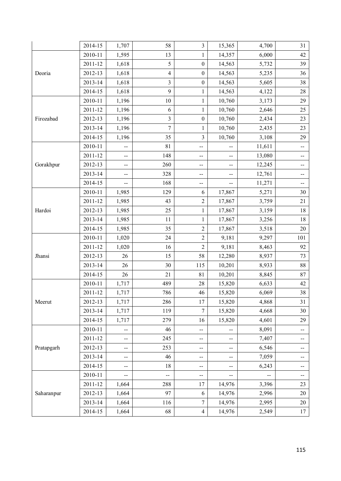|            | 2014-15     | 1,707                    | 58                       | $\overline{\mathbf{3}}$  | 15,365                   | 4,700  | 31                       |
|------------|-------------|--------------------------|--------------------------|--------------------------|--------------------------|--------|--------------------------|
|            | 2010-11     | 1,595                    | 13                       | 1                        | 14,357                   | 6,000  | 42                       |
|            | 2011-12     | 1,618                    | 5                        | $\boldsymbol{0}$         | 14,563                   | 5,732  | 39                       |
| Deoria     | 2012-13     | 1,618                    | $\overline{\mathcal{L}}$ | $\boldsymbol{0}$         | 14,563                   | 5,235  | 36                       |
|            | 2013-14     | 1,618                    | 3                        | $\boldsymbol{0}$         | 14,563                   | 5,605  | 38                       |
|            | 2014-15     | 1,618                    | 9                        | $\mathbf{1}$             | 14,563                   | 4,122  | 28                       |
|            | 2010-11     | 1,196                    | $10\,$                   | $\mathbf{1}$             | 10,760                   | 3,173  | 29                       |
|            | 2011-12     | 1,196                    | 6                        | $\mathbf{1}$             | 10,760                   | 2,646  | 25                       |
| Firozabad  | 2012-13     | 1,196                    | 3                        | $\boldsymbol{0}$         | 10,760                   | 2,434  | 23                       |
|            | 2013-14     | 1,196                    | $\overline{7}$           | $\mathbf{1}$             | 10,760                   | 2,435  | 23                       |
|            | 2014-15     | 1,196                    | 35                       | 3                        | 10,760                   | 3,108  | 29                       |
|            | 2010-11     | --                       | 81                       | --                       | $-$                      | 11,611 | --                       |
|            | 2011-12     | $\overline{\phantom{a}}$ | 148                      | $\overline{\phantom{a}}$ | $\overline{\phantom{m}}$ | 13,080 | $-$                      |
| Gorakhpur  | 2012-13     | $-$                      | 260                      | $-$                      | $-$                      | 12,245 | $-$                      |
|            | 2013-14     | --                       | 328                      | $-$                      | $-$                      | 12,761 | $-$                      |
|            | 2014-15     | $\overline{a}$           | 168                      | $-$                      | $\overline{\phantom{m}}$ | 11,271 | $\overline{\phantom{a}}$ |
|            | 2010-11     | 1,985                    | 129                      | 6                        | 17,867                   | 5,271  | 30                       |
|            | 2011-12     | 1,985                    | 43                       | $\overline{c}$           | 17,867                   | 3,759  | 21                       |
| Hardoi     | 2012-13     | 1,985                    | 25                       | $\mathbf{1}$             | 17,867                   | 3,159  | 18                       |
|            | 2013-14     | 1,985                    | 11                       | $\mathbf{1}$             | 17,867                   | 3,256  | 18                       |
|            | 2014-15     | 1,985                    | 35                       | $\overline{c}$           | 17,867                   | 3,518  | 20                       |
|            | 2010-11     | 1,020                    | 24                       | $\overline{c}$           | 9,181                    | 9,297  | 101                      |
|            | 2011-12     | 1,020                    | 16                       | $\sqrt{2}$               | 9,181                    | 8,463  | 92                       |
| Jhansi     | 2012-13     | 26                       | 15                       | 58                       | 12,280                   | 8,937  | 73                       |
|            | 2013-14     | 26                       | 30                       | 115                      | 10,201                   | 8,933  | 88                       |
|            | 2014-15     | 26                       | 21                       | 81                       | 10,201                   | 8,845  | 87                       |
|            | 2010-11     | 1,717                    | 489                      | 28                       | 15,820                   | 6,633  | 42                       |
|            | 2011-12     | 1,717                    | 786                      | 46                       | 15,820                   | 6,069  | 38                       |
| Meerut     | 2012-13     | 1,717                    | 286                      | 17                       | 15,820                   | 4,868  | 31                       |
|            | 2013-14     | 1,717                    | 119                      | 7                        | 15,820                   | 4,668  | 30                       |
|            | 2014-15     | 1,717                    | 279                      | 16                       | 15,820                   | 4,601  | 29                       |
|            | 2010-11     | --                       | 46                       |                          |                          | 8,091  |                          |
|            | 2011-12     | $\overline{\phantom{a}}$ | 245                      | $\overline{\phantom{m}}$ | $\overline{\phantom{m}}$ | 7,407  | $-$                      |
| Pratapgarh | 2012-13     | --                       | 253                      | $\overline{\phantom{m}}$ | $\overline{\phantom{m}}$ | 6,546  | $\overline{\phantom{m}}$ |
|            | 2013-14     | $\overline{\phantom{a}}$ | 46                       | $\overline{\phantom{a}}$ | $-$                      | 7,059  | $-$                      |
|            | 2014-15     | $\overline{\phantom{a}}$ | 18                       | $\overline{\phantom{m}}$ | $\overline{\phantom{m}}$ | 6,243  | $-$                      |
|            | 2010-11     | --                       | --                       | $-$                      |                          |        | $\overline{\phantom{m}}$ |
|            | $2011 - 12$ | 1,664                    | 288                      | 17                       | 14,976                   | 3,396  | 23                       |
| Saharanpur | 2012-13     | 1,664                    | 97                       | 6                        | 14,976                   | 2,996  | 20                       |
|            | 2013-14     | 1,664                    | 116                      | 7                        | 14,976                   | 2,995  | $20\,$                   |
|            | 2014-15     | 1,664                    | 68                       | $\overline{4}$           | 14,976                   | 2,549  | 17                       |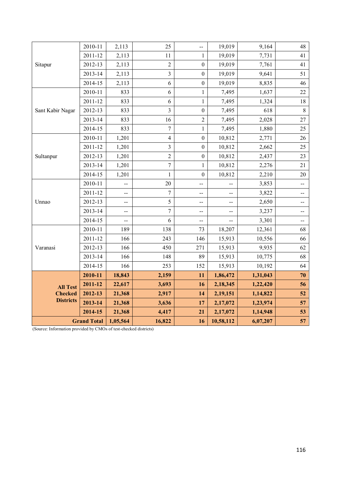|                    | 2010-11 | 2,113                    | 25             | $-$                      | 19,019    | 9,164    | 48                       |
|--------------------|---------|--------------------------|----------------|--------------------------|-----------|----------|--------------------------|
|                    | 2011-12 | 2,113                    | 11             | $\mathbf{1}$             | 19,019    | 7,731    | 41                       |
| Sitapur            | 2012-13 | 2,113                    | $\overline{c}$ | $\boldsymbol{0}$         | 19,019    | 7,761    | 41                       |
|                    | 2013-14 | 2,113                    | 3              | $\boldsymbol{0}$         | 19,019    | 9,641    | 51                       |
|                    | 2014-15 | 2,113                    | 6              | $\boldsymbol{0}$         | 19,019    | 8,835    | 46                       |
|                    | 2010-11 | 833                      | 6              | $\mathbf{1}$             | 7,495     | 1,637    | 22                       |
|                    | 2011-12 | 833                      | 6              | $\mathbf{1}$             | 7,495     | 1,324    | 18                       |
| Sant Kabir Nagar   | 2012-13 | 833                      | 3              | $\boldsymbol{0}$         | 7,495     | 618      | $8\,$                    |
|                    | 2013-14 | 833                      | 16             | $\sqrt{2}$               | 7,495     | 2,028    | 27                       |
|                    | 2014-15 | 833                      | $\overline{7}$ | $\mathbf{1}$             | 7,495     | 1,880    | 25                       |
|                    | 2010-11 | 1,201                    | $\overline{4}$ | $\boldsymbol{0}$         | 10,812    | 2,771    | 26                       |
|                    | 2011-12 | 1,201                    | 3              | $\boldsymbol{0}$         | 10,812    | 2,662    | 25                       |
| Sultanpur          | 2012-13 | 1,201                    | $\overline{c}$ | $\boldsymbol{0}$         | 10,812    | 2,437    | 23                       |
|                    | 2013-14 | 1,201                    | $\overline{7}$ | $\mathbf{1}$             | 10,812    | 2,276    | 21                       |
|                    | 2014-15 | 1,201                    | 1              | $\boldsymbol{0}$         | 10,812    | 2,210    | $20\,$                   |
|                    | 2010-11 | --                       | 20             | --                       |           | 3,853    | --                       |
|                    | 2011-12 | $\overline{\phantom{a}}$ | $\overline{7}$ | $\overline{\phantom{m}}$ | $-$       | 3,822    | --                       |
| Unnao              | 2012-13 | $-$                      | 5              | $\overline{\phantom{a}}$ | $-$       | 2,650    | $-$                      |
|                    | 2013-14 | $-$                      | $\overline{7}$ | $-$                      | --        | 3,237    | $\overline{\phantom{a}}$ |
|                    | 2014-15 | --                       | 6              | $\overline{\phantom{a}}$ | $-$       | 3,301    | $-$                      |
|                    | 2010-11 | 189                      | 138            | 73                       | 18,207    | 12,361   | 68                       |
|                    | 2011-12 | 166                      | 243            | 146                      | 15,913    | 10,556   | 66                       |
| Varanasi           | 2012-13 | 166                      | 450            | 271                      | 15,913    | 9,935    | 62                       |
|                    | 2013-14 | 166                      | 148            | 89                       | 15,913    | 10,775   | 68                       |
|                    | 2014-15 | 166                      | 253            | 152                      | 15,913    | 10,192   | 64                       |
|                    | 2010-11 | 18,843                   | 2,159          | 11                       | 1,86,472  | 1,31,043 | 70                       |
| <b>All Test</b>    | 2011-12 | 22,617                   | 3,693          | 16                       | 2,18,345  | 1,22,420 | 56                       |
| <b>Checked</b>     | 2012-13 | 21,368                   | 2,917          | 14                       | 2,19,151  | 1,14,822 | 52                       |
| <b>Districts</b>   | 2013-14 | 21,368                   | 3,636          | 17                       | 2,17,072  | 1,23,974 | 57                       |
|                    | 2014-15 | 21,368                   | 4,417          | 21                       | 2,17,072  | 1,14,948 | 53                       |
| <b>Grand Total</b> |         | 1,05,564                 | 16,822         | 16                       | 10,58,112 | 6,07,207 | 57                       |

(Source: Information provided by CMOs of test-checked districts)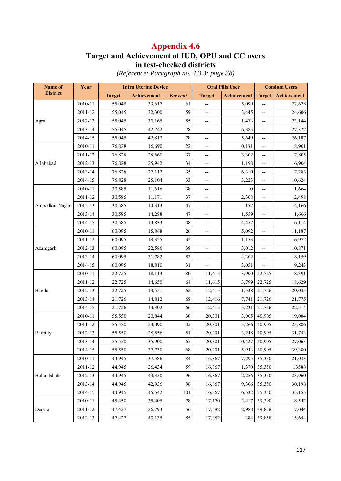## **Target and Achievement of IUD, OPU and CC users in test-checked districts**

*(Reference: Paragraph no. 4.3.3: page 38)* 

| Name of         | Year    |               | <b>Intra Uterine Device</b> |          | <b>Oral Pills User</b>   |                    | <b>Condom Users</b>      |             |  |
|-----------------|---------|---------------|-----------------------------|----------|--------------------------|--------------------|--------------------------|-------------|--|
| <b>District</b> |         | <b>Target</b> | <b>Achievement</b>          | Per cent | <b>Target</b>            | <b>Achievement</b> | <b>Target</b>            | Achievement |  |
|                 | 2010-11 | 55,045        | 33,617                      | 61       | $\overline{\phantom{a}}$ | 5,099              | --                       | 22,628      |  |
|                 | 2011-12 | 55,045        | 32,300                      | 59       | --                       | 3,445              | --                       | 24,606      |  |
| Agra            | 2012-13 | 55,045        | 30,165                      | 55       | --                       | 1,473              | --                       | 23,144      |  |
|                 | 2013-14 | 55,045        | 42,742                      | 78       | $\overline{\phantom{a}}$ | 6,385              | --                       | 27,322      |  |
|                 | 2014-15 | 55,045        | 42,812                      | 78       | $\overline{\phantom{a}}$ | 5,649              | --                       | 26,107      |  |
|                 | 2010-11 | 76,828        | 16,690                      | 22       | $\overline{\phantom{a}}$ | 10,131             | $\overline{\phantom{a}}$ | 8,901       |  |
|                 | 2011-12 | 76,828        | 28,660                      | 37       | --                       | 3,302              | --                       | 7,805       |  |
| Allahabad       | 2012-13 | 76,828        | 25,942                      | 34       | --                       | 1,198              | --                       | 6,904       |  |
|                 | 2013-14 | 76,828        | 27,112                      | 35       | --                       | 6,310              | --                       | 7,283       |  |
|                 | 2014-15 | 76,828        | 25,104                      | 33       | --                       | 3,223              | --                       | 10,624      |  |
|                 | 2010-11 | 30,585        | 11,616                      | 38       | --                       | $\boldsymbol{0}$   | --                       | 1,664       |  |
|                 | 2011-12 | 30,585        | 11,171                      | 37       | --                       | 2,308              | --                       | 2,498       |  |
| Ambedkar Nagar  | 2012-13 | 30,585        | 14,313                      | 47       | $\overline{\phantom{a}}$ | 152                | --                       | 4,166       |  |
|                 | 2013-14 | 30,585        | 14,288                      | 47       | --                       | 1,559              | --                       | 1,666       |  |
|                 | 2014-15 | 30,585        | 14,833                      | 48       | --                       | 4,452              | --                       | 6,114       |  |
|                 | 2010-11 | 60,095        | 15,848                      | 26       | --                       | 5,092              | --                       | 11,187      |  |
|                 | 2011-12 | 60,095        | 19,325                      | 32       | --                       | 1,153              | --                       | 6,972       |  |
| Azamgarh        | 2012-13 | 60,095        | 22,586                      | 38       | $\overline{\phantom{a}}$ | 3,012              | --                       | 10,871      |  |
|                 | 2013-14 | 60,095        | 31,782                      | 53       | --                       | 4,302              | --                       | 8,159       |  |
|                 | 2014-15 | 60,095        | 18,810                      | 31       | $\overline{\phantom{a}}$ | 3,051              | --                       | 9,243       |  |
|                 | 2010-11 | 22,725        | 18,113                      | 80       | 11,615                   | 3,900              | 22,725                   | 8,391       |  |
|                 | 2011-12 | 22,725        | 14,650                      | 64       | 11,615                   | 3,799              | 22,725                   | 18,629      |  |
| Banda           | 2012-13 | 22,725        | 13,551                      | 62       | 12,415                   | 1,538              | 21,726                   | 20,035      |  |
|                 | 2013-14 | 21,726        | 14,812                      | 68       | 12,416                   | 7,741              | 21,726                   | 21,775      |  |
|                 | 2014-15 | 21,726        | 14,302                      | 66       | 12,415                   | 5,231              | 21,726                   | 22,514      |  |
|                 | 2010-11 | 55,550        | 20,844                      | 38       | 20,301                   | 3,905              | 40,905                   | 19,004      |  |
|                 | 2011-12 | 55,550        | 23,090                      | 42       | 20,301                   | 5,266              | 40,905                   | 25,886      |  |
| Bareilly        | 2012-13 | 55,550        | 28,556                      | 51       | 20,301                   | 3,248              | 40,905                   | 31,743      |  |
|                 | 2013-14 | 55,550        | 35,900                      | 65       | 20,301                   | 10,427             | 40,905                   | 27,063      |  |
|                 | 2014-15 | 55,550        | 37,730                      | 68       | 20,301                   | 5,943              | 40,905                   | 39,380      |  |
|                 | 2010-11 | 44,945        | 37,586                      | 84       | 16,867                   | 7,295              | 35,350                   | 21,033      |  |
|                 | 2011-12 | 44,945        | 26,434                      | 59       | 16,867                   | 1,370              | 35,350                   | 13588       |  |
| Bulandshahr     | 2012-13 | 44,945        | 43,350                      | 96       | 16,867                   | 2,256              | 35,350                   | 23,960      |  |
|                 | 2013-14 | 44,945        | 42,936                      | 96       | 16,867                   | 9,306              | 35,350                   | 30,198      |  |
|                 | 2014-15 | 44,945        | 45,542                      | 101      | 16,867                   | 6,532              | 35,350                   | 33,155      |  |
|                 | 2010-11 | 45,450        | 35,405                      | 78       | 17,170                   | 2,417              | 39,390                   | 8,542       |  |
| Deoria          | 2011-12 | 47,427        | 26,793                      | 56       | 17,382                   | 2,988              | 39,858                   | 7,044       |  |
|                 | 2012-13 | 47,427        | 40,135                      | 85       | 17,382                   | 384                | 39,858                   | 15,644      |  |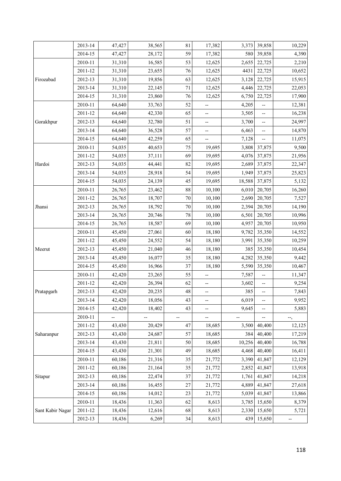|                  | 2013-14 | 47,427 | 38,565 | 81     | 17,382                   | 3,373  | 39,858 | 10,229 |
|------------------|---------|--------|--------|--------|--------------------------|--------|--------|--------|
|                  | 2014-15 | 47,427 | 28,172 | 59     | 17,382                   | 580    | 39,858 | 4,390  |
|                  | 2010-11 | 31,310 | 16,585 | 53     | 12,625                   | 2,655  | 22,725 | 2,210  |
|                  | 2011-12 | 31,310 | 23,655 | 76     | 12,625                   | 4431   | 22,725 | 10,652 |
| Firozabad        | 2012-13 | 31,310 | 19,856 | 63     | 12,625                   | 3,128  | 22,725 | 15,915 |
|                  | 2013-14 | 31,310 | 22,145 | 71     | 12,625                   | 4,446  | 22,725 | 22,053 |
|                  | 2014-15 | 31,310 | 23,860 | 76     | 12,625                   | 6,750  | 22,725 | 17,900 |
|                  | 2010-11 | 64,640 | 33,763 | 52     | --                       | 4,205  |        | 12,381 |
|                  | 2011-12 | 64,640 | 42,330 | 65     | --                       | 3,505  | --     | 16,238 |
| Gorakhpur        | 2012-13 | 64,640 | 32,780 | 51     | --                       | 3,700  | --     | 24,997 |
|                  | 2013-14 | 64,640 | 36,528 | 57     | --                       | 6,463  | --     | 14,870 |
|                  | 2014-15 | 64,640 | 42,259 | 65     | $\overline{\phantom{a}}$ | 7,128  |        | 11,075 |
|                  | 2010-11 | 54,035 | 40,653 | 75     | 19,695                   | 3,808  | 37,875 | 9,500  |
|                  | 2011-12 | 54,035 | 37,111 | 69     | 19,695                   | 4,076  | 37,875 | 21,956 |
| Hardoi           | 2012-13 | 54,035 | 44,441 | 82     | 19,695                   | 2,689  | 37,875 | 22,347 |
|                  | 2013-14 | 54,035 | 28,918 | 54     | 19,695                   | 1,949  | 37,875 | 25,823 |
|                  | 2014-15 | 54,035 | 24,139 | 45     | 19,695                   | 18,588 | 37,875 | 5,132  |
|                  | 2010-11 | 26,765 | 23,462 | $88\,$ | 10,100                   | 6,010  | 20,705 | 16,260 |
|                  | 2011-12 | 26,765 | 18,707 | $70\,$ | 10,100                   | 2,690  | 20,705 | 7,527  |
| Jhansi           | 2012-13 | 26,765 | 18,792 | 70     | 10,100                   | 2,394  | 20,705 | 14,190 |
|                  | 2013-14 | 26,765 | 20,746 | 78     | 10,100                   | 6,501  | 20,705 | 10,996 |
|                  | 2014-15 | 26,765 | 18,587 | 69     | 10,100                   | 4,957  | 20,705 | 10,950 |
|                  | 2010-11 | 45,450 | 27,061 | 60     | 18,180                   | 9,782  | 35,350 | 14,552 |
|                  | 2011-12 | 45,450 | 24,552 | 54     | 18,180                   | 3,991  | 35,350 | 10,259 |
| Meerut           | 2012-13 | 45,450 | 21,040 | 46     | 18,180                   | 385    | 35,350 | 10,454 |
|                  | 2013-14 | 45,450 | 16,077 | 35     | 18,180                   | 4,282  | 35,350 | 9,442  |
|                  | 2014-15 | 45,450 | 16,966 | 37     | 18,180                   | 5,590  | 35,350 | 10,467 |
|                  | 2010-11 | 42,420 | 23,265 | 55     | --                       | 7,587  | --     | 11,347 |
|                  | 2011-12 | 42,420 | 26,394 | 62     | --                       | 3,602  | --     | 9,254  |
| Pratapgarh       | 2012-13 | 42,420 | 20,235 | 48     | --                       | 385    | --     | 7,843  |
|                  | 2013-14 | 42,420 | 18,056 | 43     | --                       | 6,019  | --     | 9,952  |
|                  | 2014-15 | 42,420 | 18,402 | 43     | --                       | 9,645  |        | 5,883  |
|                  | 2010-11 |        |        | --     | --                       |        |        | ┄,     |
|                  | 2011-12 | 43,430 | 20,429 | 47     | 18,685                   | 3,500  | 40,400 | 12,125 |
| Saharanpur       | 2012-13 | 43,430 | 24,687 | 57     | 18,685                   | 384    | 40,400 | 17,219 |
|                  | 2013-14 | 43,430 | 21,811 | 50     | 18,685                   | 10,256 | 40,400 | 16,788 |
|                  | 2014-15 | 43,430 | 21,301 | 49     | 18,685                   | 4,468  | 40,400 | 16,411 |
|                  | 2010-11 | 60,186 | 21,316 | 35     | 21,772                   | 3,390  | 41,847 | 12,129 |
|                  | 2011-12 | 60,186 | 21,164 | 35     | 21,772                   | 2,852  | 41,847 | 13,918 |
| Sitapur          | 2012-13 | 60,186 | 22,474 | 37     | 21,772                   | 1,761  | 41,847 | 14,218 |
|                  | 2013-14 | 60,186 | 16,455 | 27     | 21,772                   | 4,889  | 41,847 | 27,618 |
|                  | 2014-15 | 60,186 | 14,012 | 23     | 21,772                   | 5,039  | 41,847 | 13,866 |
|                  | 2010-11 | 18,436 | 11,363 | 62     | 8,613                    | 3,785  | 15,650 | 8,379  |
| Sant Kabir Nagar | 2011-12 | 18,436 | 12,616 | 68     | 8,613                    | 2,330  | 15,650 | 5,721  |
|                  | 2012-13 | 18,436 | 6,269  | 34     | 8,613                    | 439    | 15,650 |        |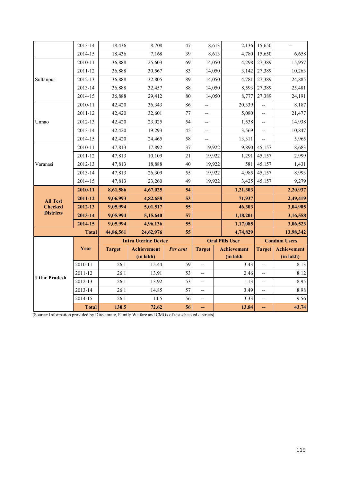|                      | 2013-14      | 18,436        | 8,708              | 47                          | 8,613                    | 2,136                  | 15,650                                              | $\overline{\phantom{a}}$ |
|----------------------|--------------|---------------|--------------------|-----------------------------|--------------------------|------------------------|-----------------------------------------------------|--------------------------|
|                      | 2014-15      | 18,436        | 7,168              | 39                          | 8,613                    | 4,780                  | 15,650                                              | 6,658                    |
|                      | 2010-11      | 36,888        | 25,603             | 69                          | 14,050                   | 4,298                  | 27,389                                              | 15,957                   |
|                      | 2011-12      | 36,888        | 30,567             | 83                          | 14,050                   | 3,142                  | 27,389                                              | 10,263                   |
| Sultanpur            | 2012-13      | 36,888        | 32,805             | 89                          | 14,050                   | 4,781                  | 27,389                                              | 24,885                   |
|                      | 2013-14      | 36,888        | 32,457             | 88                          | 14,050                   | 8,593                  | 27,389                                              | 25,481                   |
|                      | 2014-15      | 36,888        | 29,412             | 80                          | 14,050                   | 8,777                  | 27,389                                              | 24,191                   |
|                      | 2010-11      | 42,420        | 36,343             | 86                          | --                       | 20,339                 | $\overline{a}$                                      | 8,187                    |
|                      | 2011-12      | 42,420        | 32,601             | 77                          | --                       | 5,080                  | --                                                  | 21,477                   |
| Unnao                | 2012-13      | 42,420        | 23,025             | 54                          | --                       | 1,538                  | $\overline{\phantom{a}}$                            | 14,938                   |
|                      | 2013-14      | 42,420        | 19,293             | 45                          | $-$                      | 3,569                  | $\overline{\phantom{a}}$                            | 10,847                   |
|                      | 2014-15      | 42,420        | 24,465             | 58                          | --                       | 13,311                 |                                                     | 5,965                    |
|                      | 2010-11      | 47,813        | 17,892             | 37                          | 19,922                   | 9,890                  | 45,157                                              | 8,683                    |
|                      | 2011-12      | 47,813        | 10,109             | 21                          | 19,922                   | 1,291                  | 45,157                                              | 2,999                    |
| Varanasi             | 2012-13      | 47,813        | 18,888             | 40                          | 19,922                   | 581                    | 45,157                                              | 1,431                    |
|                      | 2013-14      | 47,813        | 26,309             | 55                          | 19,922                   | 4,985                  | 45,157                                              | 8,993                    |
|                      | 2014-15      | 47,813        | 23,260             | 49                          | 19,922                   | 3,425                  | 45,157                                              | 9,279                    |
|                      | 2010-11      | 8,61,586      | 4,67,025           | 54                          |                          | 1,21,303               |                                                     | 2,20,937                 |
| <b>All Test</b>      | 2011-12      | 9,06,993      | 4,82,658           | 53                          |                          | 71,937                 |                                                     | 2,49,419                 |
| <b>Checked</b>       | 2012-13      | 9,05,994      | 5,01,517           | 55                          |                          | 46,303                 |                                                     | 3,04,905                 |
| <b>Districts</b>     | 2013-14      | 9,05,994      | 5,15,640           | 57                          |                          | 1,18,201               |                                                     | 3,16,558                 |
|                      | 2014-15      | 9,05,994      | 4,96,136           | 55                          |                          | 1,17,085               |                                                     | 3,06,523                 |
|                      | <b>Total</b> | 44,86,561     | 24,62,976          | 55                          |                          | 4,74,829               |                                                     | 13,98,342                |
|                      |              |               |                    | <b>Intra Uterine Device</b> |                          | <b>Oral Pills User</b> |                                                     | <b>Condom Users</b>      |
|                      | Year         | <b>Target</b> | <b>Achievement</b> | Per cent                    | <b>Target</b>            | <b>Achievement</b>     | <b>Target</b>                                       | <b>Achievement</b>       |
|                      |              |               | (in lakh)          |                             |                          | (in lakh               |                                                     | (in lakh)                |
|                      | 2010-11      | 26.1          | 15.44              | 59                          | --                       | 3.43                   | Ξ.                                                  | 8.13                     |
| <b>Uttar Pradesh</b> | 2011-12      | 26.1          | 13.91              | 53                          | $\overline{\phantom{a}}$ | 2.46                   | $\overline{\phantom{a}}$                            | 8.12                     |
|                      | 2012-13      | 26.1          | 13.92              | 53                          | --                       | 1.13                   | $\hspace{0.05cm} -\hspace{0.05cm} -\hspace{0.05cm}$ | 8.95                     |
|                      |              |               |                    |                             |                          |                        | $\overline{\phantom{a}}$                            |                          |
|                      | 2013-14      | 26.1          | 14.85              | 57                          | $\overline{\phantom{a}}$ |                        |                                                     | 8.98                     |
|                      | 2014-15      | 26.1          | 14.5               | 56                          | --                       | 3.49<br>3.33           | --                                                  | 9.56                     |

(Source: Information provided by Directorate, Family Welfare and CMOs of test-checked districts)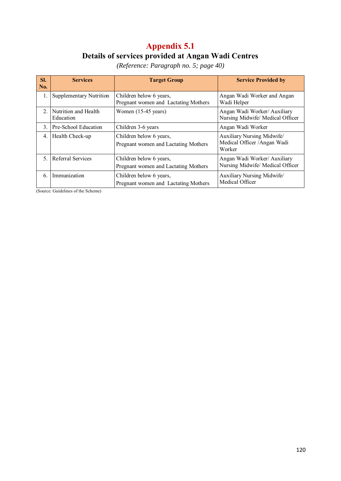## **Appendix 5.1 Details of services provided at Angan Wadi Centres**

*(Reference: Paragraph no. 5; page 40)* 

| SI.<br>No.     | <b>Services</b>                   | <b>Target Group</b>                                             | <b>Service Provided by</b>                                           |
|----------------|-----------------------------------|-----------------------------------------------------------------|----------------------------------------------------------------------|
| 1.             | <b>Supplementary Nutrition</b>    | Children below 6 years,<br>Pregnant women and Lactating Mothers | Angan Wadi Worker and Angan<br>Wadi Helper                           |
| 2 <sub>1</sub> | Nutrition and Health<br>Education | Women (15-45 years)                                             | Angan Wadi Worker/ Auxiliary<br>Nursing Midwife/ Medical Officer     |
| 3.             | Pre-School Education              | Children 3-6 years                                              | Angan Wadi Worker                                                    |
| 4.             | Health Check-up                   | Children below 6 years,<br>Pregnant women and Lactating Mothers | Auxiliary Nursing Midwife/<br>Medical Officer / Angan Wadi<br>Worker |
| 5.             | Referral Services                 | Children below 6 years,<br>Pregnant women and Lactating Mothers | Angan Wadi Worker/ Auxiliary<br>Nursing Midwife/ Medical Officer     |
| 6.             | Immunization                      | Children below 6 years,<br>Pregnant women and Lactating Mothers | Auxiliary Nursing Midwife/<br>Medical Officer                        |

(Source: Guidelines of the Scheme)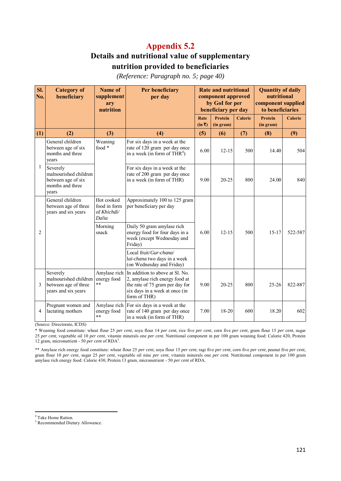## **Details and nutritional value of supplementary nutrition provided to beneficiaries**

*(Reference: Paragraph no. 5; page 40)* 

| SI.<br>No.   | <b>Category of</b><br>beneficiary                                                    | Name of<br>supplement<br>ary<br>nutrition          | Per beneficiary<br>per day                                                                                                                             | <b>Rate and nutritional</b><br>component approved<br>by GoI for per<br>beneficiary per day |                             | <b>Quantity of daily</b><br>nutritional<br>component supplied<br>to beneficiaries |                             |                |
|--------------|--------------------------------------------------------------------------------------|----------------------------------------------------|--------------------------------------------------------------------------------------------------------------------------------------------------------|--------------------------------------------------------------------------------------------|-----------------------------|-----------------------------------------------------------------------------------|-----------------------------|----------------|
|              |                                                                                      |                                                    |                                                                                                                                                        | Rate<br>(in 3)                                                                             | <b>Protein</b><br>(in gram) | <b>Calorie</b>                                                                    | <b>Protein</b><br>(in gram) | <b>Calorie</b> |
| (1)          | (2)                                                                                  | (3)                                                | (4)                                                                                                                                                    | (5)                                                                                        | (6)                         | (7)                                                                               | (8)                         | (9)            |
|              | General children<br>between age of six<br>months and three<br>years                  | Weaning<br>food *                                  | For six days in a week at the<br>rate of 120 gram per day once<br>in a week (in form of THR <sup>4</sup> )                                             | 6.00                                                                                       | $12 - 15$                   | 500                                                                               | 14.40                       | 504            |
| $\mathbf{1}$ | Severely<br>malnourished children<br>between age of six<br>months and three<br>years |                                                    | For six days in a week at the<br>rate of 200 gram per day once<br>in a week (in form of THR)                                                           | 9.00                                                                                       | $20 - 25$                   | 800                                                                               | 24.00                       | 840            |
|              | General children<br>between age of three<br>years and six years                      | Hot cooked<br>food in form<br>of Khichdi/<br>Dalia | Approximately 100 to 125 gram<br>per beneficiary per day                                                                                               |                                                                                            |                             |                                                                                   |                             |                |
| 2            |                                                                                      | Morning<br>snack                                   | Daily 50 gram amylase rich<br>energy food for four days in a<br>week (except Wednesday and<br>Friday)                                                  | 6.00                                                                                       | $12 - 15$                   | 500                                                                               | $15 - 17$                   | 522-587        |
|              |                                                                                      |                                                    | Local fruit/Gur-chana/<br>lai-chana two days in a week<br>(on Wednesday and Friday)                                                                    |                                                                                            |                             |                                                                                   |                             |                |
| 3            | Severely<br>malnourished children<br>between age of three<br>years and six years     | Amylase rich<br>energy food<br>**                  | In addition to above at Sl. No.<br>2, amylase rich energy food at<br>the rate of 75 gram per day for<br>six days in a week at once (in<br>form of THR) | 9.00                                                                                       | $20 - 25$                   | 800                                                                               | $25 - 26$                   | 822-887        |
| 4            | Pregnant women and<br>lactating mothers                                              | Amylase rich<br>energy food<br>$\ast\ast$          | For six days in a week at the<br>rate of 140 gram per day once<br>in a week (in form of THR)                                                           | 7.00                                                                                       | 18-20                       | 600                                                                               | 18.20                       | 602            |

(Source: Directorate, ICDS)

\* Weaning food constitute: wheat flour 25 *per cent*, soya flour 14 *per cent*, rice five *per cent*, corn five *per cent*, gram flour 15 *per cent*, sugar 25 *per cent*, vegetable oil 10 *per cent*, vitamin minerals one *per cent.* Nutritional component in per 100 gram weaning food: Calorie 420, Protein 12 gram, micronutrient - 50 *per cent* of RDA<sup>5</sup>.

\*\* Amylase rich energy food constitute: wheat flour 25 *per cent*, soya flour 15 *per cent*, ragi five *per cent*, corn five *per cent*, peanut five *per cent,*  gram flour 10 *per cent*, sugar 25 *per cent*, vegetable oil nine *per cent*, vitamin minerals one *per cent.* Nutritional component in per 100 gram amylase rich energy food: Calorie 430, Protein 13 gram, micronutrient - 50 *per cent* of RDA.

<sup>4</sup> Take Home Ration.

 $\overline{a}$ 

<sup>5</sup> Recommended Dietary Allowance.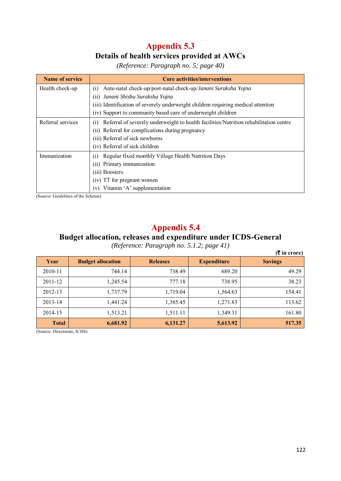## **Appendix 5.3 Details of health services provided at AWCs**

| <b>Name of service</b> | <b>Core activities/interventions</b>                                                         |
|------------------------|----------------------------------------------------------------------------------------------|
| Health check-up        | Ante-natal check-up/post-natal check-up/Janani Suraksha Yojna<br>(1)                         |
|                        | (ii) Janani Shishu Suraksha Yojna                                                            |
|                        | (iii) Identification of severely underweight children requiring medical attention            |
|                        | (iv) Support to community based care of underweight children                                 |
| Referral services      | Referral of severely underweight to health facilities/Nutrition rehabilitation centre<br>(1) |
|                        | (ii) Referral for complications during pregnancy                                             |
|                        | (iii) Referral of sick newborns                                                              |
|                        | (iv) Referral of sick children                                                               |
| Immunization           | Regular fixed monthly Village Health Nutrition Days<br>(1)                                   |
|                        | Primary immunization<br>(11)                                                                 |
|                        | (iii) Boosters                                                                               |
|                        | (iv) TT for pregnant women                                                                   |
|                        | Vitamin 'A' supplementation<br>(v)                                                           |

*(Reference: Paragraph no. 5; page 40)* 

(Source: Guidelines of the Scheme)

## **Appendix 5.4**

#### **Budget allocation, releases and expenditure under ICDS-General**

*(Reference: Paragraph no. 5.1.2; page 41)* 

|              |                          |                 |                    | $(3\overline{5})$ in crore) |
|--------------|--------------------------|-----------------|--------------------|-----------------------------|
| Year         | <b>Budget allocation</b> | <b>Releases</b> | <b>Expenditure</b> | <b>Savings</b>              |
| 2010-11      | 744.14                   | 738.49          | 689.20             | 49.29                       |
| 2011-12      | 1,245.54                 | 777.18          | 738.95             | 38.23                       |
| 2012-13      | 1,737.79                 | 1,719.04        | 1,564.63           | 154.41                      |
| 2013-14      | 1.441.24                 | 1,385.45        | 1,271.83           | 113.62                      |
| 2014-15      | 1,513.21                 | 1,511.11        | 1,349.31           | 161.80                      |
| <b>Total</b> | 6,681.92                 | 6,131.27        | 5,613.92           | 517.35                      |

(Source: Directorate, ICDS)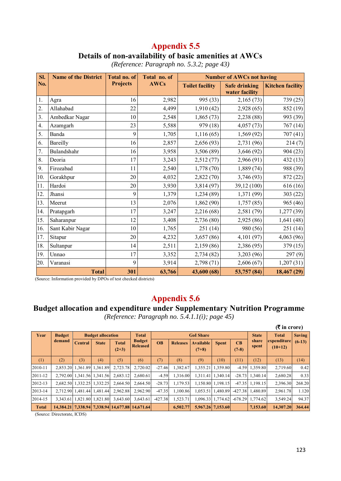# **Details of non-availability of basic amenities at AWCs**

| SI. | <b>Name of the District</b> | <b>Total no. of</b> | Total no. of | <b>Number of AWCs not having</b> |                                        |                         |  |  |  |  |  |
|-----|-----------------------------|---------------------|--------------|----------------------------------|----------------------------------------|-------------------------|--|--|--|--|--|
| No. |                             | <b>Projects</b>     | <b>AWCs</b>  | <b>Toilet facility</b>           | <b>Safe drinking</b><br>water facility | <b>Kitchen facility</b> |  |  |  |  |  |
| 1.  | Agra                        | 16                  | 2,982        | 995 (33)                         | 2,165(73)                              | 739 (25)                |  |  |  |  |  |
| 2.  | Allahabad                   | 22                  | 4,499        | 1,910(42)                        | 2,928(65)                              | 852 (19)                |  |  |  |  |  |
| 3.  | Ambedkar Nagar              | 10                  | 2,548        | 1,865(73)                        | 2,238(88)                              | 993 (39)                |  |  |  |  |  |
| 4.  | Azamgarh                    | 23                  | 5,588        | 979 (18)                         | 4,057(73)                              | 767(14)                 |  |  |  |  |  |
| 5.  | Banda                       | 9                   | 1,705        | 1,116(65)                        | 1,569(92)                              | 707 (41)                |  |  |  |  |  |
| 6.  | Bareilly                    | 16                  | 2,857        | 2,656(93)                        | 2,731 (96)                             | 214(7)                  |  |  |  |  |  |
| 7.  | Bulandshahr                 | 16                  | 3,958        | 3,506(89)                        | 3,646(92)                              | 904 (23)                |  |  |  |  |  |
| 8.  | Deoria                      | 17                  | 3,243        | 2,512(77)                        | 2,966(91)                              | 432(13)                 |  |  |  |  |  |
| 9.  | Firozabad                   | 11                  | 2,540        | 1,778(70)                        | 1,889(74)                              | 988 (39)                |  |  |  |  |  |
| 10. | Gorakhpur                   | 20                  | 4,032        | 2,822(70)                        | 3,746(93)                              | 872 (22)                |  |  |  |  |  |
| 11. | Hardoi                      | 20                  | 3,930        | 3,814(97)                        | 39,12 (100)                            | 616 (16)                |  |  |  |  |  |
| 12. | Jhansi                      | 9                   | 1,379        | 1,234(89)                        | 1,371 (99)                             | 303 (22)                |  |  |  |  |  |
| 13. | Meerut                      | 13                  | 2,076        | 1,862(90)                        | 1,757(85)                              | 965 (46)                |  |  |  |  |  |
| 14. | Pratapgarh                  | 17                  | 3,247        | 2,216 (68)                       | 2,581 (79)                             | 1,277 (39)              |  |  |  |  |  |
| 15. | Saharanpur                  | 12                  | 3,408        | 2,736(80)                        | 2,925(86)                              | 1,641 (48)              |  |  |  |  |  |
| 16. | Sant Kabir Nagar            | 10                  | 1,765        | 251(14)                          | 980 (56)                               | 251(14)                 |  |  |  |  |  |
| 17. | Sitapur                     | 20                  | 4,232        | 3,657(86)                        | 4,101(97)                              | 4,063 (96)              |  |  |  |  |  |
| 18. | Sultanpur                   | 14                  | 2,511        | 2,159(86)                        | 2,386 (95)                             | 379 (15)                |  |  |  |  |  |
| 19. | Unnao                       | 17                  | 3,352        | 2,734(82)                        | 3,203(96)                              | 297(9)                  |  |  |  |  |  |
| 20. | Varanasi                    | 9                   | 3,914        | 2,798(71)                        | 2,606(67)                              | 1,207(31)               |  |  |  |  |  |
|     | <b>Total</b>                | 301                 | 63,766       | 43,600 (68)                      | 53,757 (84)                            | 18,467(29)              |  |  |  |  |  |

*(Reference: Paragraph no. 5.3.2; page 43)* 

(Source: Information provided by DPOs of test checked districts)

## **Appendix 5.6**

#### **Budget allocation and expenditure under Supplementary Nutrition Programme**

*(Reference: Paragraph no. 5.4.1.1(i); page 45)* 

|              |               |                            |                          |                         |                                                                   |           |                 |                             |                   |               |                    | $($ ₹ in crore)          |               |
|--------------|---------------|----------------------------|--------------------------|-------------------------|-------------------------------------------------------------------|-----------|-----------------|-----------------------------|-------------------|---------------|--------------------|--------------------------|---------------|
| Year         | <b>Budget</b> |                            | <b>Budget allocation</b> |                         | <b>Total</b>                                                      |           |                 | <b>GoI Share</b>            |                   |               | <b>State</b>       | <b>Total</b>             | <b>Saving</b> |
|              | demand        | <b>Central</b>             | <b>State</b>             | <b>Total</b><br>$(2+3)$ | <b>Budget</b><br><b>Released</b>                                  | <b>OB</b> | <b>Releases</b> | <b>Available</b><br>$(7+8)$ | <b>Spent</b>      | CB<br>$(7-8)$ | share<br>spent     | expenditure<br>$(10+12)$ | $(6-13)$      |
| (1)          | (2)           | (3)                        | (4)                      | (5)                     | (6)                                                               | (7)       | (8)             | (9)                         | (10)              | (11)          | (12)               | (13)                     | (14)          |
| 2010-11      | 2.853.20      |                            | 1.361.89 1.361.89        | 2.723.78                | 2.720.02                                                          | $-27.46$  | 1.382.67        |                             | 1.355.21 1.359.80 |               | $-4.59$ 1,359.80   | 2,719.60                 | 0.42          |
| 2011-12      | 2.792.00      |                            | 1,341.56 1,341.56        | 2,683.12                | 2.680.61                                                          | $-4.59$   | 1.316.00        |                             | 1,311.41 1,340.14 | $-28.73$      | 1,340.14           | 2,680.28                 | 0.33          |
| 2012-13      |               | 2.682.50 1.332.25          | 1,332.25                 | 2.664.50                | 2.664.50                                                          | $-28.73$  | 1,179.53        |                             | 1.150.80 1.198.15 | $-47.35$      | 1.198.15           | 2,396.30                 | 268.20        |
| 2013-14      |               | 2,712.90 1,481.44 1,481.44 |                          | 2.962.88                | 2,962.90                                                          | $-47.35$  | 1.100.86        |                             | 1,053.51 1,480.89 |               | $-427.38$ 1.480.89 | 2,961.78                 | 1.120         |
| 2014-15      | 3.343.61      |                            | 1.821.80 1.821.80        | 3,643.60                | 3,643.61                                                          | $-427.38$ | 1,523.71        |                             | 1,096.33 1,774.62 | $-678.29$     | 1.774.62           | 3,549.24                 | 94.37         |
| <b>Total</b> |               |                            |                          |                         | 14, 384. 21   7, 338. 94   7, 338. 94   14, 677. 88   14, 671. 64 |           | 6,502.77        |                             | 5,967.26 7,153.60 |               | 7,153.60           | 14,307.20                | 364.44        |

(Source: Directorate, ICDS)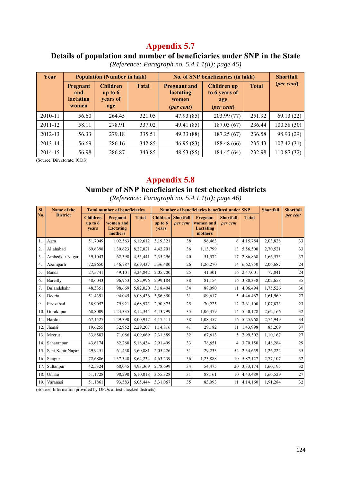## **Details of population and number of beneficiaries under SNP in the State**

| Year    |                                                                                                 | <b>Population (Number in lakh)</b> |              | No. of SNP beneficiaries (in lakh)                                      |                                                                   | <b>Shortfall</b> |            |
|---------|-------------------------------------------------------------------------------------------------|------------------------------------|--------------|-------------------------------------------------------------------------|-------------------------------------------------------------------|------------------|------------|
|         | <b>Children</b><br><b>Pregnant</b><br>up to $6$<br>and<br>lactating<br>years of<br>women<br>age |                                    | <b>Total</b> | <b>Pregnant and</b><br><b>lactating</b><br>women<br>( <i>per cent</i> ) | <b>Children</b> up<br>to 6 years of<br>age<br>( <i>per cent</i> ) | <b>Total</b>     | (per cent) |
| 2010-11 | 56.60                                                                                           | 264.45                             | 321.05       | 47.93 (85)                                                              | 203.99(77)                                                        | 251.92           | 69.13(22)  |
| 2011-12 | 58.11                                                                                           | 278.91                             | 337.02       | 49.41 (85)                                                              | 187.03(67)                                                        | 236.44           | 100.58(30) |
| 2012-13 | 56.33                                                                                           | 279.18                             | 335.51       | 49.33 (88)                                                              | 187.25(67)                                                        | 236.58           | 98.93 (29) |
| 2013-14 | 56.69                                                                                           | 286.16                             | 342.85       | 46.95(83)                                                               | 188.48 (66)                                                       | 235.43           | 107.42(31) |
| 2014-15 | 56.98                                                                                           | 286.87                             | 343.85       | 48.53(85)                                                               | 184.45 (64)                                                       | 232.98           | 110.87(32) |

*(Reference: Paragraph no. 5.4.1.1(ii); page 45)* 

(Source: Directorate, ICDS)

# **Appendix 5.8**

#### **Number of SNP beneficiaries in test checked districts**

*(Reference: Paragraph no. 5.4.1.1(ii); page 46)* 

| SI.              | Name of the      |                                               | <b>Total number of beneficiaries</b>          |              |                                       |                              | <b>Number of beneficiaries benefitted under SNP</b> |                              |              | <b>Shortfall</b> | <b>Shortfall</b> |
|------------------|------------------|-----------------------------------------------|-----------------------------------------------|--------------|---------------------------------------|------------------------------|-----------------------------------------------------|------------------------------|--------------|------------------|------------------|
| No.              | <b>District</b>  | <b>Children</b><br>$\mathbf{u}$ to 6<br>years | Pregnant<br>women and<br>Lactating<br>mothers | <b>Total</b> | <b>Children</b><br>up to $6$<br>years | <b>Shortfall</b><br>per cent | Pregnant<br>women and<br>Lactating<br>mothers       | <b>Shortfall</b><br>per cent | <b>Total</b> |                  | per cent         |
| 1.               | Agra             | 51,7049                                       | 1,02,563                                      | 6,19,612     | 3,19,321                              | 38                           | 96,463                                              | 6                            | 4,15,784     | 2,03,828         | 33               |
| $\overline{2}$ . | Allahabad        | 69,6398                                       | 1,30,623                                      | 8,27,021     | 4,42,701                              | 36                           | 1,13,799                                            | 13 <sup>1</sup>              | 5,56,500     | 2,70,521         | 33               |
| 3.               | Ambedkar Nagar   | 39,1043                                       | 62,398                                        | 4,53,441     | 2,35,296                              | 40                           | 51,572                                              | 17                           | 2,86,868     | 1,66,573         | 37               |
| 4.               | Azamgarh         | 72,2650                                       | 1,46,787                                      | 8,69,437     | 5,36,480                              | 26                           | 1,26,270                                            | 14                           | 6,62,750     | 2,06,687         | 24               |
| 5.               | Banda            | 27,5741                                       | 49,101                                        | 3,24,842     | 2,05,700                              | 25                           | 41,301                                              |                              | 16 2,47,001  | 77,841           | 24               |
| 6.               | Bareilly         | 48,6043                                       | 96,953                                        | 5,82,996     | 2,99,184                              | 38                           | 81,154                                              | 16                           | 3,80,338     | 2,02,658         | 35               |
| 7.               | Bulandshahr      | 48,3351                                       | 98,669                                        | 5,82,020     | 3,18,404                              | 34                           | 88,090                                              | 11                           | 4,06,494     | 1,75,526         | 30               |
| 8.               | Deoria           | 51,4391                                       | 94,045                                        | 6,08,436     | 3,56,850                              | 31                           | 89,617                                              | 5                            | 4,46,467     | 1,61,969         | 27               |
| 9.               | Firozabad        | 38,9052                                       | 79,921                                        | 4,68,973     | 2,90,875                              | 25                           | 70,225                                              | 12                           | 3,61,100     | 1,07,873         | 23               |
| 10               | Gorakhpur        | 68,8009                                       | 1,24,335                                      | 8,12,344     | 4,43,799                              | 35                           | 1,06,379                                            | 14 <sup>1</sup>              | 5,50,178     | 2,62,166         | 32               |
| 11               | Hardoi           | 67,1527                                       | 1,29,390                                      | 8,00,917     | 4,17,511                              | 38                           | 1,08,457                                            | 16                           | 5,25,968     | 2,74,949         | 34               |
| 12               | Jhansi           | 19,6255                                       | 32,952                                        | 2,29,207     | 1,14,816                              | 41                           | 29,182                                              | 11                           | 1,43,998     | 85,209           | 37               |
| 13.              | Meerut           | 33,8583                                       | 71,086                                        | 4,09,669     | 2,31,889                              | 32                           | 67,613                                              | 5                            | 2,99,502     | 1,10,167         | 27               |
| 14               | Saharanpur       | 43,6174                                       | 82,260                                        | 5,18,434     | 2,91,499                              | 33                           | 78,651                                              |                              | 3,70,150     | 1,48,284         | 29               |
| 15               | Sant Kabir Nagar | 29,9451                                       | 61,430                                        | 3,60,881     | 2,05,426                              | 31                           | 29,233                                              | 52                           | 2,34,659     | 1,26,222         | 35               |
| 16.              | Sitapur          | 72,6886                                       | 1,37,348                                      | 8,64,234     | 4,63,239                              | 36                           | 1,23,888                                            | 10                           | 5,87,127     | 2,77,107         | 32               |
| 17.              | Sultanpur        | 42,5324                                       | 68,045                                        | 4,93,369     | 2,78,699                              | 34                           | 54,475                                              | 20                           | 3,33,174     | 1,60,195         | 32               |
| 18               | Unnao            | 51,1728                                       | 98,290                                        | 6,10,018     | 3,55,328                              | 31                           | 88,161                                              | 10                           | 4,43,489     | 1,66,529         | 27               |
| 19.              | Varanasi         | 51,1861                                       | 93,583                                        | 6,05,444     | 3,31,067                              | 35                           | 83,093                                              | 11                           | 4,14,160     | 1,91,284         | $32\,$           |

(Source: Information provided by DPOs of test checked districts)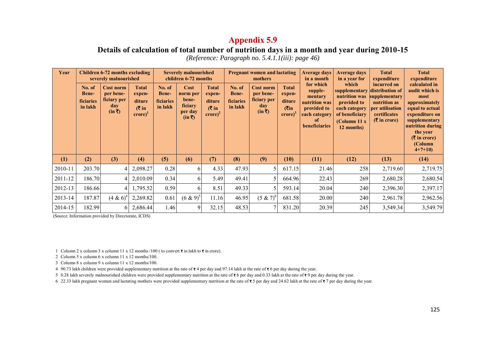**Details of calculation of total number of nutrition days in a month and year during 2010-15**  *(Reference: Paragraph no. 5.4.1.1(iii): page 46)* 

| Year    |                                                | <b>Children 6-72 months excluding</b><br>severely malnourished |                                                                                    |                                                       | <b>Severely malnourished</b><br>children 6-72 months                     |                                                                                |                                                | <b>Pregnant women and lactating</b><br>mothers                        |                                                                                                | <b>Average days</b><br>in a month                                                                        | <b>Average days</b><br>in a year for                                                                                                        | <b>Total</b><br>expenditure                                                                       | <b>Total</b><br>expenditure                                                                                                                                                                   |
|---------|------------------------------------------------|----------------------------------------------------------------|------------------------------------------------------------------------------------|-------------------------------------------------------|--------------------------------------------------------------------------|--------------------------------------------------------------------------------|------------------------------------------------|-----------------------------------------------------------------------|------------------------------------------------------------------------------------------------|----------------------------------------------------------------------------------------------------------|---------------------------------------------------------------------------------------------------------------------------------------------|---------------------------------------------------------------------------------------------------|-----------------------------------------------------------------------------------------------------------------------------------------------------------------------------------------------|
|         | No. of<br><b>Bene-</b><br>ficiaries<br>in lakh | Cost norm<br>per bene-<br>ficiary per<br>day<br>$(in \bar{ζ})$ | <b>Total</b><br>expen-<br>diture<br>$(3 \infty)$<br>$\mathbf{c}$ rore $\mathbf{c}$ | No. of<br><b>Bene-</b><br><b>ficiaries</b><br>in lakh | <b>Cost</b><br>norm per<br>bene-<br>ficiary<br>per day<br>$(in \bar{ζ})$ | <b>Total</b><br>expen-<br>diture<br>$(3 \infty)$<br>$\text{core}$ <sup>2</sup> | No. of<br><b>Bene-</b><br>ficiaries<br>in lakh | <b>Cost norm</b><br>per bene-<br>ficiary per<br>day<br>$(in \bar{ζ})$ | <b>Total</b><br>expen-<br>diture<br>$(\overline{\mathbf{C}})$ in<br>$\text{core}$ <sup>3</sup> | for which<br>supple-<br>mentary<br>nutrition was<br>provided to<br>each category<br>-of<br>beneficiaries | which<br>supplementary distribution of<br>nutrition was<br>provided to<br>each category<br>of beneficiary<br>(Column 11 $x$ )<br>12 months) | incurred on<br>supplementary<br>nutrition as<br>per utilisation<br>certificates<br>$(3 \times 1)$ | calculated in<br>audit which is<br>most<br>approximately<br>equal to actual<br>expenditure on<br>supplementary<br>nutrition during<br>the year<br>$(3 \times 10^{-4})$<br>(Column<br>$4+7+10$ |
| (1)     | (2)                                            | (3)                                                            | (4)                                                                                | (5)                                                   | (6)                                                                      | (7)                                                                            | (8)                                            | (9)                                                                   | (10)                                                                                           | (11)                                                                                                     | (12)                                                                                                                                        | (13)                                                                                              | (14)                                                                                                                                                                                          |
| 2010-11 | 203.70                                         | 4                                                              | 2,098.27                                                                           | 0.28                                                  | 6                                                                        | 4.33                                                                           | 47.93                                          | 5                                                                     | 617.15                                                                                         | 21.46                                                                                                    | 258                                                                                                                                         | 2,719.60                                                                                          | 2,719.75                                                                                                                                                                                      |
| 2011-12 | 186.70                                         | 41                                                             | 2,010.09                                                                           | 0.34                                                  | 61                                                                       | 5.49                                                                           | 49.41                                          | 5                                                                     | 664.96                                                                                         | 22.43                                                                                                    | 269                                                                                                                                         | 2,680.28                                                                                          | 2,680.54                                                                                                                                                                                      |
| 2012-13 | 186.66                                         | 41                                                             | 1,795.52                                                                           | 0.59                                                  | 6                                                                        | 8.51                                                                           | 49.33                                          | 5                                                                     | 593.14                                                                                         | 20.04                                                                                                    | 240                                                                                                                                         | 2,396.30                                                                                          | 2,397.17                                                                                                                                                                                      |
| 2013-14 | 187.87                                         | $(4 \& 6)^4$                                                   | 2,269.82                                                                           | 0.61                                                  | $(6 \& 9)^{5}$                                                           | 11.16                                                                          | 46.95                                          | $(5 \& 7)^6$                                                          | 681.58                                                                                         | 20.00                                                                                                    | 240                                                                                                                                         | 2,961.78                                                                                          | 2,962.56                                                                                                                                                                                      |
| 2014-15 | 182.99                                         | 6                                                              | 2,686.44                                                                           | 1.46                                                  | 9                                                                        | 32.15                                                                          | 48.53                                          | 7                                                                     | 831.20                                                                                         | 20.39                                                                                                    | 245                                                                                                                                         | 3,549.34                                                                                          | 3,549.79                                                                                                                                                                                      |

(Source: Information provided by Directorate, ICDS)

1 Column 2 x column 3 x column 11 x 12 months /100 (to convert  $\bar{\tau}$  in lakh to  $\bar{\tau}$  in crore).

2 Column 5 x column 6 x column 11 x 12 months/100.

3 Column 8 x column 9 x column 11 x 12 months/100.

4 90.73 lakh children were provided supplementary nutrition at the rate of  $\bar{x}$  4 per day and 97.14 lakh at the rate of  $\bar{x}$  6 per day during the year.

5 0.28 lakh severely malnourished children were provided supplementary nutrition at the rate of  $\overline{\bullet}$  6 per day and 0.33 lakh at the rate of  $\overline{\bullet}$  9 per day during the year.

6 22.33 lakh pregnant women and lactating mothers were provided supplementary nutrition at the rate of  $\overline{\epsilon}$  5 per day and 24.62 lakh at the rate of  $\overline{\epsilon}$  7 per day during the year.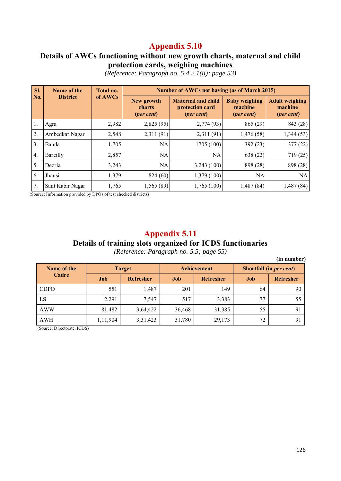#### **Details of AWCs functioning without new growth charts, maternal and child protection cards, weighing machines**

| SI. | Name of the      | Total no. |                                             | <b>Number of AWCs not having (as of March 2015)</b>                 |                                                        |                                                         |  |  |  |  |
|-----|------------------|-----------|---------------------------------------------|---------------------------------------------------------------------|--------------------------------------------------------|---------------------------------------------------------|--|--|--|--|
| No. | <b>District</b>  | of AWCs   | New growth<br>charts<br>( <i>per cent</i> ) | <b>Maternal and child</b><br>protection card<br>( <i>per cent</i> ) | <b>Baby weighing</b><br>machine<br>( <i>per cent</i> ) | <b>Adult weighing</b><br>machine<br>( <i>per cent</i> ) |  |  |  |  |
| 1.  | Agra             | 2,982     | 2,825(95)                                   | 2,774 (93)                                                          | 865 (29)                                               | 843 (28)                                                |  |  |  |  |
| 2.  | Ambedkar Nagar   | 2,548     | 2,311 (91)                                  | 2,311 (91)                                                          | 1,476(58)                                              | 1,344(53)                                               |  |  |  |  |
| 3.  | Banda            | 1,705     | <b>NA</b>                                   | 1705 (100)                                                          | 392(23)                                                | 377(22)                                                 |  |  |  |  |
| 4.  | Bareilly         | 2,857     | <b>NA</b>                                   | NA                                                                  | 638 (22)                                               | 719(25)                                                 |  |  |  |  |
| 5.  | Deoria           | 3,243     | <b>NA</b>                                   | 3,243(100)                                                          | 898 (28)                                               | 898 (28)                                                |  |  |  |  |
| 6.  | <b>Jhansi</b>    | 1,379     | 824 (60)                                    | 1,379(100)                                                          | <b>NA</b>                                              | <b>NA</b>                                               |  |  |  |  |
| 7.  | Sant Kabir Nagar | 1,765     | 1,565(89)                                   | 1,765(100)                                                          | 1,487 (84)                                             | 1,487(84)                                               |  |  |  |  |

*(Reference: Paragraph no. 5.4.2.1(ii); page 53)* 

(Source: Information provided by DPOs of test checked districts)

#### **Appendix 5.11**

#### **Details of training slots organized for ICDS functionaries**

*(Reference: Paragraph no. 5.5; page 55)* 

**(in number)** 

| Name of the |          | <b>Target</b>    |        | <b>Achievement</b> | Shortfall (in <i>per cent</i> ) |           |  |
|-------------|----------|------------------|--------|--------------------|---------------------------------|-----------|--|
| Cadre       | Job      | <b>Refresher</b> | Job    | <b>Refresher</b>   | Job                             | Refresher |  |
| <b>CDPO</b> | 551      | 1,487            | 201    | 149                | 64                              | 90        |  |
| LS          | 2,291    | 7,547            | 517    | 3,383              | 77                              | 55        |  |
| <b>AWW</b>  | 81,482   | 3,64,422         | 36,468 | 31,385             | 55                              | 91        |  |
| <b>AWH</b>  | 1,11,904 | 3,31,423         | 31,780 | 29,173             | 72                              | 91        |  |

(Source: Directorate, ICDS)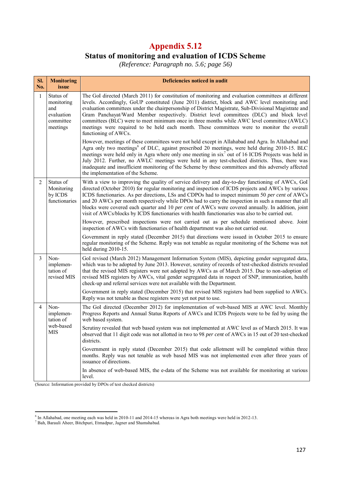# **Status of monitoring and evaluation of ICDS Scheme**

*(Reference: Paragraph no. 5.6; page 56)* 

| SI.<br>No.     | <b>Monitoring</b><br>issue                                            | Deficiencies noticed in audit                                                                                                                                                                                                                                                                                                                                                                                                                                                                                                                                                                                                   |
|----------------|-----------------------------------------------------------------------|---------------------------------------------------------------------------------------------------------------------------------------------------------------------------------------------------------------------------------------------------------------------------------------------------------------------------------------------------------------------------------------------------------------------------------------------------------------------------------------------------------------------------------------------------------------------------------------------------------------------------------|
| $\mathbf{1}$   | Status of<br>monitoring<br>and<br>evaluation<br>committee<br>meetings | The GoI directed (March 2011) for constitution of monitoring and evaluation committees at different<br>levels. Accordingly, GoUP constituted (June 2011) district, block and AWC level monitoring and<br>evaluation committees under the chairpersonship of District Magistrate, Sub-Divisional Magistrate and<br>Gram Panchayat/Ward Member respectively. District level committees (DLC) and block level<br>committees (BLC) were to meet minimum once in three months while AWC level committee (AWLC)<br>meetings were required to be held each month. These committees were to monitor the overall<br>functioning of AWCs. |
|                |                                                                       | However, meetings of these committees were not held except in Allahabad and Agra. In Allahabad and<br>Agra only two meetings <sup>6</sup> of DLC, against prescribed 20 meetings, were held during 2010-15. BLC<br>meetings were held only in Agra where only one meeting in six <sup>7</sup> out of 16 ICDS Projects was held in<br>July 2012. Further, no AWLC meetings were held in any test-checked districts. Thus, there was<br>inadequate and insufficient monitoring of the Scheme by these committees and this adversely affected<br>the implementation of the Scheme.                                                 |
| $\overline{2}$ | Status of<br>Monitoring<br>by ICDS<br>functionaries                   | With a view to improving the quality of service delivery and day-to-day functioning of AWCs, GoI<br>directed (October 2010) for regular monitoring and inspection of ICDS projects and AWCs by various<br>ICDS functionaries. As per directions, LSs and CDPOs had to inspect minimum 50 per cent of AWCs<br>and 20 AWCs per month respectively while DPOs had to carry the inspection in such a manner that all<br>blocks were covered each quarter and 10 per cent of AWCs were covered annually. In addition, joint<br>visit of AWCs/blocks by ICDS functionaries with health functionaries was also to be carried out.      |
|                |                                                                       | However, prescribed inspections were not carried out as per schedule mentioned above. Joint<br>inspection of AWCs with functionaries of health department was also not carried out.                                                                                                                                                                                                                                                                                                                                                                                                                                             |
|                |                                                                       | Government in reply stated (December 2015) that directions were issued in October 2015 to ensure<br>regular monitoring of the Scheme. Reply was not tenable as regular monitoring of the Scheme was not<br>held during 2010-15.                                                                                                                                                                                                                                                                                                                                                                                                 |
| 3              | Non-<br>implemen-<br>tation of<br>revised MIS                         | GoI revised (March 2012) Management Information System (MIS), depicting gender segregated data,<br>which was to be adopted by June 2013. However, scrutiny of records of test-checked districts revealed<br>that the revised MIS registers were not adopted by AWCs as of March 2015. Due to non-adoption of<br>revised MIS registers by AWCs, vital gender segregated data in respect of SNP, immunization, health<br>check-up and referral services were not available with the Department.                                                                                                                                   |
|                |                                                                       | Government in reply stated (December 2015) that revised MIS registers had been supplied to AWCs.<br>Reply was not tenable as these registers were yet not put to use.                                                                                                                                                                                                                                                                                                                                                                                                                                                           |
| $\overline{4}$ | Non-<br>implemen-<br>tation of                                        | The GoI directed (December 2012) for implementation of web-based MIS at AWC level. Monthly<br>Progress Reports and Annual Status Reports of AWCs and ICDS Projects were to be fed by using the<br>web based system.                                                                                                                                                                                                                                                                                                                                                                                                             |
|                | web-based<br><b>MIS</b>                                               | Scrutiny revealed that web based system was not implemented at AWC level as of March 2015. It was<br>observed that 11 digit code was not allotted in two to 98 per cent of AWCs in 15 out of 20 test-checked<br>districts.                                                                                                                                                                                                                                                                                                                                                                                                      |
|                |                                                                       | Government in reply stated (December 2015) that code allotment will be completed within three<br>months. Reply was not tenable as web based MIS was not implemented even after three years of<br>issuance of directions.                                                                                                                                                                                                                                                                                                                                                                                                        |
|                |                                                                       | In absence of web-based MIS, the e-data of the Scheme was not available for monitoring at various<br>level.                                                                                                                                                                                                                                                                                                                                                                                                                                                                                                                     |

(Source: Information provided by DPOs of test checked districts)

e<br>The Allahabad, one meeting each was held in 2010-11 and 2014-15 whereas in Agra both meetings were held in 2012-13.<br><sup>7</sup> Bah, Barauli Aheer, Bitchpuri, Etmadpur, Jagner and Shamshabad.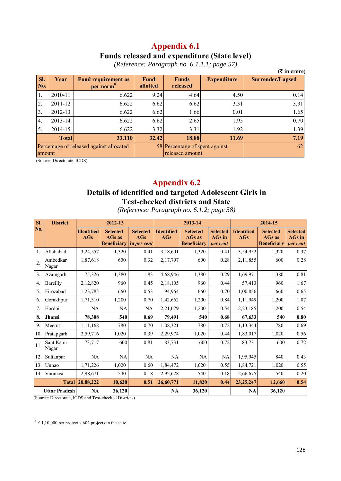#### **Appendix 6.1 Funds released and expenditure (State level)**

|            |              |                                          |                         |                                                   |                    | $(3 \nvert \mathbf{r})$ in crore) |
|------------|--------------|------------------------------------------|-------------------------|---------------------------------------------------|--------------------|-----------------------------------|
| SI.<br>No. | Year         | <b>Fund requirement as</b><br>per norm   | <b>Fund</b><br>allotted | <b>Funds</b><br>released                          | <b>Expenditure</b> | <b>Surrender/Lapsed</b>           |
| 1.         | 2010-11      | 6.622                                    | 9.24                    | 4.64                                              | 4.50               | 0.14                              |
| 2.         | 2011-12      | 6.622                                    | 6.62                    | 6.62                                              | 3.31               | 3.31                              |
| 3.         | 2012-13      | 6.622                                    | 6.62                    | 1.66                                              | 0.01               | 1.65                              |
| 4.         | 2013-14      | 6.622                                    | 6.62                    | 2.65                                              | 1.95               | 0.70                              |
| 5.         | 2014-15      | 6.622                                    | 3.32                    | 3.31                                              | 1.92               | 1.39                              |
|            | <b>Total</b> | 33.110                                   | 32.42                   | 18.88                                             | 11.69              | 7.19                              |
| amount     |              | Percentage of released against allocated |                         | 58 Percentage of spent against<br>released amount |                    | 62                                |

*(Reference: Paragraph no. 6.1.1.1; page 57)* 

(Source: Directorate, ICDS)

## **Appendix 6.2**

## **Details of identified and targeted Adolescent Girls in Test-checked districts and State**

| SI.              | <b>District</b>      |                          | 2012-13                                                                   |                        |                                 | 2013-14                                         |                                              |                                 | 2014-15                                                |                                       |
|------------------|----------------------|--------------------------|---------------------------------------------------------------------------|------------------------|---------------------------------|-------------------------------------------------|----------------------------------------------|---------------------------------|--------------------------------------------------------|---------------------------------------|
| No.              |                      | <b>Identified</b><br>AGs | <b>Selected</b><br><b>AGs</b> as<br><b>Beneficiary</b> in <i>per cent</i> | <b>Selected</b><br>AGs | <b>Identified</b><br><b>AGs</b> | <b>Selected</b><br>AGs as<br><b>Beneficiary</b> | <b>Selected</b><br><b>AGs</b> in<br>per cent | <b>Identified</b><br><b>AGs</b> | <b>Selected</b><br><b>AGs</b> as<br><b>Beneficiary</b> | <b>Selected</b><br>AGs in<br>per cent |
| 1.               | Allahabad            | 3,24,557                 | 1,320                                                                     | 0.41                   | 3,18,601                        | 1,320                                           | 0.41                                         | 3,54,952                        | 1,320                                                  | 0.37                                  |
| $\overline{2}$ . | Ambedkar<br>Nagar    | 1,87,618                 | 600                                                                       | 0.32                   | 2,17,797                        | 600                                             | 0.28                                         | 2,11,855                        | 600                                                    | 0.28                                  |
| 3.               | Azamgarh             | 75,326                   | 1,380                                                                     | 1.83                   | 4,68,946                        | 1,380                                           | 0.29                                         | 1,69,971                        | 1,380                                                  | 0.81                                  |
| $\overline{4}$ . | Bareilly             | 2,12,820                 | 960                                                                       | 0.45                   | 2,18,105                        | 960                                             | 0.44                                         | 57,413                          | 960                                                    | 1.67                                  |
| 5.               | Firozabad            | 1,23,785                 | 660                                                                       | 0.53                   | 94,964                          | 660                                             | 0.70                                         | 1,00,856                        | 660                                                    | 0.65                                  |
| 6.               | Gorakhpur            | 1,71,310                 | 1,200                                                                     | 0.70                   | 1,42,662                        | 1,200                                           | 0.84                                         | 1,11,949                        | 1,200                                                  | 1.07                                  |
| 7.               | Hardoi               | NA                       | NA                                                                        | NA                     | 2,21,079                        | 1,200                                           | 0.54                                         | 2,23,185                        | 1,200                                                  | 0.54                                  |
| 8.               | Jhansi               | 78,308                   | 540                                                                       | 0.69                   | 79,491                          | 540                                             | 0.68                                         | 67,633                          | 540                                                    | 0.80                                  |
| 9.               | Meerut               | 1,11,168                 | 780                                                                       | 0.70                   | 1,08,321                        | 780                                             | 0.72                                         | 1,13,344                        | 780                                                    | 0.69                                  |
| 10.              | Pratapgarh           | 2,59,716                 | 1,020                                                                     | 0.39                   | 2,29,974                        | 1,020                                           | 0.44                                         | 1,83,017                        | 1,020                                                  | 0.56                                  |
| 11.              | Sant Kabir<br>Nagar  | 73,717                   | 600                                                                       | 0.81                   | 83,731                          | 600                                             | 0.72                                         | 83,731                          | 600                                                    | 0.72                                  |
| 12.              | Sultanpur            | NA                       | NA                                                                        | NA                     | NA                              | <b>NA</b>                                       | NA                                           | 1,95,945                        | 840                                                    | 0.43                                  |
| 13.              | Unnao                | 1,71,226                 | 1,020                                                                     | 0.60                   | 1,84,472                        | 1,020                                           | 0.55                                         | 1,84,721                        | 1,020                                                  | 0.55                                  |
| 14.              | Varanasi             | 2,98,671                 | 540                                                                       | 0.18                   | 2,92,628                        | 540                                             | 0.18                                         | 2,66,675                        | 540                                                    | 0.20                                  |
|                  | <b>Total</b>         | 20,88,222                | 10,620                                                                    | 0.51                   | 26,60,771                       | 11,820                                          | 0.44                                         | 23, 25, 247                     | 12,660                                                 | 0.54                                  |
|                  | <b>Uttar Pradesh</b> | <b>NA</b>                | 36,120                                                                    |                        | <b>NA</b>                       | 36,120                                          |                                              | <b>NA</b>                       | 36,120                                                 |                                       |

*(Reference: Paragraph no. 6.1.2; page 58)* 

(Source: Directorate, ICDS and Test-checked Districts)

 $8 \overline{\text{ }2} 1,10,000$  per project x 602 projects in the state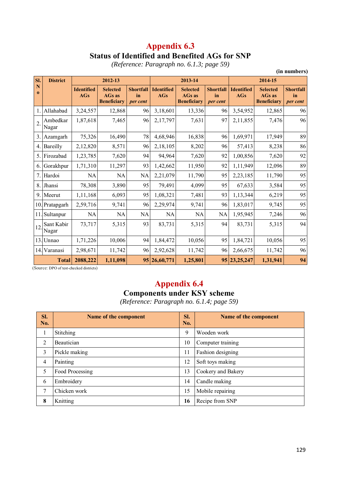## **Appendix 6.3 Status of Identified and Benefited AGs for SNP**

*(Reference: Paragraph no. 6.1.3; page 59)* 

|                  |                     |                                 |                                                        |                                    |                                 |                                                        |                                    |                                 |                                                        | (in numbers)                       |
|------------------|---------------------|---------------------------------|--------------------------------------------------------|------------------------------------|---------------------------------|--------------------------------------------------------|------------------------------------|---------------------------------|--------------------------------------------------------|------------------------------------|
| SI.              | <b>District</b>     |                                 | 2012-13                                                |                                    |                                 | 2013-14                                                |                                    |                                 | 2014-15                                                |                                    |
| N<br>$\bf{0}$    |                     | <b>Identified</b><br><b>AGs</b> | <b>Selected</b><br><b>AGs</b> as<br><b>Beneficiary</b> | <b>Shortfall</b><br>in<br>per cent | <b>Identified</b><br><b>AGs</b> | <b>Selected</b><br><b>AGs</b> as<br><b>Beneficiary</b> | <b>Shortfall</b><br>in<br>per cent | <b>Identified</b><br><b>AGs</b> | <b>Selected</b><br><b>AGs</b> as<br><b>Beneficiary</b> | <b>Shortfall</b><br>in<br>per cent |
| 1.               | Allahabad           | 3,24,557                        | 12,868                                                 | 96                                 | 3,18,601                        | 13,336                                                 | 96                                 | 3,54,952                        | 12,865                                                 | 96                                 |
| $\overline{2}$ . | Ambedkar<br>Nagar   | 1,87,618                        | 7,465                                                  | 96                                 | 2,17,797                        | 7,631                                                  | 97                                 | 2,11,855                        | 7,476                                                  | 96                                 |
| 3.               | Azamgarh            | 75,326                          | 16,490                                                 | 78                                 | 4,68,946                        | 16,838                                                 | 96                                 | 1,69,971                        | 17,949                                                 | 89                                 |
| 4.1              | Bareilly            | 2,12,820                        | 8,571                                                  | 96                                 | 2,18,105                        | 8,202                                                  | 96                                 | 57,413                          | 8,238                                                  | 86                                 |
|                  | 5. Firozabad        | 1,23,785                        | 7,620                                                  | 94                                 | 94,964                          | 7,620                                                  | 92                                 | 1,00,856                        | 7,620                                                  | 92                                 |
| 6.               | Gorakhpur           | 1,71,310                        | 11,297                                                 | 93                                 | 1,42,662                        | 11,950                                                 | 92                                 | 1,11,949                        | 12,096                                                 | 89                                 |
| 7.               | Hardoi              | NA                              | NA                                                     | <b>NA</b>                          | 2,21,079                        | 11,790                                                 | 95                                 | 2,23,185                        | 11,790                                                 | 95                                 |
| 8.               | Jhansi              | 78,308                          | 3,890                                                  | 95                                 | 79,491                          | 4,099                                                  | 95                                 | 67,633                          | 3,584                                                  | 95                                 |
|                  | 9. Meerut           | 1,11,168                        | 6,093                                                  | 95                                 | 1,08,321                        | 7,481                                                  | 93                                 | 1,13,344                        | 6,219                                                  | 95                                 |
|                  | 10. Pratapgarh      | 2,59,716                        | 9,741                                                  | 96                                 | 2,29,974                        | 9,741                                                  | 96                                 | 1,83,017                        | 9,745                                                  | 95                                 |
|                  | 11. Sultanpur       | NA                              | NA                                                     | <b>NA</b>                          | <b>NA</b>                       | NA                                                     | <b>NA</b>                          | 1,95,945                        | 7,246                                                  | 96                                 |
| 12               | Sant Kabir<br>Nagar | 73,717                          | 5,315                                                  | 93                                 | 83,731                          | 5,315                                                  | 94                                 | 83,731                          | 5,315                                                  | 94                                 |
|                  | 13. Unnao           | 1,71,226                        | 10,006                                                 | 94                                 | 1,84,472                        | 10,056                                                 | 95                                 | 1,84,721                        | 10,056                                                 | 95                                 |
|                  | 14. Varanasi        | 2,98,671                        | 11,742                                                 | 96                                 | 2,92,628                        | 11,742                                                 | 96                                 | 2,66,675                        | 11,742                                                 | 96                                 |
|                  | <b>Total</b>        | 2088,222                        | 1,11,098                                               |                                    | 95 26,60,771                    | 1,25,801                                               |                                    | 95 23, 25, 247                  | 1,31,941                                               | 94                                 |

(Source: DPO of test-checked districts)

# **Appendix 6.4**

## **Components under KSY scheme**

*(Reference: Paragraph no. 6.1.4; page 59)* 

| SI.<br>No.     | Name of the component | SI.<br>No. | Name of the component |
|----------------|-----------------------|------------|-----------------------|
| 1              | Stitching             | 9          | Wooden work           |
| $\overline{2}$ | Beautician            | 10         | Computer training     |
| 3              | Pickle making         | 11         | Fashion designing     |
| $\overline{4}$ | Painting              | 12         | Soft toys making      |
| 5              | Food Processing       | 13         | Cookery and Bakery    |
| 6              | Embroidery            | 14         | Candle making         |
| 7              | Chicken work          | 15         | Mobile repairing      |
| 8              | Knitting              | 16         | Recipe from SNP       |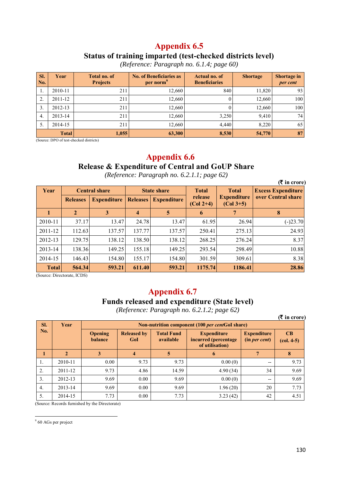#### **Status of training imparted (test-checked districts level)**

| SI.<br>No. | <b>Total no. of</b><br>Year<br><b>Projects</b> |       | <b>No. of Beneficiaries as</b><br>per norm <sup>3</sup> | Actual no. of<br><b>Beneficiaries</b> | <b>Shortage</b> | <b>Shortage in</b><br>per cent |
|------------|------------------------------------------------|-------|---------------------------------------------------------|---------------------------------------|-----------------|--------------------------------|
| 1.         | 2010-11                                        | 211   | 12,660                                                  | 840                                   | 11,820          | 93                             |
| 2.         | 2011-12                                        | 211   | 12,660                                                  |                                       | 12,660          | 100                            |
| 3.         | 2012-13                                        | 211   | 12,660                                                  |                                       | 12.660          | 100                            |
| 4.         | 2013-14                                        | 211   | 12,660                                                  | 3,250                                 | 9,410           | 74 <sub>1</sub>                |
| 5.         | 2014-15                                        | 211   | 12,660                                                  | 4,440                                 | 8.220           | 65                             |
|            | <b>Total</b>                                   | 1,055 | 63,300                                                  | 8,530                                 | 54,770          | 87                             |

*(Reference: Paragraph no. 6.1.4; page 60)* 

(Source: DPO of test-checked districts)

# **Appendix 6.6**

## **Release & Expenditure of Central and GoUP Share**

*(Reference: Paragraph no. 6.2.1.1; page 62)* 

|              |                 |                                       |                    | $\omega$           |                        |                                   | $(3 \nvert \mathbf{r})$ in crore) |
|--------------|-----------------|---------------------------------------|--------------------|--------------------|------------------------|-----------------------------------|-----------------------------------|
| Year         |                 | <b>Central share</b>                  | <b>State share</b> |                    | <b>Total</b>           | <b>Total</b>                      | <b>Excess Expenditure</b>         |
|              | <b>Releases</b> | <b>Expenditure</b><br><b>Releases</b> |                    | <b>Expenditure</b> | release<br>$(Col 2+4)$ | <b>Expenditure</b><br>$(Col 3+5)$ | over Central share                |
|              | 2               | 3                                     | 4                  | 5                  | 6                      |                                   | 8                                 |
| 2010-11      | 37.17           | 13.47                                 | 24.78              | 13.47              | 61.95                  | 26.94                             | $(-)23.70$                        |
| $2011 - 12$  | 112.63          | 137.57                                | 137.77             | 137.57             | 250.41                 | 275.13                            | 24.93                             |
| 2012-13      | 129.75          | 138.12                                | 138.50             | 138.12             | 268.25                 | 276.24                            | 8.37                              |
| 2013-14      | 138.36          | 149.25                                | 155.18             | 149.25             | 293.54                 | 298.49                            | 10.88                             |
| 2014-15      | 146.43          | 154.80                                | 155.17             | 154.80             | 301.59                 | 309.61                            | 8.38                              |
| <b>Total</b> | 564.34          | 593.21                                | 611.40             | 593.21             | 1175.74                | 1186.41                           | 28.86                             |

(Source: Directorate, ICDS)

## **Appendix 6.7**

#### **Funds released and expenditure (State level)**

*(Reference: Paragraph no. 6.2.1.2; page 62)* 

**(**` **in crore)** 

| SI.              | Year         |                           | Non-nutrition component (100 per centGoI share) |                                |                                                               |                                     |                    |  |  |  |  |
|------------------|--------------|---------------------------|-------------------------------------------------|--------------------------------|---------------------------------------------------------------|-------------------------------------|--------------------|--|--|--|--|
| No.              |              | <b>Opening</b><br>balance | <b>Released by</b><br>GoI                       | <b>Total Fund</b><br>available | <b>Expenditure</b><br>incurred (percentage<br>of utilisation) | <b>Expenditure</b><br>(in per cent) | CB<br>$(col. 4-5)$ |  |  |  |  |
|                  | $\mathbf{2}$ |                           |                                                 | $\overline{5}$                 | 6                                                             |                                     | 8                  |  |  |  |  |
| 1.               | 2010-11      | 0.00                      | 9.73                                            | 9.73                           | 0.00(0)                                                       | --                                  | 9.73               |  |  |  |  |
| 2.               | 2011-12      | 9.73                      | 4.86                                            | 14.59                          | 4.90(34)                                                      | 34                                  | 9.69               |  |  |  |  |
| 3.               | 2012-13      | 9.69                      | 0.00                                            | 9.69                           | 0.00(0)                                                       | $- -$                               | 9.69               |  |  |  |  |
| $\overline{4}$ . | 2013-14      | 9.69                      | 0.00                                            | 9.69                           | 1.96(20)                                                      | 20                                  | 7.73               |  |  |  |  |
| 5.               | 2014-15      | 7.73                      | 0.00                                            | 7.73                           | 3.23(42)                                                      | 42                                  | 4.51               |  |  |  |  |

(Source: Records furnished by the Directorate)

 9 60 AGs per project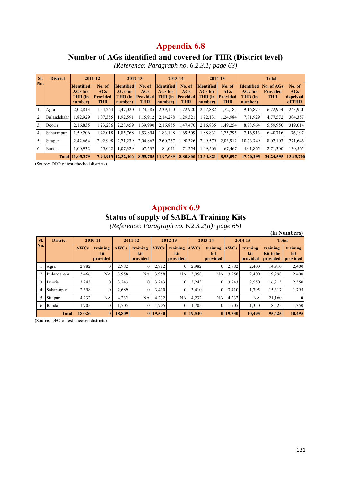#### **Number of AGs identified and covered for THR (District level)**

*(Reference: Paragraph no. 6.2.3.1; page 63)* 

| SI.              | <b>District</b> |                                                           | 2011-12                                        | 2012-13                                                   |                                                 | 2013-14                                                   |                                         | 2014-15                                                   |                                                |                                                           | <b>Total</b>                                |                                     |
|------------------|-----------------|-----------------------------------------------------------|------------------------------------------------|-----------------------------------------------------------|-------------------------------------------------|-----------------------------------------------------------|-----------------------------------------|-----------------------------------------------------------|------------------------------------------------|-----------------------------------------------------------|---------------------------------------------|-------------------------------------|
| No.              |                 | <b>Identified</b><br><b>AGs for</b><br>THR (in<br>number) | No. of<br>AGs<br><b>Provided</b><br><b>THR</b> | <b>Identified</b><br><b>AGs for</b><br>THR (in<br>number) | No. of<br><b>AGs</b><br>Provided?<br><b>THR</b> | <b>Identified</b><br><b>AGs for</b><br>THR (in<br>number) | No. of<br>AGs<br>Provided<br><b>THR</b> | <b>Identified</b><br><b>AGs for</b><br>THR (in<br>number) | No. of<br>AGs<br><b>Provided</b><br><b>THR</b> | <b>Identified</b><br><b>AGs for</b><br>THR (in<br>number) | No. of AGs<br><b>Provided</b><br><b>THR</b> | No. of<br>AGs<br>deprived<br>of THR |
| 1.               | Agra            | 2,02,813                                                  | 1,54,264                                       | 2,47,020                                                  | 1,73,585                                        | 2,39,160                                                  | 1,72,920                                | 2,27,882                                                  | 1,72,185                                       | 9,16,875                                                  | 6,72,954                                    | 243,921                             |
| 2.               | Bulandshahr     | 1,82,929                                                  | 1,07,355                                       | 1,92,591                                                  | 1,15,912                                        | 2,14,278                                                  | 1,29,321                                | 1,92,131                                                  | .24,984                                        | 7,81,929                                                  | 4,77,572                                    | 304,357                             |
| 3.               | Deoria          | 2,16,835                                                  | 1,23,236                                       | 2,28,459                                                  | 1,39,990                                        | 2,16,835                                                  | 1,47,470                                | 2,16,835                                                  | 1,49,254                                       | 8,78,964                                                  | 5,59,950                                    | 319,014                             |
| $\overline{4}$ . | Saharanpur      | 1,59,206                                                  | 1,42,018                                       | 1,85,768                                                  | 1,53,894                                        | 1,83,108                                                  | 1,69,509                                | 1,88,831                                                  | 1,75,295                                       | 7,16,913                                                  | 6,40,716                                    | 76,197                              |
| 5.               | Sitapur         | 2,42,664                                                  | 2,02,998                                       | 2,71,239                                                  | 2,04,867                                        | 2,60,267                                                  | 1,90,326                                | 2,99,579                                                  | 2,03,912                                       | 10,73,749                                                 | 8,02,103                                    | 271,646                             |
| 6.               | Banda           | 1,00,932                                                  | 65,042                                         | 1,07,329                                                  | 67,537                                          | 84,041                                                    | 71.254                                  | 1,09,563                                                  | 67,467                                         | 4,01,865                                                  | 2,71,300                                    | 130,565                             |
|                  |                 | Total 11,05,379                                           |                                                | 7,94,913   12,32,406                                      |                                                 | 8,55,785 11,97,689                                        | 8,80,800                                | 12,34,821                                                 | 8,93,097                                       | 47,70,295                                                 | 34,24,595                                   | 13,45,700                           |

(Source: DPO of test-checked districts)

#### **Appendix 6.9 Status of supply of SABLA Training Kits**

*(Reference: Paragraph no. 6.2.3.2(ii); page 65)* 

|     |                 |             |                             | $\cdot$ .   |                             | $\cdots$    |                             |             | $\cdots$ , $\cdots$ $\cdots$ |             |                             |                                   | (in Numbers)                |
|-----|-----------------|-------------|-----------------------------|-------------|-----------------------------|-------------|-----------------------------|-------------|------------------------------|-------------|-----------------------------|-----------------------------------|-----------------------------|
| SI. | <b>District</b> |             | 2010-11                     |             | 2011-12                     |             | 2012-13                     |             | 2013-14                      |             | 2014-15                     | <b>Total</b>                      |                             |
| No. |                 | <b>AWCs</b> | training<br>kit<br>provided | <b>AWCs</b> | training<br>kit<br>provided | <b>AWCs</b> | training<br>kit<br>provided | <b>AWCs</b> | training<br>kit<br>provided  | <b>AWCs</b> | training<br>kit<br>provided | training<br>Kit to be<br>provided | training<br>kit<br>provided |
|     | 1. Agra         | 2,982       | $\overline{0}$              | 2,982       | $\theta$                    | 2,982       | $\overline{0}$              | 2,982       | $\overline{0}$               | 2,982       | 2,400                       | 14,910                            | 2,400                       |
| 2.  | Bulandshahr     | 3,466       | NA                          | 3,958       | NA                          | 3,958       | NA                          | 3,958       | NA                           | 3,958       | 2,400                       | 19,298                            | 2,400                       |
|     | 3. Deoria       | 3,243       | $\overline{0}$              | 3,243       | $\theta$                    | 3,243       | $\Omega$                    | 3,243       |                              | 3,243       | 2,550                       | 16,215                            | 2,550                       |
|     | 4. Saharanpur   | 2,398       | $\overline{0}$              | 2,689       | $\Omega$                    | 3,410       | $\Omega$                    | 3,410       | $\overline{0}$               | 3,410       | 1,795                       | 15,317                            | 1,795                       |
|     | 5. Sitapur      | 4,232       | NA                          | 4,232       | NA                          | 4,232       | NA                          | 4,232       | NA                           | 4,232       | NA                          | 21,160                            | $\theta$                    |
|     | 6. Banda        | 1,705       | $\overline{0}$              | 1,705       | $\theta$                    | 1,705       | $\Omega$                    | 1,705       | $\overline{0}$               | 1,705       | 1,350                       | 8,525                             | 1,350                       |
|     | <b>Total</b>    | 18,026      | $\mathbf{0}$                | 18,809      | $\bf{0}$                    | 19,530      |                             | 0 19,530    |                              | 0 19,530    | 10,495                      | 95,425                            | 10,495                      |

(Source: DPO of test-checked districts)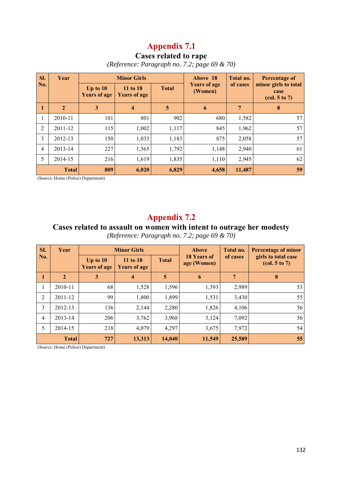## **Cases related to rape**

*(Reference: Paragraph no. 7.2; page 69 & 70)* 

| Sl.            | Year         |                                   | <b>Minor Girls</b>              |              | Above 18                       | Total no.      | Percentage of                                                                 |  |
|----------------|--------------|-----------------------------------|---------------------------------|--------------|--------------------------------|----------------|-------------------------------------------------------------------------------|--|
| No.            |              | Up to $10$<br><b>Years of age</b> | 11 to 18<br><b>Years of age</b> | <b>Total</b> | <b>Years of age</b><br>(Women) | of cases       | minor girls to total<br>case<br>$\left( \text{col. } 5 \text{ to } 7 \right)$ |  |
| 1              | $\mathbf{2}$ | $\mathbf{3}$                      | $\overline{\mathbf{4}}$         | 5            | 6                              | $\overline{7}$ | 8                                                                             |  |
| 1              | 2010-11      | 101                               | 801                             | 902          | 680                            | 1,582          | 57                                                                            |  |
| 2              | 2011-12      | 115                               | 1,002                           | 1,117        | 845                            | 1,962          | 57                                                                            |  |
| 3              | 2012-13      | 150                               | 1,033                           | 1,183        | 875                            | 2,058          | 57                                                                            |  |
| $\overline{4}$ | 2013-14      | 227                               | 1,565                           | 1,792        | 1,148                          | 2,940          | 61                                                                            |  |
| 5              | 2014-15      | 216                               | 1,619                           | 1,835        | 1,110                          | 2,945          | 62                                                                            |  |
|                | <b>Total</b> | 809                               | 6,020                           | 6,829        | 4,658                          | 11,487         | 59                                                                            |  |

(Source: Home (Police) Department)

## **Appendix 7.2**

#### **Cases related to assault on women with intent to outrage her modesty**

*(Reference: Paragraph no. 7.2; page 69 & 70)* 

| SI.            | Year         |                                   | <b>Minor Girls</b>              |              | <b>Above</b>               | Total no. | <b>Percentage of minor</b><br>girls to total case<br>$\left( \text{col. } 5 \text{ to } 7 \right)$ |  |
|----------------|--------------|-----------------------------------|---------------------------------|--------------|----------------------------|-----------|----------------------------------------------------------------------------------------------------|--|
| No.            |              | Up to $10$<br><b>Years of age</b> | 11 to 18<br><b>Years of age</b> | <b>Total</b> | 18 Years of<br>age (Women) | of cases  |                                                                                                    |  |
| $\mathbf{1}$   | $\mathbf{2}$ | 3                                 | $\overline{4}$                  | 5            | 6                          | 7         | 8                                                                                                  |  |
| 1              | 2010-11      | 68                                | 1,528                           | 1,596        | 1,393                      | 2,989     | 53                                                                                                 |  |
| 2              | 2011-12      | 99                                | 1,800                           | 1,899        | 1,531                      | 3,430     | 55                                                                                                 |  |
| 3              | 2012-13      | 136                               | 2,144                           | 2,280        | 1,826                      | 4,106     | 56                                                                                                 |  |
| $\overline{4}$ | 2013-14      | 206                               | 3,762                           | 3,968        | 3,124                      | 7,092     | 56                                                                                                 |  |
| 5              | 2014-15      | 218                               | 4,079                           | 4,297        | 3,675                      | 7,972     | 54                                                                                                 |  |
|                | <b>Total</b> | 727                               | 13,313                          | 14,040       | 11,549                     | 25,589    | 55                                                                                                 |  |

(Source: Home (Police) Department)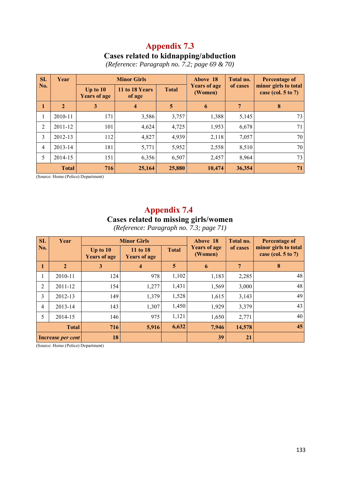#### **Cases related to kidnapping/abduction**

|  |  | (Reference: Paragraph no. 7.2; page 69 $\&$ 70) |
|--|--|-------------------------------------------------|
|--|--|-------------------------------------------------|

| SI.            | Year           |                                   | <b>Minor Girls</b>       |              | Above 18                       | Total no. | <b>Percentage of</b><br>minor girls to total<br>case (col. $5$ to $7$ ) |  |
|----------------|----------------|-----------------------------------|--------------------------|--------------|--------------------------------|-----------|-------------------------------------------------------------------------|--|
| No.            |                | Up to $10$<br><b>Years of age</b> | 11 to 18 Years<br>of age | <b>Total</b> | <b>Years of age</b><br>(Women) | of cases  |                                                                         |  |
| 1              | $\overline{2}$ | 3                                 | $\overline{\mathbf{4}}$  | 5            | 6                              | 7         | 8                                                                       |  |
| л.             | 2010-11        | 171                               | 3,586                    | 3,757        | 1,388                          | 5,145     | 73                                                                      |  |
| 2              | 2011-12        | 101                               | 4,624                    | 4,725        | 1,953                          | 6,678     | 71                                                                      |  |
| 3              | 2012-13        | 112                               | 4,827                    | 4,939        | 2,118                          | 7,057     | 70                                                                      |  |
| $\overline{4}$ | 2013-14        | 181                               | 5,771                    | 5,952        | 2,558                          | 8,510     | 70                                                                      |  |
| 5              | 2014-15        | 151                               | 6,356                    | 6,507        | 2,457                          | 8,964     | 73                                                                      |  |
|                | <b>Total</b>   | 716                               | 25,164                   | 25,880       | 10,474                         | 36,354    | 71                                                                      |  |

(Source: Home (Police) Department)

# **Appendix 7.4 Cases related to missing girls/women**

*(Reference: Paragraph no. 7.3; page 71)* 

| SI.            | Year                     |                                   | <b>Minor Girls</b>              |              | Above 18                       | Total no. | Percentage of<br>minor girls to total<br>case (col. $5$ to $7$ ) |  |
|----------------|--------------------------|-----------------------------------|---------------------------------|--------------|--------------------------------|-----------|------------------------------------------------------------------|--|
| No.            |                          | Up to $10$<br><b>Years of age</b> | 11 to 18<br><b>Years of age</b> | <b>Total</b> | <b>Years of age</b><br>(Women) | of cases  |                                                                  |  |
| $\mathbf{1}$   | $\overline{2}$           | 3                                 | 4                               | 5            | 6                              | 7         | 8                                                                |  |
| 1              | 2010-11                  | 124                               | 978                             | 1,102        | 1,183                          | 2,285     | 48                                                               |  |
| 2              | 2011-12                  | 154                               | 1,277                           | 1,431        | 1,569                          | 3,000     | 48                                                               |  |
| 3              | 2012-13                  | 149                               | 1,379                           | 1,528        | 1,615                          | 3,143     | 49                                                               |  |
| $\overline{4}$ | 2013-14                  | 143                               | 1,307                           | 1,450        | 1,929                          | 3,379     | 43                                                               |  |
| 5              | 2014-15                  | 146                               | 975                             | 1,121        | 1,650                          | 2,771     | 40                                                               |  |
|                | <b>Total</b>             | 716                               | 5,916                           | 6,632        | 7,946                          | 14,578    | 45                                                               |  |
|                | Increase <i>per cent</i> | 18                                |                                 |              | 39                             | 21        |                                                                  |  |

(Source: Home (Police) Department)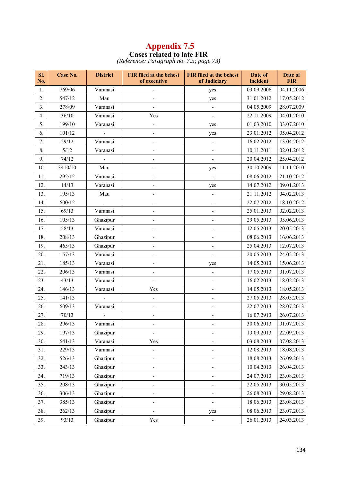#### **Appendix 7.5 Cases related to late FIR**

*(Reference: Paragraph no. 7.5; page 73)* 

| SI.<br>No. | Case No. | <b>District</b> | <b>FIR filed at the behest</b><br>of executive | <b>FIR filed at the behest</b><br>of Judiciary | Date of<br>incident | Date of<br><b>FIR</b> |
|------------|----------|-----------------|------------------------------------------------|------------------------------------------------|---------------------|-----------------------|
| 1.         | 769/06   | Varanasi        |                                                | yes                                            | 03.09.2006          | 04.11.2006            |
| 2.         | 547/12   | Mau             |                                                | yes                                            | 31.01.2012          | 17.05.2012            |
| 3.         | 278/09   | Varanasi        |                                                | $\qquad \qquad \blacksquare$                   | 04.05.2009          | 28.07.2009            |
| 4.         | 36/10    | Varanasi        | Yes                                            |                                                | 22.11.2009          | 04.01.2010            |
| 5.         | 199/10   | Varanasi        | $\overline{\phantom{a}}$                       | yes                                            | 01.03.2010          | 03.07.2010            |
| 6.         | 101/12   |                 | $\blacksquare$                                 | yes                                            | 23.01.2012          | 05.04.2012            |
| 7.         | 29/12    | Varanasi        | -                                              | $\qquad \qquad \blacksquare$                   | 16.02.2012          | 13.04.2012            |
| 8.         | $5/12$   | Varanasi        | $\overline{\phantom{0}}$                       |                                                | 10.11.2011          | 02.01.2012            |
| 9.         | 74/12    |                 |                                                | $\overline{\phantom{0}}$                       | 20.04.2012          | 25.04.2012            |
| 10.        | 3410/10  | Mau             |                                                | yes                                            | 30.10.2009          | 11.11.2010            |
| 11.        | 292/12   | Varanasi        |                                                | $\blacksquare$                                 | 08.06.2012          | 21.10.2012            |
| 12.        | 14/13    | Varanasi        | $\overline{\phantom{0}}$                       | yes                                            | 14.07.2012          | 09.01.2013            |
| 13.        | 195/13   | Mau             | $\overline{\phantom{0}}$                       | ÷                                              | 21.11.2012          | 04.02.2013            |
| 14.        | 600/12   |                 |                                                |                                                | 22.07.2012          | 18.10.2012            |
| 15.        | 69/13    | Varanasi        |                                                |                                                | 25.01.2013          | 02.02.2013            |
| 16.        | 105/13   | Ghazipur        |                                                |                                                | 29.05.2013          | 05.06.2013            |
| 17.        | 58/13    | Varanasi        |                                                |                                                | 12.05.2013          | 20.05.2013            |
| 18.        | 208/13   | Ghazipur        |                                                |                                                | 08.06.2013          | 16.06.2013            |
| 19.        | 465/13   | Ghazipur        |                                                |                                                | 25.04.2013          | 12.07.2013            |
| 20.        | 157/13   | Varanasi        | -                                              |                                                | 20.05.2013          | 24.05.2013            |
| 21.        | 185/13   | Varanasi        | $\overline{\phantom{0}}$                       | yes                                            | 14.05.2013          | 15.06.2013            |
| 22.        | 206/13   | Varanasi        | $\overline{\phantom{a}}$                       | $\qquad \qquad \blacksquare$                   | 17.05.2013          | 01.07.2013            |
| 23.        | 43/13    | Varanasi        | ÷,                                             | $\overline{\phantom{0}}$                       | 16.02.2013          | 18.02.2013            |
| 24.        | 146/13   | Varanasi        | Yes                                            | -                                              | 14.05.2013          | 18.05.2013            |
| 25.        | 141/13   |                 | $\overline{\phantom{0}}$                       |                                                | 27.05.2013          | 28.05.2013            |
| 26.        | 609/13   | Varanasi        |                                                |                                                | 22.07.2013          | 28.07.2013            |
| 27.        | 70/13    |                 |                                                |                                                | 16.07.2913          | 26.07.2013            |
| 28.        | 296/13   | Varanasi        |                                                |                                                | 30.06.2013          | 01.07.2013            |
| 29.        | 197/13   | Ghazipur        |                                                |                                                | 13.09.2013          | 22.09.2013            |
| 30.        | 641/13   | Varanasi        | Yes                                            |                                                | 03.08.2013          | 07.08.2013            |
| 31.        | 229/13   | Varanasi        | -                                              |                                                | 12.08.2013          | 18.08.2013            |
| 32.        | 526/13   | Ghazipur        |                                                |                                                | 18.08.2013          | 26.09.2013            |
| 33.        | 243/13   | Ghazipur        |                                                |                                                | 10.04.2013          | 26.04.2013            |
| 34.        | 719/13   | Ghazipur        |                                                |                                                | 24.07.2013          | 23.08.2013            |
| 35.        | 208/13   | Ghazipur        |                                                |                                                | 22.05.2013          | 30.05.2013            |
| 36.        | 306/13   | Ghazipur        |                                                |                                                | 26.08.2013          | 29.08.2013            |
| 37.        | 385/13   | Ghazipur        |                                                |                                                | 18.06.2013          | 23.08.2013            |
| 38.        | 262/13   | Ghazipur        |                                                | yes                                            | 08.06.2013          | 23.07.2013            |
| 39.        | 93/13    | Ghazipur        | Yes                                            |                                                | 26.01.2013          | 24.03.2013            |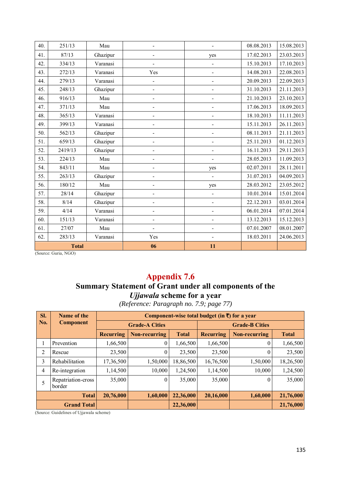| 40. | 251/13       | Mau      |                          |                          | 08.08.2013 | 15.08.2013 |
|-----|--------------|----------|--------------------------|--------------------------|------------|------------|
| 41. | 87/13        | Ghazipur |                          | yes                      | 17.02.2013 | 23.03.2013 |
| 42. | 334/13       | Varanasi | $\overline{\phantom{0}}$ | $\overline{\phantom{0}}$ | 15.10.2013 | 17.10.2013 |
| 43. | 272/13       | Varanasi | Yes                      | $\overline{\phantom{0}}$ | 14.08.2013 | 22.08.2013 |
| 44. | 279/13       | Varanasi | ÷,                       | ÷,                       | 20.09.2013 | 22.09.2013 |
| 45. | 248/13       | Ghazipur | ÷,                       | ÷,                       | 31.10.2013 | 21.11.2013 |
| 46. | 916/13       | Mau      |                          | L,                       | 21.10.2013 | 23.10.2013 |
| 47. | 371/13       | Mau      |                          |                          | 17.06.2013 | 18.09.2013 |
| 48. | 365/13       | Varanasi |                          |                          | 18.10.2013 | 11.11.2013 |
| 49. | 399/13       | Varanasi |                          | ÷,                       | 15.11.2013 | 26.11.2013 |
| 50. | 562/13       | Ghazipur |                          | -                        | 08.11.2013 | 21.11.2013 |
| 51. | 659/13       | Ghazipur | $\overline{\phantom{0}}$ | ÷,                       | 25.11.2013 | 01.12.2013 |
| 52. | 2419/13      | Ghazipur |                          | ÷,                       | 16.11.2013 | 29.11.2013 |
| 53. | 224/13       | Mau      | $\overline{\phantom{a}}$ | ÷,                       | 28.05.2013 | 11.09.2013 |
| 54. | 843/11       | Mau      |                          | yes                      | 02.07.2011 | 28.11.2011 |
| 55. | 263/13       | Ghazipur |                          | ÷,                       | 31.07.2013 | 04.09.2013 |
| 56. | 180/12       | Mau      |                          | yes                      | 28.03.2012 | 23.05.2012 |
| 57. | 28/14        | Ghazipur |                          |                          | 10.01.2014 | 15.01.2014 |
| 58. | 8/14         | Ghazipur |                          | ÷,                       | 22.12.2013 | 03.01.2014 |
| 59. | 4/14         | Varanasi |                          | -                        | 06.01.2014 | 07.01.2014 |
| 60. | 151/13       | Varanasi | $\overline{\phantom{0}}$ | ÷,                       | 13.12.2013 | 15.12.2013 |
| 61. | 27/07        | Mau      | $\overline{\phantom{a}}$ | $\overline{\phantom{0}}$ | 07.01.2007 | 08.01.2007 |
| 62. | 283/13       | Varanasi | Yes                      | $\overline{\phantom{0}}$ | 18.03.2011 | 24.06.2013 |
|     | <b>Total</b> |          | 06                       | 11                       |            |            |

(Source: Guria, NGO)

# **Appendix 7.6**

# **Summary Statement of Grant under all components of the**  *Ujjawala* **scheme for a year**

*(Reference: Paragraph no. 7.9; page 77)* 

| SI.                | Name of the                  | Component-wise total budget (in $\overline{\xi}$ ) for a year |                       |              |                       |               |              |  |  |  |
|--------------------|------------------------------|---------------------------------------------------------------|-----------------------|--------------|-----------------------|---------------|--------------|--|--|--|
| No.                | <b>Component</b>             |                                                               | <b>Grade-A Cities</b> |              | <b>Grade-B Cities</b> |               |              |  |  |  |
|                    |                              | <b>Recurring</b>                                              | Non-recurring         | <b>Total</b> | <b>Recurring</b>      | Non-recurring | <b>Total</b> |  |  |  |
| 1                  | Prevention                   | 1,66,500                                                      | 0                     | 1,66,500     | 1,66,500              |               | 1,66,500     |  |  |  |
| 2                  | Rescue                       | 23,500                                                        | $\overline{0}$        | 23,500       | 23,500                | $\theta$      | 23,500       |  |  |  |
| 3                  | Rehabilitation               | 17,36,500                                                     | 1,50,000              | 18,86,500    | 16,76,500             | 1,50,000      | 18,26,500    |  |  |  |
| 4                  | Re-integration               | 1,14,500                                                      | 10,000                | 1,24,500     | 1,14,500              | 10,000        | 1,24,500     |  |  |  |
| 5                  | Repatriation-cross<br>border | 35,000                                                        | $\theta$              | 35,000       | 35,000                | $\theta$      | 35,000       |  |  |  |
| <b>Total</b>       |                              | 20,76,000                                                     | 1,60,000              | 22,36,000    | 20,16,000             | 1,60,000      | 21,76,000    |  |  |  |
| <b>Grand Total</b> |                              |                                                               |                       | 22,36,000    |                       |               | 21,76,000    |  |  |  |

(Source: Guidelines of Ujjawala scheme)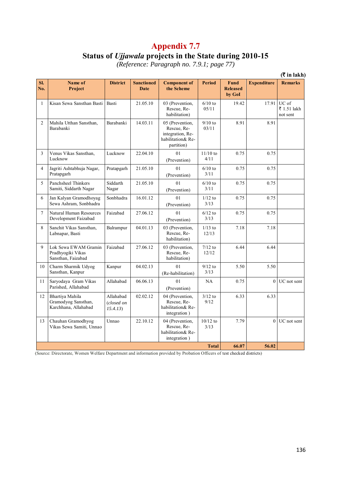#### **Status of** *Ujjawala* **projects in the State during 2010-15**

*(Reference: Paragraph no. 7.9.1; page 77)* 

|                |                                                                 |                                     |                                  |                                                                                       |                    |                                   |                    | (₹ in lakh)                      |
|----------------|-----------------------------------------------------------------|-------------------------------------|----------------------------------|---------------------------------------------------------------------------------------|--------------------|-----------------------------------|--------------------|----------------------------------|
| SI.<br>No.     | Name of<br>Project                                              | <b>District</b>                     | <b>Sanctioned</b><br><b>Date</b> | <b>Component of</b><br>the Scheme                                                     | <b>Period</b>      | Fund<br><b>Released</b><br>by GoI | <b>Expenditure</b> | <b>Remarks</b>                   |
| $\mathbf{1}$   | Kisan Sewa Sansthan Basti                                       | Basti                               | 21.05.10                         | 03 (Prevention,<br>Rescue, Re-<br>habilitation)                                       | $6/10$ to<br>05/11 | 19.42                             | 17.91              | UC of<br>₹ 1.51 lakh<br>not sent |
| $\overline{2}$ | Mahila Utthan Sansthan,<br>Barabanki                            | Barabanki                           | 14.03.11                         | 05 (Prevention,<br>Rescue, Re-<br>integration, Re-<br>habilitation& Re-<br>partition) | $9/10$ to<br>03/11 | 8.91                              | 8.91               |                                  |
| 3              | Venus Vikas Sansthan,<br>Lucknow                                | Lucknow                             | 22.04.10                         | 01<br>(Prevention)                                                                    | $11/10$ to<br>4/11 | 0.75                              | 0.75               |                                  |
| $\overline{4}$ | Jagriti Ashtabhuja Nagar,<br>Pratapgarh                         | Pratapgarh                          | 21.05.10                         | 01<br>(Prevention)                                                                    | $6/10$ to<br>3/11  | 0.75                              | 0.75               |                                  |
| 5              | Panchsheel Thinkers<br>Samiti, Siddarth Nagar                   | Siddarth<br>Nagar                   | 21.05.10                         | 01<br>(Prevention)                                                                    | $6/10$ to<br>3/11  | 0.75                              | 0.75               |                                  |
| 6              | Jan Kalyan Gramodhoyag<br>Sewa Ashram, Sonbhadra                | Sonbhadra                           | 16.01.12                         | 01<br>(Prevention)                                                                    | $1/12$ to<br>3/13  | 0.75                              | 0.75               |                                  |
| $\overline{7}$ | Natural Human Resources<br>Development Faizabad                 | Faizabad                            | 27.06.12                         | 01<br>(Prevention)                                                                    | $6/12$ to<br>3/13  | 0.75                              | 0.75               |                                  |
| 8              | Sanchit Vikas Sansthan,<br>Labnapar, Basti                      | Balrampur                           | 04.01.13                         | 03 (Prevention,<br>Rescue, Re-<br>habilitation)                                       | $1/13$ to<br>12/13 | 7.18                              | 7.18               |                                  |
| 9              | Lok Sewa EWAM Gramin<br>Pradhyogiki Vikas<br>Sansthan, Faizabad | Faizabad                            | 27.06.12                         | 03 (Prevention,<br>Rescue, Re-<br>habilitation)                                       | $7/12$ to<br>12/12 | 6.44                              | 6.44               |                                  |
| 10             | Charm Sharmik Udyog<br>Sansthan, Kanpur                         | Kanpur                              | 04.02.13                         | 01<br>(Re-habilitation)                                                               | $9/12$ to<br>3/13  | 5.50                              | 5.50               |                                  |
| 11             | Saryodaya Gram Vikas<br>Parished, Allahabad                     | Allahabad                           | 06.06.13                         | 0 <sub>1</sub><br>(Prevention)                                                        | NA                 | 0.75                              | $\theta$           | UC not sent                      |
| 12             | Bhartiya Mahila<br>Gramodyog Sansthan,<br>Karchhana, Allahabad  | Allahabad<br>(closed on<br>15.4.13) | 02.02.12                         | 04 (Prevention,<br>Rescue, Re-<br>habilitation& Re-<br>integration)                   | $3/12$ to<br>9/12  | 6.33                              | 6.33               |                                  |
| 13             | Chauhan Gramodhyog<br>Vikas Sewa Samiti, Unnao                  | Unnao                               | 22.10.12                         | 04 (Prevention,<br>Rescue, Re-<br>habilitation& Re-<br>integration)                   | $10/12$ to<br>3/13 | 7.79                              | $\Omega$           | UC not sent                      |
|                |                                                                 |                                     |                                  |                                                                                       | <b>Total</b>       | 66.07                             | 56.02              |                                  |

(Source: Directorate, Women Welfare Department and information provided by Probation Officers of test checked districts)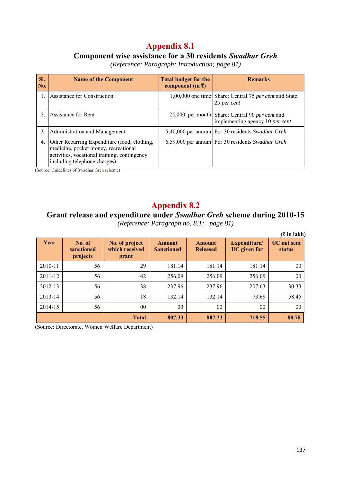#### **Component wise assistance for a 30 residents** *Swadhar Greh*

*(Reference: Paragraph: Introduction; page 81)* 

| Sl.<br>No.     | <b>Name of the Component</b>                                                                                                                                         | <b>Total budget for the</b><br>component (in $\bar{x}$ ) | <b>Remarks</b>                                                                     |
|----------------|----------------------------------------------------------------------------------------------------------------------------------------------------------------------|----------------------------------------------------------|------------------------------------------------------------------------------------|
|                | Assistance for Construction                                                                                                                                          |                                                          | 1,00,000 one time   Share: Central 75 per cent and State<br>25 per cent            |
| $\overline{2}$ | Assistance for Rent                                                                                                                                                  |                                                          | 25,000 per month Share: Central 90 per cent and<br>implementing agency 10 per cent |
| 3.             | Administration and Management                                                                                                                                        |                                                          | 5,40,000 per annum For 30 residents Swadhar Greh                                   |
| 4.             | Other Recurring Expenditure (food, clothing,<br>medicine, pocket money, recreational<br>activities, vocational training, contingency<br>including telephone charges) |                                                          | 6,59,000 per annum For 30 residents Swadhar Greh                                   |

(Source: Guidelines of Swadhar Greh scheme)

## **Appendix 8.2**

# **Grant release and expenditure under** *Swadhar Greh* **scheme during 2010-15**

|         |                                  |                                           |                             |                                  |                                     | $($ ₹ in lakh $)$            |
|---------|----------------------------------|-------------------------------------------|-----------------------------|----------------------------------|-------------------------------------|------------------------------|
| Year    | No. of<br>sanctioned<br>projects | No. of project<br>which received<br>grant | Amount<br><b>Sanctioned</b> | <b>Amount</b><br><b>Released</b> | Expenditure/<br><b>UC</b> given for | <b>UC</b> not sent<br>status |
| 2010-11 | 56                               | 29                                        | 181.14                      | 181.14                           | 181.14                              | 00                           |
| 2011-12 | 56                               | 42                                        | 256.09                      | 256.09                           | 256.09                              | 00                           |
| 2012-13 | 56                               | 38                                        | 237.96                      | 237.96                           | 207.63                              | 30.33                        |
| 2013-14 | 56                               | 18                                        | 132.14                      | 132.14                           | 73.69                               | 58.45                        |
| 2014-15 | 56                               | 00                                        | 0 <sub>0</sub>              | 0 <sub>0</sub>                   | 0 <sub>0</sub>                      | 00                           |
|         |                                  | <b>Total</b>                              | 807.33                      | 807.33                           | 718.55                              | 88.78                        |

*(Reference: Paragraph no. 8.1; page 81)* 

(Source: Directorate, Women Welfare Department)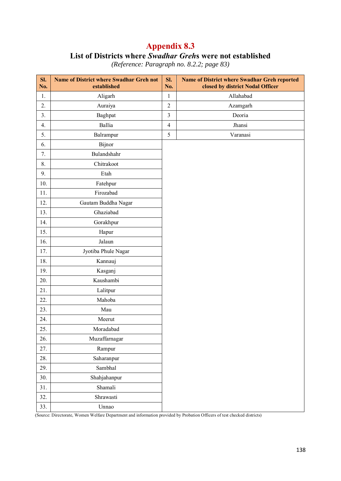## **Appendix 8.3 List of Districts where** *Swadhar Greh***s were not established**

| SI.<br>No.     | <b>Name of District where Swadhar Greh not</b><br>established | SI.<br>No.     | Name of District where Swadhar Greh reported<br>closed by district Nodal Officer |
|----------------|---------------------------------------------------------------|----------------|----------------------------------------------------------------------------------|
| 1.             | Allahabad<br>Aligarh<br>$\mathbf{1}$                          |                |                                                                                  |
| 2.             | $\overline{2}$<br>Auraiya<br>Azamgarh                         |                |                                                                                  |
| 3 <sub>1</sub> | Baghpat                                                       | $\overline{3}$ | Deoria                                                                           |
| 4.             | Ballia                                                        | $\overline{4}$ | Jhansi                                                                           |
| 5.             | Balrampur                                                     | 5              | Varanasi                                                                         |
| 6.             | Bijnor                                                        |                |                                                                                  |
| 7.             | Bulandshahr                                                   |                |                                                                                  |
| 8.             | Chitrakoot                                                    |                |                                                                                  |
| 9.             | Etah                                                          |                |                                                                                  |
| 10.            | Fatehpur                                                      |                |                                                                                  |
| 11.            | Firozabad                                                     |                |                                                                                  |
| 12.            | Gautam Buddha Nagar                                           |                |                                                                                  |
| 13.            | Ghaziabad                                                     |                |                                                                                  |
| 14.            | Gorakhpur                                                     |                |                                                                                  |
| 15.            | Hapur                                                         |                |                                                                                  |
| 16.            | Jalaun                                                        |                |                                                                                  |
| 17.            | Jyotiba Phule Nagar                                           |                |                                                                                  |
| 18.            | Kannauj                                                       |                |                                                                                  |
| 19.            | Kasganj                                                       |                |                                                                                  |
| 20.            | Kaushambi                                                     |                |                                                                                  |
| 21.            | Lalitpur                                                      |                |                                                                                  |
| 22.            | Mahoba                                                        |                |                                                                                  |
| 23.            | Mau                                                           |                |                                                                                  |
| 24.            | Meerut                                                        |                |                                                                                  |
| 25.            | Moradabad                                                     |                |                                                                                  |
| 26.            | Muzaffarnagar                                                 |                |                                                                                  |
| 27.            | Rampur                                                        |                |                                                                                  |
| 28.            | Saharanpur                                                    |                |                                                                                  |
| 29.            | Sambhal                                                       |                |                                                                                  |
| 30.            | Shahjahanpur                                                  |                |                                                                                  |
| 31.            | Shamali                                                       |                |                                                                                  |
| 32.            | Shrawasti                                                     |                |                                                                                  |
| 33.            | Unnao                                                         |                |                                                                                  |

*(Reference: Paragraph no. 8.2.2; page 83)* 

(Source: Directorate, Women Welfare Department and information provided by Probation Officers of test checked districts)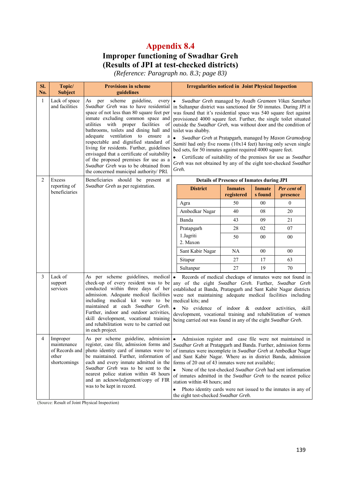# **Improper functioning of Swadhar Greh (Results of JPI at test-checked districts)**

*(Reference: Paragraph no. 8.3; page 83)* 

| SI.<br>No.   | Topic/<br><b>Subject</b>                                           | <b>Provisions in scheme</b><br>guidelines                                                                                                                                                                                                                                                                                                                                                                                                                                                                                                                        | <b>Irregularities noticed in Joint Physical Inspection</b>                                                                                                                                                                                                                                                                                                                                                                                                                                                                                                                                                                                                                                                                       |  |  |
|--------------|--------------------------------------------------------------------|------------------------------------------------------------------------------------------------------------------------------------------------------------------------------------------------------------------------------------------------------------------------------------------------------------------------------------------------------------------------------------------------------------------------------------------------------------------------------------------------------------------------------------------------------------------|----------------------------------------------------------------------------------------------------------------------------------------------------------------------------------------------------------------------------------------------------------------------------------------------------------------------------------------------------------------------------------------------------------------------------------------------------------------------------------------------------------------------------------------------------------------------------------------------------------------------------------------------------------------------------------------------------------------------------------|--|--|
| $\mathbf{1}$ | Lack of space<br>and facilities                                    | per scheme guideline,<br>As<br>every<br>Swadhar Greh was to have residential<br>space of not less than 80 square feet per<br>inmate excluding common space and<br>utilities with proper facilities<br>of<br>bathrooms, toilets and dining hall and<br>adequate ventilation<br>to<br>ensure<br>a<br>respectable and dignified standard of<br>living for residents. Further, guidelines<br>envisaged that a certificate of suitability<br>of the proposed premises for use as a<br>Swadhar Greh was to be obtained from<br>the concerned municipal authority/ PRI. | $\bullet$<br>Swadhar Greh managed by Avadh Grameen Vikas Sansthan<br>in Sultanpur district was sanctioned for 50 inmates. During JPI it<br>was found that it's residential space was 540 square feet against<br>provisioned 4000 square feet. Further, the single toilet situated<br>outside the Swadhar Greh, was without door and the condition of<br>toilet was shabby.<br>$\bullet$<br>Swadhar Greh at Pratapgarh, managed by Maxon Gramodyog<br>Samiti had only five rooms (10x14 feet) having only seven single<br>bed sets, for 50 inmates against required 4000 square feet.<br>Certificate of suitability of the premises for use as Swadhar<br>Greh was not obtained by any of the eight test-checked Swadhar<br>Greh. |  |  |
| 2            | Excess                                                             | Beneficiaries should be present at                                                                                                                                                                                                                                                                                                                                                                                                                                                                                                                               | <b>Details of Presence of Inmates during JPI</b>                                                                                                                                                                                                                                                                                                                                                                                                                                                                                                                                                                                                                                                                                 |  |  |
|              | reporting of<br>beneficiaries                                      | Swadhar Greh as per registration.                                                                                                                                                                                                                                                                                                                                                                                                                                                                                                                                | <b>District</b><br>Per cent of<br><b>Inmates</b><br><b>Inmate</b><br>registered<br>s found<br>presence                                                                                                                                                                                                                                                                                                                                                                                                                                                                                                                                                                                                                           |  |  |
|              |                                                                    |                                                                                                                                                                                                                                                                                                                                                                                                                                                                                                                                                                  | 50<br>00<br>$\mathbf{0}$<br>Agra                                                                                                                                                                                                                                                                                                                                                                                                                                                                                                                                                                                                                                                                                                 |  |  |
|              |                                                                    |                                                                                                                                                                                                                                                                                                                                                                                                                                                                                                                                                                  | Ambedkar Nagar<br>40<br>08<br>20                                                                                                                                                                                                                                                                                                                                                                                                                                                                                                                                                                                                                                                                                                 |  |  |
|              |                                                                    |                                                                                                                                                                                                                                                                                                                                                                                                                                                                                                                                                                  | Banda<br>43<br>09<br>21                                                                                                                                                                                                                                                                                                                                                                                                                                                                                                                                                                                                                                                                                                          |  |  |
|              |                                                                    |                                                                                                                                                                                                                                                                                                                                                                                                                                                                                                                                                                  | 28<br>02<br>07<br>Pratapgarh                                                                                                                                                                                                                                                                                                                                                                                                                                                                                                                                                                                                                                                                                                     |  |  |
|              |                                                                    |                                                                                                                                                                                                                                                                                                                                                                                                                                                                                                                                                                  | 1.Jagriti<br>50<br>00<br>00<br>2. Maxon                                                                                                                                                                                                                                                                                                                                                                                                                                                                                                                                                                                                                                                                                          |  |  |
|              |                                                                    |                                                                                                                                                                                                                                                                                                                                                                                                                                                                                                                                                                  | Sant Kabir Nagar<br><b>NA</b><br>00<br>00                                                                                                                                                                                                                                                                                                                                                                                                                                                                                                                                                                                                                                                                                        |  |  |
|              |                                                                    |                                                                                                                                                                                                                                                                                                                                                                                                                                                                                                                                                                  | 27<br>17<br>63<br>Sitapur                                                                                                                                                                                                                                                                                                                                                                                                                                                                                                                                                                                                                                                                                                        |  |  |
|              |                                                                    |                                                                                                                                                                                                                                                                                                                                                                                                                                                                                                                                                                  | 27<br>19<br>70<br>Sultanpur                                                                                                                                                                                                                                                                                                                                                                                                                                                                                                                                                                                                                                                                                                      |  |  |
| 3            | Lack of<br>support<br>services                                     | As per scheme guidelines, medical •<br>check-up of every resident was to be<br>conducted within three days of her<br>admission. Adequate medical facilities<br>including medical kit were to be<br>maintained at each Swadhar Greh.<br>Further, indoor and outdoor activities,<br>skill development, vocational training<br>and rehabilitation were to be carried out<br>in each project.                                                                                                                                                                        | Records of medical checkups of inmates were not found in<br>any of the eight Swadhar Greh. Further, Swadhar Greh<br>established at Banda, Pratapgarh and Sant Kabir Nagar districts<br>were not maintaining adequate medical facilities including<br>medical kits; and<br>No evidence of indoor $\&$ outdoor activities,<br>skill<br>development, vocational training and rehabilitation of women<br>being carried out was found in any of the eight Swadhar Greh.                                                                                                                                                                                                                                                               |  |  |
|              | Improper<br>maintenance<br>of Records and<br>other<br>shortcomings | As per scheme guideline, admission $\left  \bullet \right $<br>register, case file, admission forms and<br>photo identity card of inmates were to<br>be maintained. Further, information of<br>each and every inmate admitted in the<br>Swadhar Greh was to be sent to the<br>nearest police station within 48 hours<br>and an acknowledgement/copy of FIR<br>was to be kept in record.                                                                                                                                                                          | Admission register and case file were not maintained in<br>Swadhar Greh at Pratapgarh and Banda. Further, admission forms<br>of inmates were incomplete in Swadhar Greh at Ambedkar Nagar<br>and Sant Kabir Nagar. Where as in district Banda, admission<br>forms of 20 out of 43 inmates were not available;<br>$\bullet$<br>None of the test-checked Swadhar Greh had sent information<br>of inmates admitted in the Swadhar Greh to the nearest police<br>station within 48 hours; and<br>Photo identity cards were not issued to the inmates in any of<br>٠<br>the eight test-checked Swadhar Greh.                                                                                                                          |  |  |

(Source: Result of Joint Physical Inspection)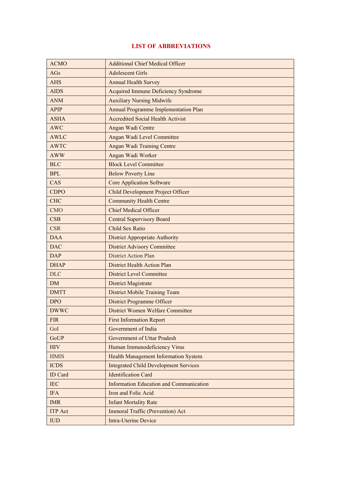#### **LIST OF ABBREVIATIONS**

| <b>ACMO</b>    | <b>Additional Chief Medical Officer</b>        |
|----------------|------------------------------------------------|
| AGs            | <b>Adolescent Girls</b>                        |
| <b>AHS</b>     | <b>Annual Health Survey</b>                    |
| <b>AIDS</b>    | <b>Acquired Immune Deficiency Syndrome</b>     |
| <b>ANM</b>     | <b>Auxiliary Nursing Midwife</b>               |
| <b>APIP</b>    | Annual Programme Implementation Plan           |
| <b>ASHA</b>    | <b>Accredited Social Health Activist</b>       |
| <b>AWC</b>     | Angan Wadi Centre                              |
| <b>AWLC</b>    | Angan Wadi Level Committee                     |
| <b>AWTC</b>    | Angan Wadi Training Centre                     |
| <b>AWW</b>     | Angan Wadi Worker                              |
| <b>BLC</b>     | <b>Block Level Committee</b>                   |
| <b>BPL</b>     | <b>Below Poverty Line</b>                      |
| CAS            | <b>Core Application Software</b>               |
| <b>CDPO</b>    | <b>Child Development Project Officer</b>       |
| <b>CHC</b>     | <b>Community Health Centre</b>                 |
| <b>CMO</b>     | <b>Chief Medical Officer</b>                   |
| CSB            | <b>Central Supervisory Board</b>               |
| <b>CSR</b>     | Child Sex Ratio                                |
| <b>DAA</b>     | <b>District Appropriate Authority</b>          |
| <b>DAC</b>     | <b>District Advisory Committee</b>             |
| <b>DAP</b>     | <b>District Action Plan</b>                    |
| <b>DHAP</b>    | <b>District Health Action Plan</b>             |
| <b>DLC</b>     | <b>District Level Committee</b>                |
| <b>DM</b>      | <b>District Magistrate</b>                     |
| <b>DMTT</b>    | <b>District Mobile Training Team</b>           |
| <b>DPO</b>     | <b>District Programme Officer</b>              |
| <b>DWWC</b>    | <b>District Women Welfare Committee</b>        |
| <b>FIR</b>     | <b>First Information Report</b>                |
| GoI            | Government of India                            |
| <b>GoUP</b>    | <b>Government of Uttar Pradesh</b>             |
| <b>HIV</b>     | Human Immunodeficiency Virus                   |
| <b>HMIS</b>    | <b>Health Management Information System</b>    |
| <b>ICDS</b>    | <b>Integrated Child Development Services</b>   |
| <b>ID</b> Card | <b>Identification Card</b>                     |
| <b>IEC</b>     | <b>Information Education and Communication</b> |
| <b>IFA</b>     | Iron and Folic Acid                            |
| <b>IMR</b>     | <b>Infant Mortality Rate</b>                   |
| <b>ITP</b> Act | Immoral Traffic (Prevention) Act               |
| <b>IUD</b>     | <b>Intra-Uterine Device</b>                    |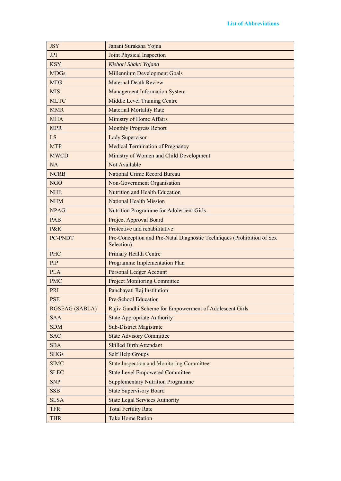| <b>JSY</b>            | Janani Suraksha Yojna                                                                |
|-----------------------|--------------------------------------------------------------------------------------|
| <b>JPI</b>            | Joint Physical Inspection                                                            |
| <b>KSY</b>            | Kishori Shakti Yojana                                                                |
| <b>MDGs</b>           | <b>Millennium Development Goals</b>                                                  |
| <b>MDR</b>            | <b>Maternal Death Review</b>                                                         |
| <b>MIS</b>            | <b>Management Information System</b>                                                 |
| <b>MLTC</b>           | <b>Middle Level Training Centre</b>                                                  |
| <b>MMR</b>            | <b>Maternal Mortality Rate</b>                                                       |
| <b>MHA</b>            | Ministry of Home Affairs                                                             |
| <b>MPR</b>            | <b>Monthly Progress Report</b>                                                       |
| <b>LS</b>             | <b>Lady Supervisor</b>                                                               |
| <b>MTP</b>            | <b>Medical Termination of Pregnancy</b>                                              |
| <b>MWCD</b>           | Ministry of Women and Child Development                                              |
| <b>NA</b>             | Not Available                                                                        |
| <b>NCRB</b>           | <b>National Crime Record Bureau</b>                                                  |
| <b>NGO</b>            | Non-Government Organisation                                                          |
| <b>NHE</b>            | Nutrition and Health Education                                                       |
| <b>NHM</b>            | <b>National Health Mission</b>                                                       |
| <b>NPAG</b>           | <b>Nutrition Programme for Adolescent Girls</b>                                      |
| PAB                   | Project Approval Board                                                               |
| P&R                   | Protective and rehabilitative                                                        |
| PC-PNDT               | Pre-Conception and Pre-Natal Diagnostic Techniques (Prohibition of Sex<br>Selection) |
| PHC                   | <b>Primary Health Centre</b>                                                         |
| <b>PIP</b>            | Programme Implementation Plan                                                        |
| <b>PLA</b>            | <b>Personal Ledger Account</b>                                                       |
| <b>PMC</b>            | <b>Project Monitoring Committee</b>                                                  |
| PRI                   | Panchayati Raj Institution                                                           |
| <b>PSE</b>            | Pre-School Education                                                                 |
| <b>RGSEAG (SABLA)</b> | Rajiv Gandhi Scheme for Empowerment of Adolescent Girls                              |
| <b>SAA</b>            | <b>State Appropriate Authority</b>                                                   |
| <b>SDM</b>            | <b>Sub-District Magistrate</b>                                                       |
| <b>SAC</b>            | <b>State Advisory Committee</b>                                                      |
| <b>SBA</b>            | <b>Skilled Birth Attendant</b>                                                       |
| <b>SHGs</b>           | <b>Self Help Groups</b>                                                              |
| <b>SIMC</b>           | <b>State Inspection and Monitoring Committee</b>                                     |
| <b>SLEC</b>           | <b>State Level Empowered Committee</b>                                               |
| <b>SNP</b>            | <b>Supplementary Nutrition Programme</b>                                             |
| <b>SSB</b>            |                                                                                      |
|                       | <b>State Supervisory Board</b>                                                       |
| <b>SLSA</b>           | <b>State Legal Services Authority</b>                                                |
| <b>TFR</b>            | <b>Total Fertility Rate</b>                                                          |